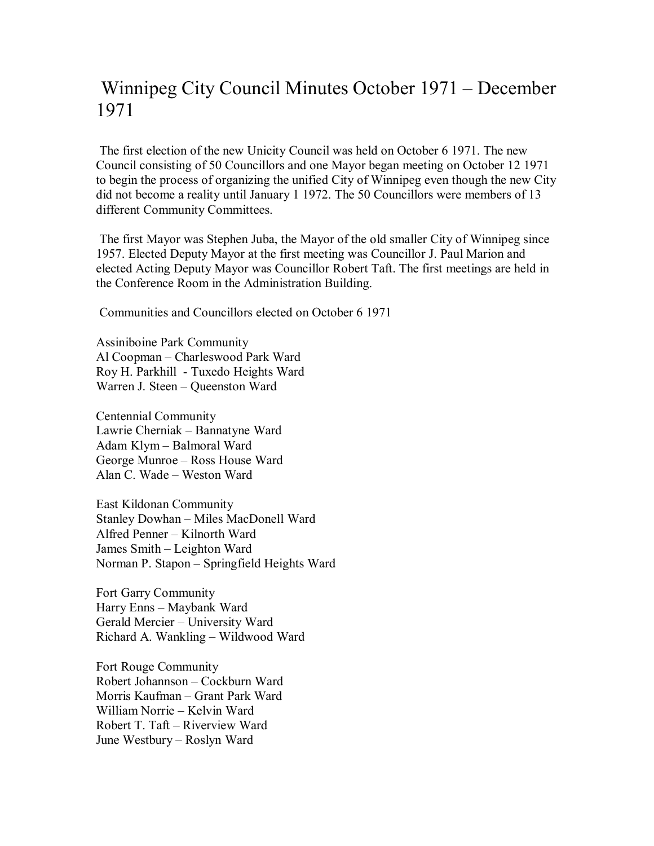## Winnipeg City Council Minutes October 1971 – December 1971

 The first election of the new Unicity Council was held on October 6 1971. The new Council consisting of 50 Councillors and one Mayor began meeting on October 12 1971 to begin the process of organizing the unified City of Winnipeg even though the new City did not become a reality until January 1 1972. The 50 Councillors were members of 13 different Community Committees.

 The first Mayor was Stephen Juba, the Mayor of the old smaller City of Winnipeg since 1957. Elected Deputy Mayor at the first meeting was Councillor J. Paul Marion and elected Acting Deputy Mayor was Councillor Robert Taft. The first meetings are held in the Conference Room in the Administration Building.

Communities and Councillors elected on October 6 1971

Assiniboine Park Community Al Coopman – Charleswood Park Ward Roy H. Parkhill - Tuxedo Heights Ward Warren J. Steen – Queenston Ward

Centennial Community Lawrie Cherniak – Bannatyne Ward Adam Klym – Balmoral Ward George Munroe – Ross House Ward Alan C. Wade – Weston Ward

East Kildonan Community Stanley Dowhan – Miles MacDonell Ward Alfred Penner – Kilnorth Ward James Smith – Leighton Ward Norman P. Stapon – Springfield Heights Ward

Fort Garry Community Harry Enns – Maybank Ward Gerald Mercier – University Ward Richard A. Wankling – Wildwood Ward

Fort Rouge Community Robert Johannson – Cockburn Ward Morris Kaufman – Grant Park Ward William Norrie – Kelvin Ward Robert T. Taft – Riverview Ward June Westbury – Roslyn Ward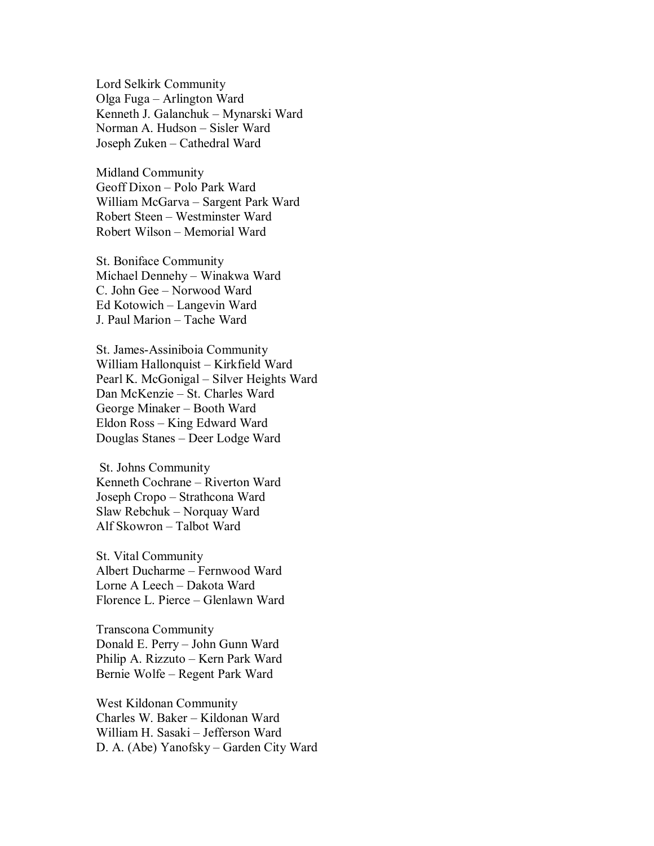Lord Selkirk Community Olga Fuga – Arlington Ward Kenneth J. Galanchuk – Mynarski Ward Norman A. Hudson – Sisler Ward Joseph Zuken – Cathedral Ward

Midland Community Geoff Dixon – Polo Park Ward William McGarva – Sargent Park Ward Robert Steen – Westminster Ward Robert Wilson – Memorial Ward

St. Boniface Community Michael Dennehy – Winakwa Ward C. John Gee – Norwood Ward Ed Kotowich – Langevin Ward J. Paul Marion – Tache Ward

St. James-Assiniboia Community William Hallonquist – Kirkfield Ward Pearl K. McGonigal – Silver Heights Ward Dan McKenzie – St. Charles Ward George Minaker – Booth Ward Eldon Ross – King Edward Ward Douglas Stanes – Deer Lodge Ward

 St. Johns Community Kenneth Cochrane – Riverton Ward Joseph Cropo – Strathcona Ward Slaw Rebchuk – Norquay Ward Alf Skowron – Talbot Ward

St. Vital Community Albert Ducharme – Fernwood Ward Lorne A Leech – Dakota Ward Florence L. Pierce – Glenlawn Ward

Transcona Community Donald E. Perry – John Gunn Ward Philip A. Rizzuto – Kern Park Ward Bernie Wolfe – Regent Park Ward

West Kildonan Community Charles W. Baker – Kildonan Ward William H. Sasaki – Jefferson Ward D. A. (Abe) Yanofsky – Garden City Ward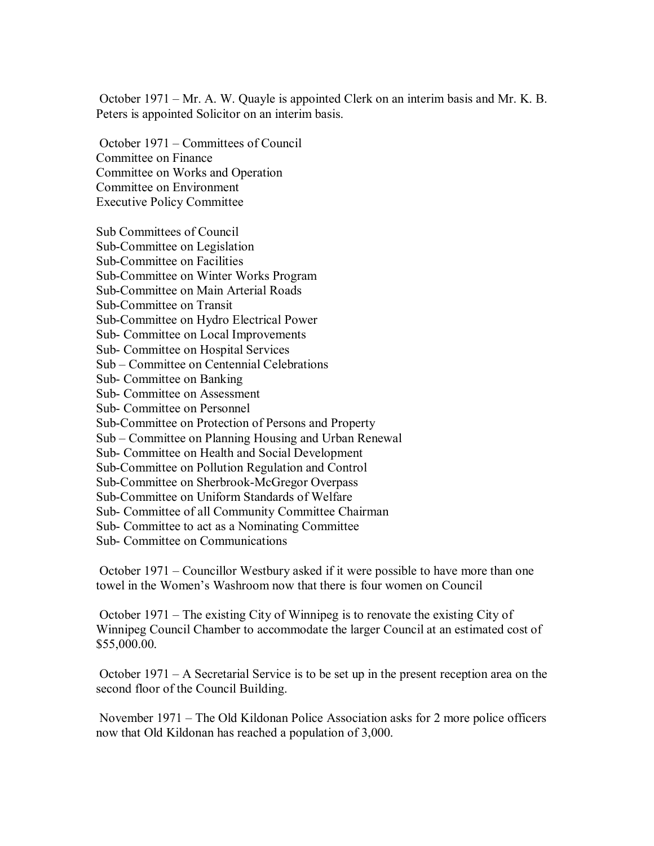October 1971 – Mr. A. W. Quayle is appointed Clerk on an interim basis and Mr. K. B. Peters is appointed Solicitor on an interim basis.

 October 1971 – Committees of Council Committee on Finance Committee on Works and Operation Committee on Environment Executive Policy Committee

Sub Committees of Council Sub-Committee on Legislation Sub-Committee on Facilities Sub-Committee on Winter Works Program Sub-Committee on Main Arterial Roads Sub-Committee on Transit Sub-Committee on Hydro Electrical Power Sub- Committee on Local Improvements Sub- Committee on Hospital Services Sub – Committee on Centennial Celebrations Sub- Committee on Banking Sub- Committee on Assessment Sub- Committee on Personnel Sub-Committee on Protection of Persons and Property Sub – Committee on Planning Housing and Urban Renewal Sub- Committee on Health and Social Development Sub-Committee on Pollution Regulation and Control Sub-Committee on Sherbrook-McGregor Overpass Sub-Committee on Uniform Standards of Welfare Sub- Committee of all Community Committee Chairman Sub- Committee to act as a Nominating Committee Sub- Committee on Communications

 October 1971 – Councillor Westbury asked if it were possible to have more than one towel in the Women's Washroom now that there is four women on Council

 October 1971 – The existing City of Winnipeg is to renovate the existing City of Winnipeg Council Chamber to accommodate the larger Council at an estimated cost of \$55,000.00.

 October 1971 – A Secretarial Service is to be set up in the present reception area on the second floor of the Council Building.

 November 1971 – The Old Kildonan Police Association asks for 2 more police officers now that Old Kildonan has reached a population of 3,000.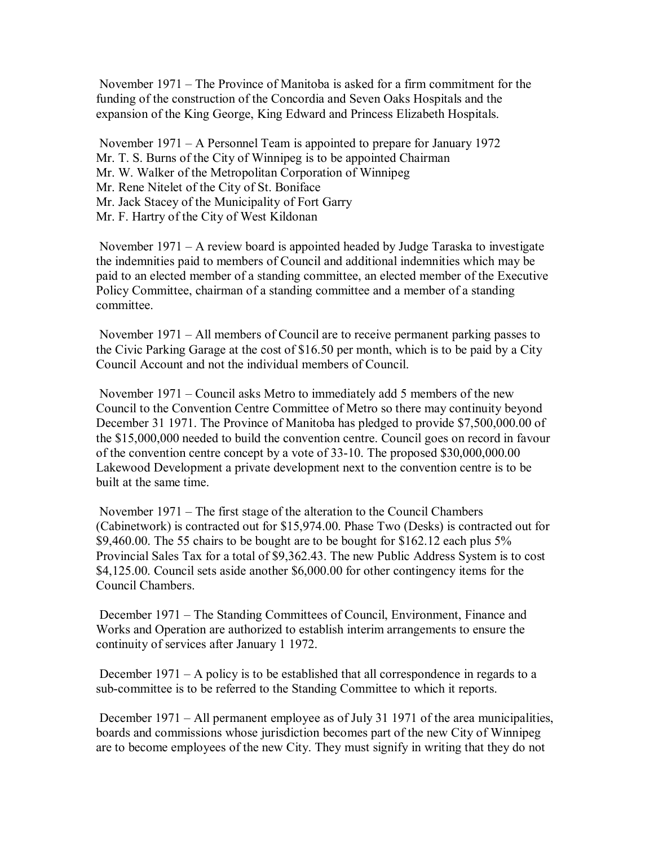November 1971 – The Province of Manitoba is asked for a firm commitment for the funding of the construction of the Concordia and Seven Oaks Hospitals and the expansion of the King George, King Edward and Princess Elizabeth Hospitals.

 November 1971 – A Personnel Team is appointed to prepare for January 1972 Mr. T. S. Burns of the City of Winnipeg is to be appointed Chairman Mr. W. Walker of the Metropolitan Corporation of Winnipeg Mr. Rene Nitelet of the City of St. Boniface Mr. Jack Stacey of the Municipality of Fort Garry Mr. F. Hartry of the City of West Kildonan

 November 1971 – A review board is appointed headed by Judge Taraska to investigate the indemnities paid to members of Council and additional indemnities which may be paid to an elected member of a standing committee, an elected member of the Executive Policy Committee, chairman of a standing committee and a member of a standing committee.

 November 1971 – All members of Council are to receive permanent parking passes to the Civic Parking Garage at the cost of \$16.50 per month, which is to be paid by a City Council Account and not the individual members of Council.

 November 1971 – Council asks Metro to immediately add 5 members of the new Council to the Convention Centre Committee of Metro so there may continuity beyond December 31 1971. The Province of Manitoba has pledged to provide \$7,500,000.00 of the \$15,000,000 needed to build the convention centre. Council goes on record in favour of the convention centre concept by a vote of 33-10. The proposed \$30,000,000.00 Lakewood Development a private development next to the convention centre is to be built at the same time.

 November 1971 – The first stage of the alteration to the Council Chambers (Cabinetwork) is contracted out for \$15,974.00. Phase Two (Desks) is contracted out for \$9,460.00. The 55 chairs to be bought are to be bought for \$162.12 each plus 5% Provincial Sales Tax for a total of \$9,362.43. The new Public Address System is to cost \$4,125.00. Council sets aside another \$6,000.00 for other contingency items for the Council Chambers.

 December 1971 – The Standing Committees of Council, Environment, Finance and Works and Operation are authorized to establish interim arrangements to ensure the continuity of services after January 1 1972.

 December 1971 – A policy is to be established that all correspondence in regards to a sub-committee is to be referred to the Standing Committee to which it reports.

 December 1971 – All permanent employee as of July 31 1971 of the area municipalities, boards and commissions whose jurisdiction becomes part of the new City of Winnipeg are to become employees of the new City. They must signify in writing that they do not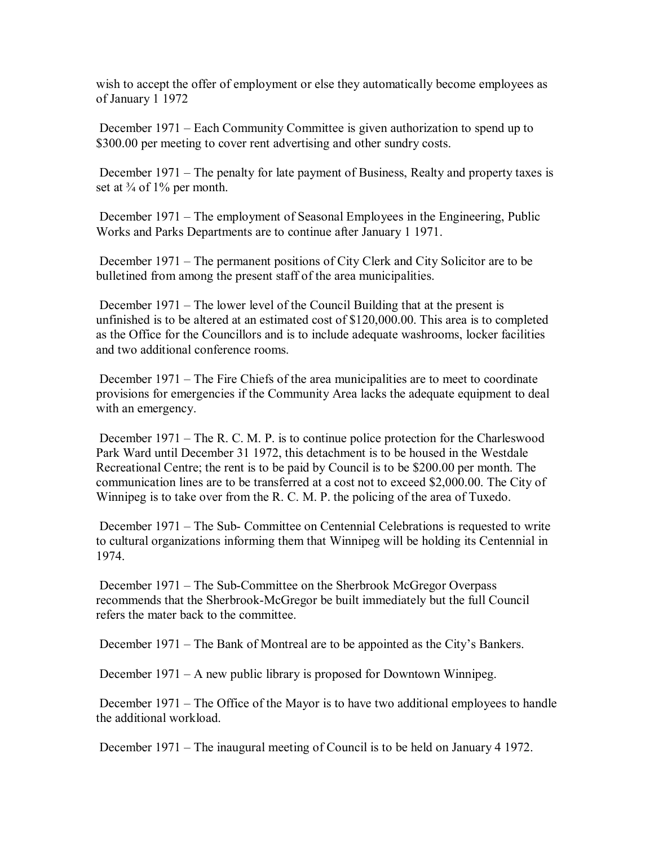wish to accept the offer of employment or else they automatically become employees as of January 1 1972

 December 1971 – Each Community Committee is given authorization to spend up to \$300.00 per meeting to cover rent advertising and other sundry costs.

 December 1971 – The penalty for late payment of Business, Realty and property taxes is set at  $\frac{3}{4}$  of 1% per month.

 December 1971 – The employment of Seasonal Employees in the Engineering, Public Works and Parks Departments are to continue after January 1 1971.

 December 1971 – The permanent positions of City Clerk and City Solicitor are to be bulletined from among the present staff of the area municipalities.

 December 1971 – The lower level of the Council Building that at the present is unfinished is to be altered at an estimated cost of \$120,000.00. This area is to completed as the Office for the Councillors and is to include adequate washrooms, locker facilities and two additional conference rooms.

 December 1971 – The Fire Chiefs of the area municipalities are to meet to coordinate provisions for emergencies if the Community Area lacks the adequate equipment to deal with an emergency.

 December 1971 – The R. C. M. P. is to continue police protection for the Charleswood Park Ward until December 31 1972, this detachment is to be housed in the Westdale Recreational Centre; the rent is to be paid by Council is to be \$200.00 per month. The communication lines are to be transferred at a cost not to exceed \$2,000.00. The City of Winnipeg is to take over from the R. C. M. P. the policing of the area of Tuxedo.

 December 1971 – The Sub- Committee on Centennial Celebrations is requested to write to cultural organizations informing them that Winnipeg will be holding its Centennial in 1974.

 December 1971 – The Sub-Committee on the Sherbrook McGregor Overpass recommends that the Sherbrook-McGregor be built immediately but the full Council refers the mater back to the committee.

December 1971 – The Bank of Montreal are to be appointed as the City's Bankers.

December 1971 – A new public library is proposed for Downtown Winnipeg.

 December 1971 – The Office of the Mayor is to have two additional employees to handle the additional workload.

December 1971 – The inaugural meeting of Council is to be held on January 4 1972.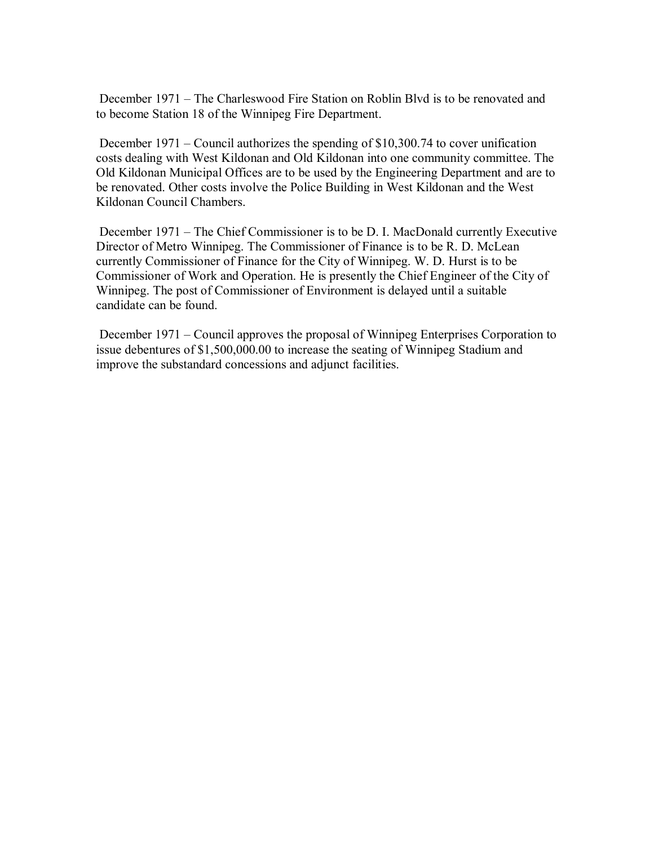December 1971 – The Charleswood Fire Station on Roblin Blvd is to be renovated and to become Station 18 of the Winnipeg Fire Department.

 December 1971 – Council authorizes the spending of \$10,300.74 to cover unification costs dealing with West Kildonan and Old Kildonan into one community committee. The Old Kildonan Municipal Offices are to be used by the Engineering Department and are to be renovated. Other costs involve the Police Building in West Kildonan and the West Kildonan Council Chambers.

 December 1971 – The Chief Commissioner is to be D. I. MacDonald currently Executive Director of Metro Winnipeg. The Commissioner of Finance is to be R. D. McLean currently Commissioner of Finance for the City of Winnipeg. W. D. Hurst is to be Commissioner of Work and Operation. He is presently the Chief Engineer of the City of Winnipeg. The post of Commissioner of Environment is delayed until a suitable candidate can be found.

 December 1971 – Council approves the proposal of Winnipeg Enterprises Corporation to issue debentures of \$1,500,000.00 to increase the seating of Winnipeg Stadium and improve the substandard concessions and adjunct facilities.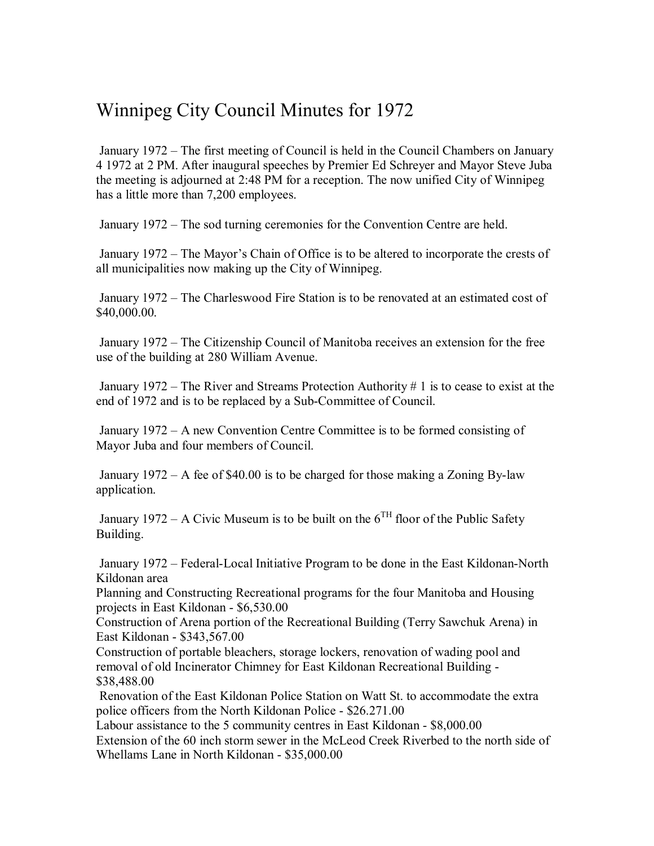## Winnipeg City Council Minutes for 1972

 January 1972 – The first meeting of Council is held in the Council Chambers on January 4 1972 at 2 PM. After inaugural speeches by Premier Ed Schreyer and Mayor Steve Juba the meeting is adjourned at 2:48 PM for a reception. The now unified City of Winnipeg has a little more than 7,200 employees.

January 1972 – The sod turning ceremonies for the Convention Centre are held.

 January 1972 – The Mayor's Chain of Office is to be altered to incorporate the crests of all municipalities now making up the City of Winnipeg.

 January 1972 – The Charleswood Fire Station is to be renovated at an estimated cost of \$40,000.00.

 January 1972 – The Citizenship Council of Manitoba receives an extension for the free use of the building at 280 William Avenue.

 January 1972 – The River and Streams Protection Authority # 1 is to cease to exist at the end of 1972 and is to be replaced by a Sub-Committee of Council.

 January 1972 – A new Convention Centre Committee is to be formed consisting of Mayor Juba and four members of Council.

 January 1972 – A fee of \$40.00 is to be charged for those making a Zoning By-law application.

January 1972 – A Civic Museum is to be built on the  $6^{TH}$  floor of the Public Safety Building.

 January 1972 – Federal-Local Initiative Program to be done in the East Kildonan-North Kildonan area

Planning and Constructing Recreational programs for the four Manitoba and Housing projects in East Kildonan - \$6,530.00

Construction of Arena portion of the Recreational Building (Terry Sawchuk Arena) in East Kildonan - \$343,567.00

Construction of portable bleachers, storage lockers, renovation of wading pool and removal of old Incinerator Chimney for East Kildonan Recreational Building - \$38,488.00

 Renovation of the East Kildonan Police Station on Watt St. to accommodate the extra police officers from the North Kildonan Police - \$26.271.00

Labour assistance to the 5 community centres in East Kildonan - \$8,000.00 Extension of the 60 inch storm sewer in the McLeod Creek Riverbed to the north side of Whellams Lane in North Kildonan - \$35,000.00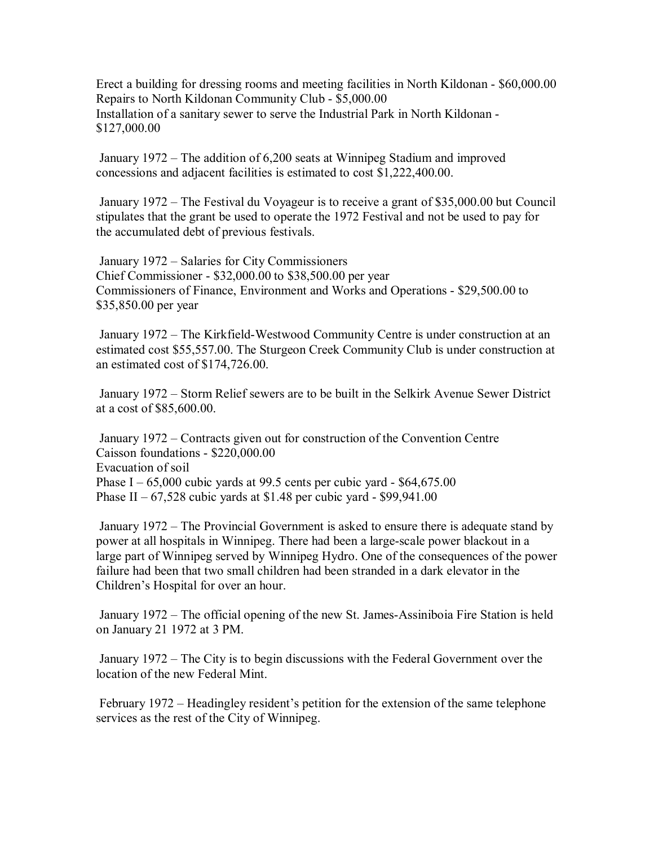Erect a building for dressing rooms and meeting facilities in North Kildonan - \$60,000.00 Repairs to North Kildonan Community Club - \$5,000.00 Installation of a sanitary sewer to serve the Industrial Park in North Kildonan - \$127,000.00

 January 1972 – The addition of 6,200 seats at Winnipeg Stadium and improved concessions and adjacent facilities is estimated to cost \$1,222,400.00.

 January 1972 – The Festival du Voyageur is to receive a grant of \$35,000.00 but Council stipulates that the grant be used to operate the 1972 Festival and not be used to pay for the accumulated debt of previous festivals.

 January 1972 – Salaries for City Commissioners Chief Commissioner - \$32,000.00 to \$38,500.00 per year Commissioners of Finance, Environment and Works and Operations - \$29,500.00 to \$35,850.00 per year

 January 1972 – The Kirkfield-Westwood Community Centre is under construction at an estimated cost \$55,557.00. The Sturgeon Creek Community Club is under construction at an estimated cost of \$174,726.00.

 January 1972 – Storm Relief sewers are to be built in the Selkirk Avenue Sewer District at a cost of \$85,600.00.

 January 1972 – Contracts given out for construction of the Convention Centre Caisson foundations - \$220,000.00 Evacuation of soil Phase I –  $65,000$  cubic yards at 99.5 cents per cubic yard - \$64,675.00 Phase II –  $67,528$  cubic yards at \$1.48 per cubic yard - \$99,941.00

 January 1972 – The Provincial Government is asked to ensure there is adequate stand by power at all hospitals in Winnipeg. There had been a large-scale power blackout in a large part of Winnipeg served by Winnipeg Hydro. One of the consequences of the power failure had been that two small children had been stranded in a dark elevator in the Children's Hospital for over an hour.

 January 1972 – The official opening of the new St. James-Assiniboia Fire Station is held on January 21 1972 at 3 PM.

 January 1972 – The City is to begin discussions with the Federal Government over the location of the new Federal Mint.

 February 1972 – Headingley resident's petition for the extension of the same telephone services as the rest of the City of Winnipeg.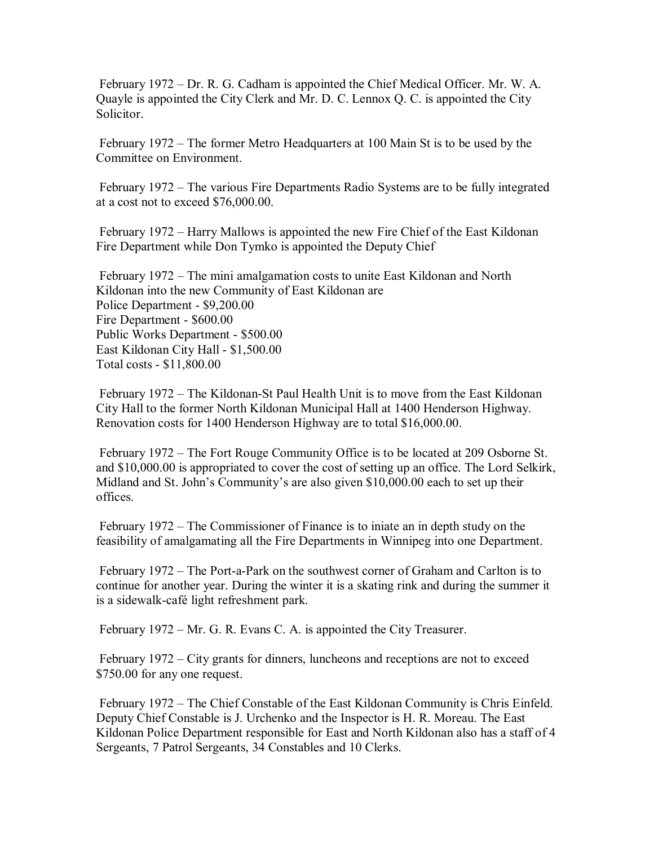February 1972 – Dr. R. G. Cadham is appointed the Chief Medical Officer. Mr. W. A. Quayle is appointed the City Clerk and Mr. D. C. Lennox Q. C. is appointed the City Solicitor.

 February 1972 – The former Metro Headquarters at 100 Main St is to be used by the Committee on Environment.

 February 1972 – The various Fire Departments Radio Systems are to be fully integrated at a cost not to exceed \$76,000.00.

 February 1972 – Harry Mallows is appointed the new Fire Chief of the East Kildonan Fire Department while Don Tymko is appointed the Deputy Chief

 February 1972 – The mini amalgamation costs to unite East Kildonan and North Kildonan into the new Community of East Kildonan are Police Department - \$9,200.00 Fire Department - \$600.00 Public Works Department - \$500.00 East Kildonan City Hall - \$1,500.00 Total costs - \$11,800.00

 February 1972 – The Kildonan-St Paul Health Unit is to move from the East Kildonan City Hall to the former North Kildonan Municipal Hall at 1400 Henderson Highway. Renovation costs for 1400 Henderson Highway are to total \$16,000.00.

 February 1972 – The Fort Rouge Community Office is to be located at 209 Osborne St. and \$10,000.00 is appropriated to cover the cost of setting up an office. The Lord Selkirk, Midland and St. John's Community's are also given \$10,000.00 each to set up their offices.

 February 1972 – The Commissioner of Finance is to iniate an in depth study on the feasibility of amalgamating all the Fire Departments in Winnipeg into one Department.

 February 1972 – The Port-a-Park on the southwest corner of Graham and Carlton is to continue for another year. During the winter it is a skating rink and during the summer it is a sidewalk-café light refreshment park.

February 1972 – Mr. G. R. Evans C. A. is appointed the City Treasurer.

 February 1972 – City grants for dinners, luncheons and receptions are not to exceed \$750.00 for any one request.

 February 1972 – The Chief Constable of the East Kildonan Community is Chris Einfeld. Deputy Chief Constable is J. Urchenko and the Inspector is H. R. Moreau. The East Kildonan Police Department responsible for East and North Kildonan also has a staff of 4 Sergeants, 7 Patrol Sergeants, 34 Constables and 10 Clerks.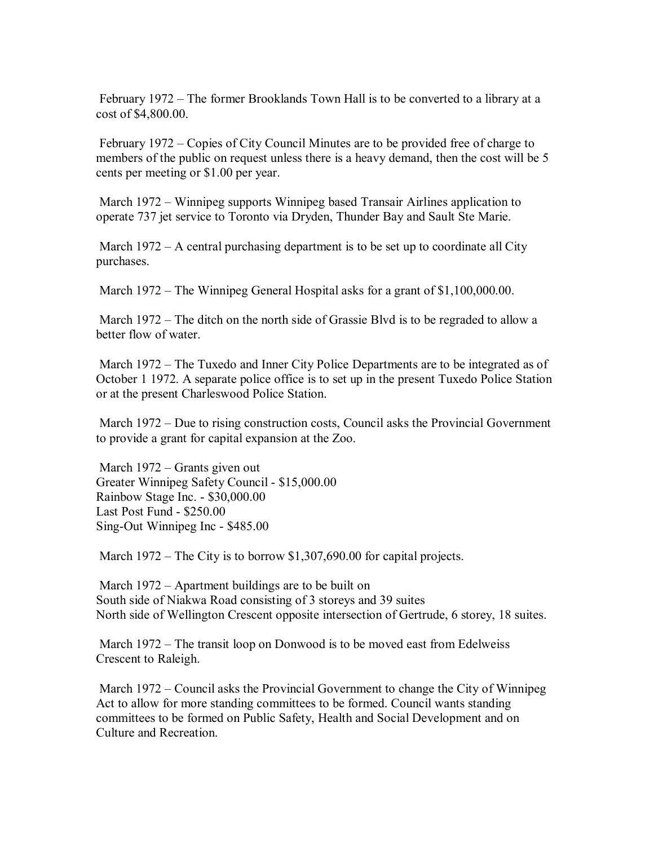February 1972 – The former Brooklands Town Hall is to be converted to a library at a cost of \$4,800.00.

 February 1972 – Copies of City Council Minutes are to be provided free of charge to members of the public on request unless there is a heavy demand, then the cost will be 5 cents per meeting or \$1.00 per year.

 March 1972 – Winnipeg supports Winnipeg based Transair Airlines application to operate 737 jet service to Toronto via Dryden, Thunder Bay and Sault Ste Marie.

 March 1972 – A central purchasing department is to be set up to coordinate all City purchases.

March 1972 – The Winnipeg General Hospital asks for a grant of \$1,100,000.00.

 March 1972 – The ditch on the north side of Grassie Blvd is to be regraded to allow a better flow of water.

 March 1972 – The Tuxedo and Inner City Police Departments are to be integrated as of October 1 1972. A separate police office is to set up in the present Tuxedo Police Station or at the present Charleswood Police Station.

 March 1972 – Due to rising construction costs, Council asks the Provincial Government to provide a grant for capital expansion at the Zoo.

 March 1972 – Grants given out Greater Winnipeg Safety Council - \$15,000.00 Rainbow Stage Inc. - \$30,000.00 Last Post Fund - \$250.00 Sing-Out Winnipeg Inc - \$485.00

March 1972 – The City is to borrow \$1,307,690.00 for capital projects.

 March 1972 – Apartment buildings are to be built on South side of Niakwa Road consisting of 3 storeys and 39 suites North side of Wellington Crescent opposite intersection of Gertrude, 6 storey, 18 suites.

 March 1972 – The transit loop on Donwood is to be moved east from Edelweiss Crescent to Raleigh.

 March 1972 – Council asks the Provincial Government to change the City of Winnipeg Act to allow for more standing committees to be formed. Council wants standing committees to be formed on Public Safety, Health and Social Development and on Culture and Recreation.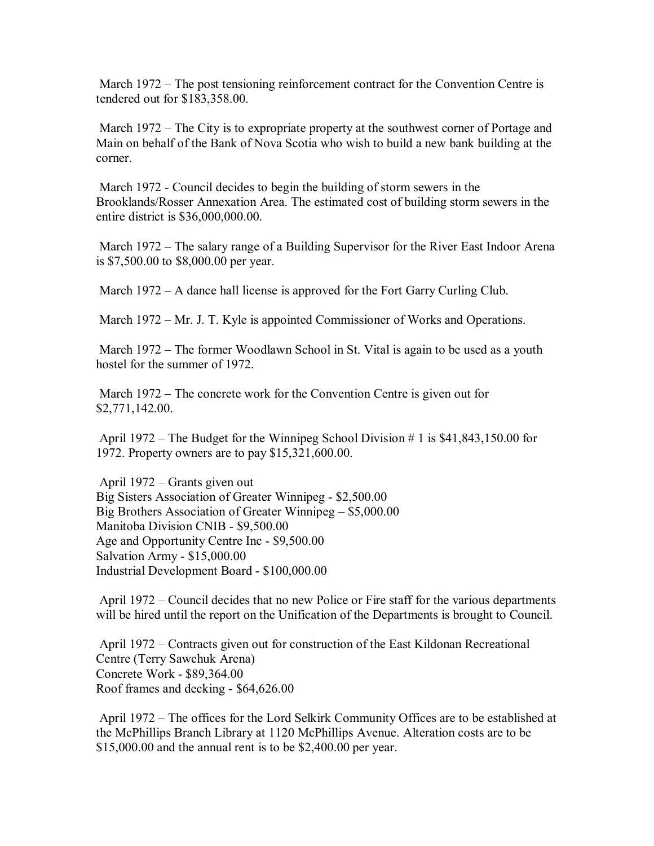March 1972 – The post tensioning reinforcement contract for the Convention Centre is tendered out for \$183,358.00.

 March 1972 – The City is to expropriate property at the southwest corner of Portage and Main on behalf of the Bank of Nova Scotia who wish to build a new bank building at the corner.

 March 1972 - Council decides to begin the building of storm sewers in the Brooklands/Rosser Annexation Area. The estimated cost of building storm sewers in the entire district is \$36,000,000.00.

 March 1972 – The salary range of a Building Supervisor for the River East Indoor Arena is \$7,500.00 to \$8,000.00 per year.

March 1972 – A dance hall license is approved for the Fort Garry Curling Club.

March 1972 – Mr. J. T. Kyle is appointed Commissioner of Works and Operations.

March 1972 – The former Woodlawn School in St. Vital is again to be used as a youth hostel for the summer of 1972.

 March 1972 – The concrete work for the Convention Centre is given out for \$2,771,142.00.

 April 1972 – The Budget for the Winnipeg School Division # 1 is \$41,843,150.00 for 1972. Property owners are to pay \$15,321,600.00.

 April 1972 – Grants given out Big Sisters Association of Greater Winnipeg - \$2,500.00 Big Brothers Association of Greater Winnipeg – \$5,000.00 Manitoba Division CNIB - \$9,500.00 Age and Opportunity Centre Inc - \$9,500.00 Salvation Army - \$15,000.00 Industrial Development Board - \$100,000.00

 April 1972 – Council decides that no new Police or Fire staff for the various departments will be hired until the report on the Unification of the Departments is brought to Council.

 April 1972 – Contracts given out for construction of the East Kildonan Recreational Centre (Terry Sawchuk Arena) Concrete Work - \$89,364.00 Roof frames and decking - \$64,626.00

 April 1972 – The offices for the Lord Selkirk Community Offices are to be established at the McPhillips Branch Library at 1120 McPhillips Avenue. Alteration costs are to be \$15,000.00 and the annual rent is to be \$2,400.00 per year.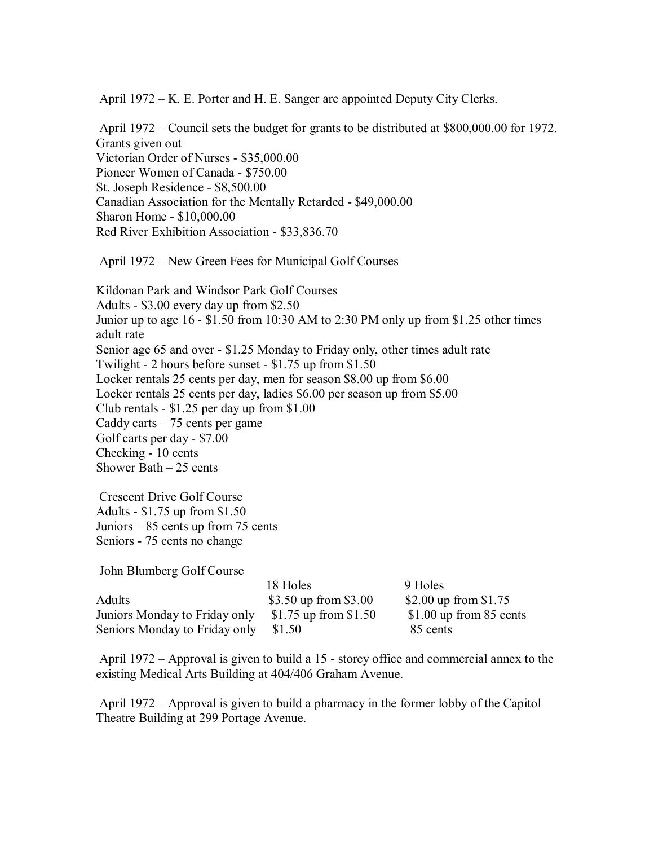April 1972 – K. E. Porter and H. E. Sanger are appointed Deputy City Clerks.

 April 1972 – Council sets the budget for grants to be distributed at \$800,000.00 for 1972. Grants given out Victorian Order of Nurses - \$35,000.00 Pioneer Women of Canada - \$750.00 St. Joseph Residence - \$8,500.00 Canadian Association for the Mentally Retarded - \$49,000.00 Sharon Home - \$10,000.00 Red River Exhibition Association - \$33,836.70

April 1972 – New Green Fees for Municipal Golf Courses

Kildonan Park and Windsor Park Golf Courses Adults - \$3.00 every day up from \$2.50 Junior up to age 16 - \$1.50 from 10:30 AM to 2:30 PM only up from \$1.25 other times adult rate Senior age 65 and over - \$1.25 Monday to Friday only, other times adult rate Twilight - 2 hours before sunset - \$1.75 up from \$1.50 Locker rentals 25 cents per day, men for season \$8.00 up from \$6.00 Locker rentals 25 cents per day, ladies \$6.00 per season up from \$5.00 Club rentals - \$1.25 per day up from \$1.00 Caddy carts  $-75$  cents per game Golf carts per day - \$7.00 Checking - 10 cents Shower Bath – 25 cents

 Crescent Drive Golf Course Adults - \$1.75 up from \$1.50 Juniors – 85 cents up from 75 cents Seniors - 75 cents no change

John Blumberg Golf Course

|                               | 18 Holes              | 9 Holes                   |
|-------------------------------|-----------------------|---------------------------|
| Adults                        | \$3.50 up from \$3.00 | \$2.00 up from \$1.75     |
| Juniors Monday to Friday only | \$1.75 up from \$1.50 | \$1.00 up from $85$ cents |
| Seniors Monday to Friday only | \$1.50                | 85 cents                  |

 April 1972 – Approval is given to build a 15 - storey office and commercial annex to the existing Medical Arts Building at 404/406 Graham Avenue.

 April 1972 – Approval is given to build a pharmacy in the former lobby of the Capitol Theatre Building at 299 Portage Avenue.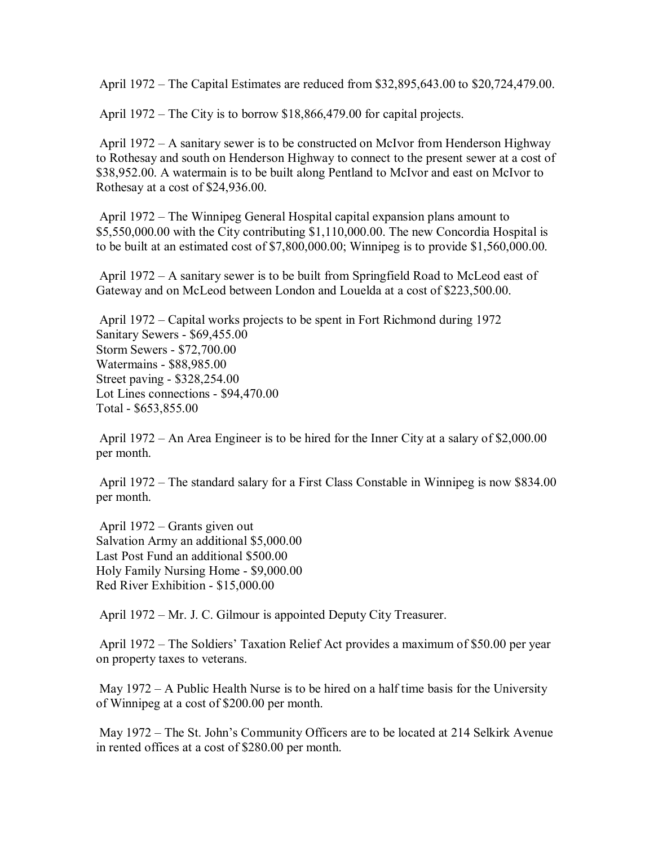April 1972 – The Capital Estimates are reduced from \$32,895,643.00 to \$20,724,479.00.

April 1972 – The City is to borrow \$18,866,479.00 for capital projects.

 April 1972 – A sanitary sewer is to be constructed on McIvor from Henderson Highway to Rothesay and south on Henderson Highway to connect to the present sewer at a cost of \$38,952.00. A watermain is to be built along Pentland to McIvor and east on McIvor to Rothesay at a cost of \$24,936.00.

 April 1972 – The Winnipeg General Hospital capital expansion plans amount to \$5,550,000.00 with the City contributing \$1,110,000.00. The new Concordia Hospital is to be built at an estimated cost of \$7,800,000.00; Winnipeg is to provide \$1,560,000.00.

 April 1972 – A sanitary sewer is to be built from Springfield Road to McLeod east of Gateway and on McLeod between London and Louelda at a cost of \$223,500.00.

 April 1972 – Capital works projects to be spent in Fort Richmond during 1972 Sanitary Sewers - \$69,455.00 Storm Sewers - \$72,700.00 Watermains - \$88,985.00 Street paving - \$328,254.00 Lot Lines connections - \$94,470.00 Total - \$653,855.00

 April 1972 – An Area Engineer is to be hired for the Inner City at a salary of \$2,000.00 per month.

 April 1972 – The standard salary for a First Class Constable in Winnipeg is now \$834.00 per month.

 April 1972 – Grants given out Salvation Army an additional \$5,000.00 Last Post Fund an additional \$500.00 Holy Family Nursing Home - \$9,000.00 Red River Exhibition - \$15,000.00

April 1972 – Mr. J. C. Gilmour is appointed Deputy City Treasurer.

 April 1972 – The Soldiers' Taxation Relief Act provides a maximum of \$50.00 per year on property taxes to veterans.

 May 1972 – A Public Health Nurse is to be hired on a half time basis for the University of Winnipeg at a cost of \$200.00 per month.

 May 1972 – The St. John's Community Officers are to be located at 214 Selkirk Avenue in rented offices at a cost of \$280.00 per month.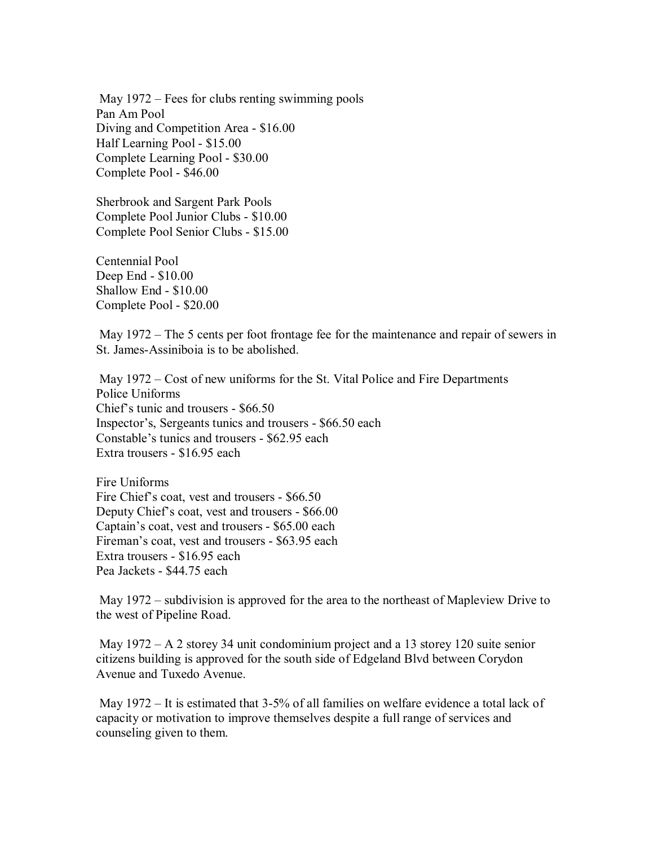May 1972 – Fees for clubs renting swimming pools Pan Am Pool Diving and Competition Area - \$16.00 Half Learning Pool - \$15.00 Complete Learning Pool - \$30.00 Complete Pool - \$46.00

Sherbrook and Sargent Park Pools Complete Pool Junior Clubs - \$10.00 Complete Pool Senior Clubs - \$15.00

Centennial Pool Deep End - \$10.00 Shallow End - \$10.00 Complete Pool - \$20.00

 May 1972 – The 5 cents per foot frontage fee for the maintenance and repair of sewers in St. James-Assiniboia is to be abolished.

 May 1972 – Cost of new uniforms for the St. Vital Police and Fire Departments Police Uniforms Chief's tunic and trousers - \$66.50 Inspector's, Sergeants tunics and trousers - \$66.50 each Constable's tunics and trousers - \$62.95 each Extra trousers - \$16.95 each

Fire Uniforms Fire Chief's coat, vest and trousers - \$66.50 Deputy Chief's coat, vest and trousers - \$66.00 Captain's coat, vest and trousers - \$65.00 each Fireman's coat, vest and trousers - \$63.95 each Extra trousers - \$16.95 each Pea Jackets - \$44.75 each

 May 1972 – subdivision is approved for the area to the northeast of Mapleview Drive to the west of Pipeline Road.

 May 1972 – A 2 storey 34 unit condominium project and a 13 storey 120 suite senior citizens building is approved for the south side of Edgeland Blvd between Corydon Avenue and Tuxedo Avenue.

 May 1972 – It is estimated that 3-5% of all families on welfare evidence a total lack of capacity or motivation to improve themselves despite a full range of services and counseling given to them.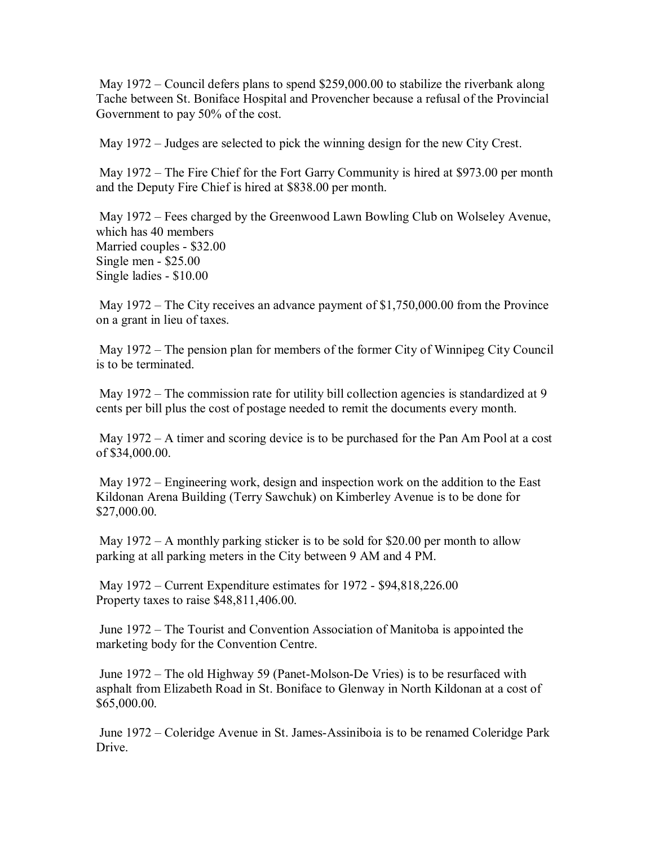May 1972 – Council defers plans to spend \$259,000.00 to stabilize the riverbank along Tache between St. Boniface Hospital and Provencher because a refusal of the Provincial Government to pay 50% of the cost.

May 1972 – Judges are selected to pick the winning design for the new City Crest.

 May 1972 – The Fire Chief for the Fort Garry Community is hired at \$973.00 per month and the Deputy Fire Chief is hired at \$838.00 per month.

 May 1972 – Fees charged by the Greenwood Lawn Bowling Club on Wolseley Avenue, which has 40 members Married couples - \$32.00 Single men - \$25.00 Single ladies - \$10.00

May 1972 – The City receives an advance payment of \$1,750,000.00 from the Province on a grant in lieu of taxes.

 May 1972 – The pension plan for members of the former City of Winnipeg City Council is to be terminated.

May 1972 – The commission rate for utility bill collection agencies is standardized at 9 cents per bill plus the cost of postage needed to remit the documents every month.

 May 1972 – A timer and scoring device is to be purchased for the Pan Am Pool at a cost of \$34,000.00.

 May 1972 – Engineering work, design and inspection work on the addition to the East Kildonan Arena Building (Terry Sawchuk) on Kimberley Avenue is to be done for \$27,000.00.

 May 1972 – A monthly parking sticker is to be sold for \$20.00 per month to allow parking at all parking meters in the City between 9 AM and 4 PM.

 May 1972 – Current Expenditure estimates for 1972 - \$94,818,226.00 Property taxes to raise \$48,811,406.00.

 June 1972 – The Tourist and Convention Association of Manitoba is appointed the marketing body for the Convention Centre.

 June 1972 – The old Highway 59 (Panet-Molson-De Vries) is to be resurfaced with asphalt from Elizabeth Road in St. Boniface to Glenway in North Kildonan at a cost of \$65,000.00.

 June 1972 – Coleridge Avenue in St. James-Assiniboia is to be renamed Coleridge Park Drive.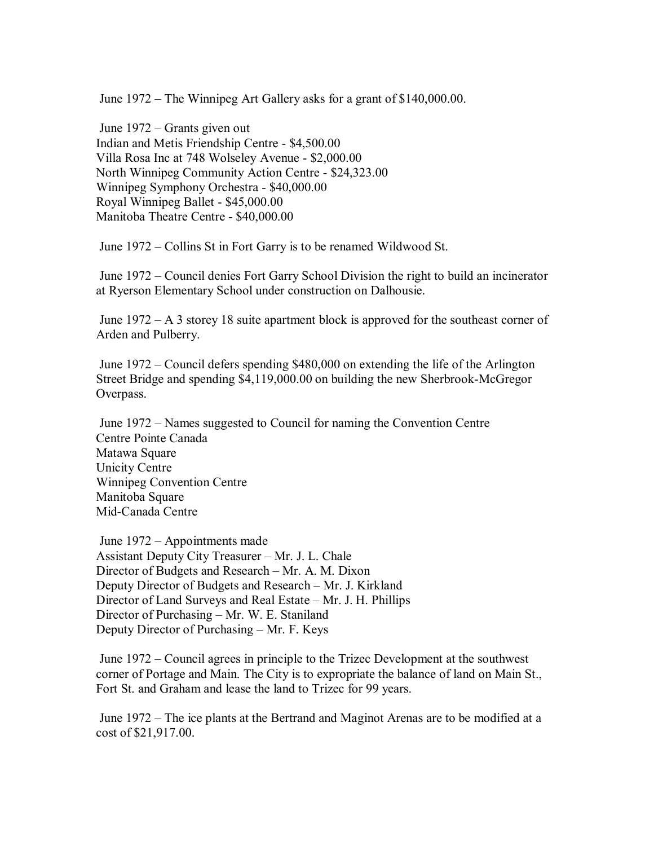June 1972 – The Winnipeg Art Gallery asks for a grant of \$140,000.00.

 June 1972 – Grants given out Indian and Metis Friendship Centre - \$4,500.00 Villa Rosa Inc at 748 Wolseley Avenue - \$2,000.00 North Winnipeg Community Action Centre - \$24,323.00 Winnipeg Symphony Orchestra - \$40,000.00 Royal Winnipeg Ballet - \$45,000.00 Manitoba Theatre Centre - \$40,000.00

June 1972 – Collins St in Fort Garry is to be renamed Wildwood St.

 June 1972 – Council denies Fort Garry School Division the right to build an incinerator at Ryerson Elementary School under construction on Dalhousie.

 June 1972 – A 3 storey 18 suite apartment block is approved for the southeast corner of Arden and Pulberry.

 June 1972 – Council defers spending \$480,000 on extending the life of the Arlington Street Bridge and spending \$4,119,000.00 on building the new Sherbrook-McGregor Overpass.

 June 1972 – Names suggested to Council for naming the Convention Centre Centre Pointe Canada Matawa Square Unicity Centre Winnipeg Convention Centre Manitoba Square Mid-Canada Centre

 June 1972 – Appointments made Assistant Deputy City Treasurer – Mr. J. L. Chale Director of Budgets and Research – Mr. A. M. Dixon Deputy Director of Budgets and Research – Mr. J. Kirkland Director of Land Surveys and Real Estate – Mr. J. H. Phillips Director of Purchasing – Mr. W. E. Staniland Deputy Director of Purchasing – Mr. F. Keys

 June 1972 – Council agrees in principle to the Trizec Development at the southwest corner of Portage and Main. The City is to expropriate the balance of land on Main St., Fort St. and Graham and lease the land to Trizec for 99 years.

 June 1972 – The ice plants at the Bertrand and Maginot Arenas are to be modified at a cost of \$21,917.00.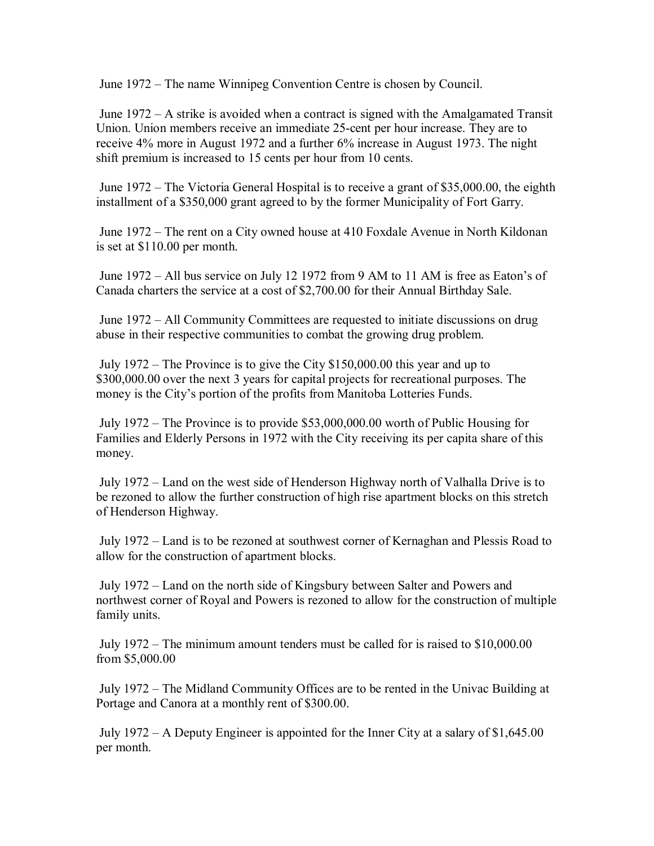June 1972 – The name Winnipeg Convention Centre is chosen by Council.

 June 1972 – A strike is avoided when a contract is signed with the Amalgamated Transit Union. Union members receive an immediate 25-cent per hour increase. They are to receive 4% more in August 1972 and a further 6% increase in August 1973. The night shift premium is increased to 15 cents per hour from 10 cents.

 June 1972 – The Victoria General Hospital is to receive a grant of \$35,000.00, the eighth installment of a \$350,000 grant agreed to by the former Municipality of Fort Garry.

 June 1972 – The rent on a City owned house at 410 Foxdale Avenue in North Kildonan is set at \$110.00 per month.

 June 1972 – All bus service on July 12 1972 from 9 AM to 11 AM is free as Eaton's of Canada charters the service at a cost of \$2,700.00 for their Annual Birthday Sale.

 June 1972 – All Community Committees are requested to initiate discussions on drug abuse in their respective communities to combat the growing drug problem.

 July 1972 – The Province is to give the City \$150,000.00 this year and up to \$300,000.00 over the next 3 years for capital projects for recreational purposes. The money is the City's portion of the profits from Manitoba Lotteries Funds.

 July 1972 – The Province is to provide \$53,000,000.00 worth of Public Housing for Families and Elderly Persons in 1972 with the City receiving its per capita share of this money.

 July 1972 – Land on the west side of Henderson Highway north of Valhalla Drive is to be rezoned to allow the further construction of high rise apartment blocks on this stretch of Henderson Highway.

 July 1972 – Land is to be rezoned at southwest corner of Kernaghan and Plessis Road to allow for the construction of apartment blocks.

 July 1972 – Land on the north side of Kingsbury between Salter and Powers and northwest corner of Royal and Powers is rezoned to allow for the construction of multiple family units.

 July 1972 – The minimum amount tenders must be called for is raised to \$10,000.00 from \$5,000.00

 July 1972 – The Midland Community Offices are to be rented in the Univac Building at Portage and Canora at a monthly rent of \$300.00.

 July 1972 – A Deputy Engineer is appointed for the Inner City at a salary of \$1,645.00 per month.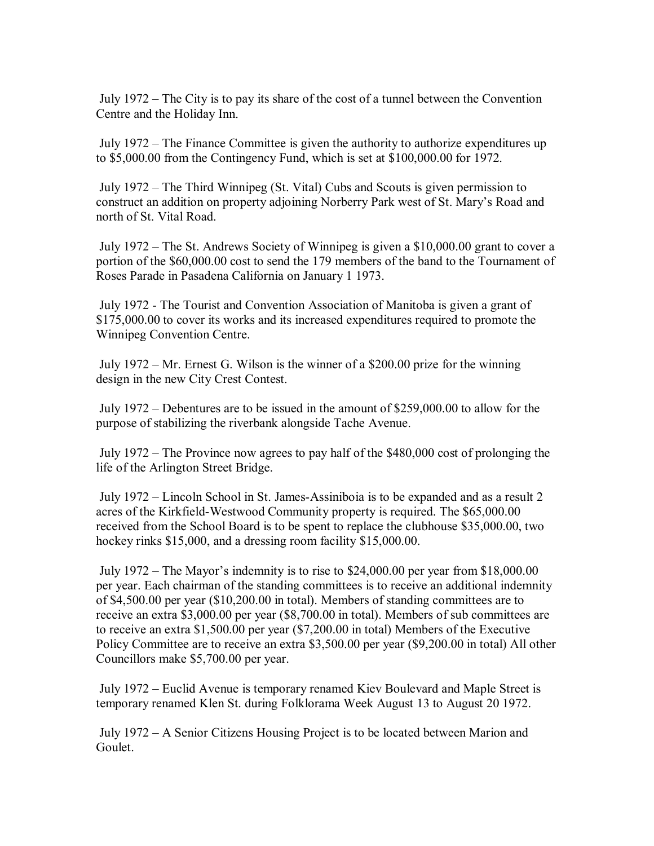July 1972 – The City is to pay its share of the cost of a tunnel between the Convention Centre and the Holiday Inn.

 July 1972 – The Finance Committee is given the authority to authorize expenditures up to \$5,000.00 from the Contingency Fund, which is set at \$100,000.00 for 1972.

 July 1972 – The Third Winnipeg (St. Vital) Cubs and Scouts is given permission to construct an addition on property adjoining Norberry Park west of St. Mary's Road and north of St. Vital Road.

 July 1972 – The St. Andrews Society of Winnipeg is given a \$10,000.00 grant to cover a portion of the \$60,000.00 cost to send the 179 members of the band to the Tournament of Roses Parade in Pasadena California on January 1 1973.

 July 1972 - The Tourist and Convention Association of Manitoba is given a grant of \$175,000.00 to cover its works and its increased expenditures required to promote the Winnipeg Convention Centre.

 July 1972 – Mr. Ernest G. Wilson is the winner of a \$200.00 prize for the winning design in the new City Crest Contest.

 July 1972 – Debentures are to be issued in the amount of \$259,000.00 to allow for the purpose of stabilizing the riverbank alongside Tache Avenue.

 July 1972 – The Province now agrees to pay half of the \$480,000 cost of prolonging the life of the Arlington Street Bridge.

 July 1972 – Lincoln School in St. James-Assiniboia is to be expanded and as a result 2 acres of the Kirkfield-Westwood Community property is required. The \$65,000.00 received from the School Board is to be spent to replace the clubhouse \$35,000.00, two hockey rinks \$15,000, and a dressing room facility \$15,000.00.

 July 1972 – The Mayor's indemnity is to rise to \$24,000.00 per year from \$18,000.00 per year. Each chairman of the standing committees is to receive an additional indemnity of \$4,500.00 per year (\$10,200.00 in total). Members of standing committees are to receive an extra \$3,000.00 per year (\$8,700.00 in total). Members of sub committees are to receive an extra \$1,500.00 per year (\$7,200.00 in total) Members of the Executive Policy Committee are to receive an extra \$3,500.00 per year (\$9,200.00 in total) All other Councillors make \$5,700.00 per year.

 July 1972 – Euclid Avenue is temporary renamed Kiev Boulevard and Maple Street is temporary renamed Klen St. during Folklorama Week August 13 to August 20 1972.

 July 1972 – A Senior Citizens Housing Project is to be located between Marion and Goulet.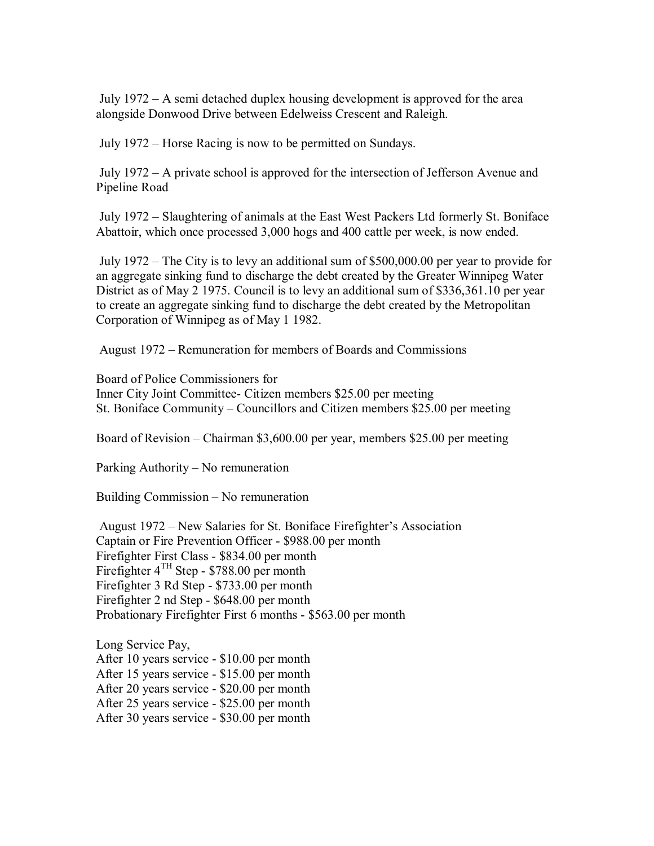July 1972 – A semi detached duplex housing development is approved for the area alongside Donwood Drive between Edelweiss Crescent and Raleigh.

July 1972 – Horse Racing is now to be permitted on Sundays.

 July 1972 – A private school is approved for the intersection of Jefferson Avenue and Pipeline Road

 July 1972 – Slaughtering of animals at the East West Packers Ltd formerly St. Boniface Abattoir, which once processed 3,000 hogs and 400 cattle per week, is now ended.

 July 1972 – The City is to levy an additional sum of \$500,000.00 per year to provide for an aggregate sinking fund to discharge the debt created by the Greater Winnipeg Water District as of May 2 1975. Council is to levy an additional sum of \$336,361.10 per year to create an aggregate sinking fund to discharge the debt created by the Metropolitan Corporation of Winnipeg as of May 1 1982.

August 1972 – Remuneration for members of Boards and Commissions

Board of Police Commissioners for Inner City Joint Committee- Citizen members \$25.00 per meeting St. Boniface Community – Councillors and Citizen members \$25.00 per meeting

Board of Revision – Chairman \$3,600.00 per year, members \$25.00 per meeting

Parking Authority – No remuneration

Building Commission – No remuneration

 August 1972 – New Salaries for St. Boniface Firefighter's Association Captain or Fire Prevention Officer - \$988.00 per month Firefighter First Class - \$834.00 per month Firefighter 4TH Step - \$788.00 per month Firefighter 3 Rd Step - \$733.00 per month Firefighter 2 nd Step - \$648.00 per month Probationary Firefighter First 6 months - \$563.00 per month

Long Service Pay, After 10 years service - \$10.00 per month After 15 years service - \$15.00 per month After 20 years service - \$20.00 per month After 25 years service - \$25.00 per month After 30 years service - \$30.00 per month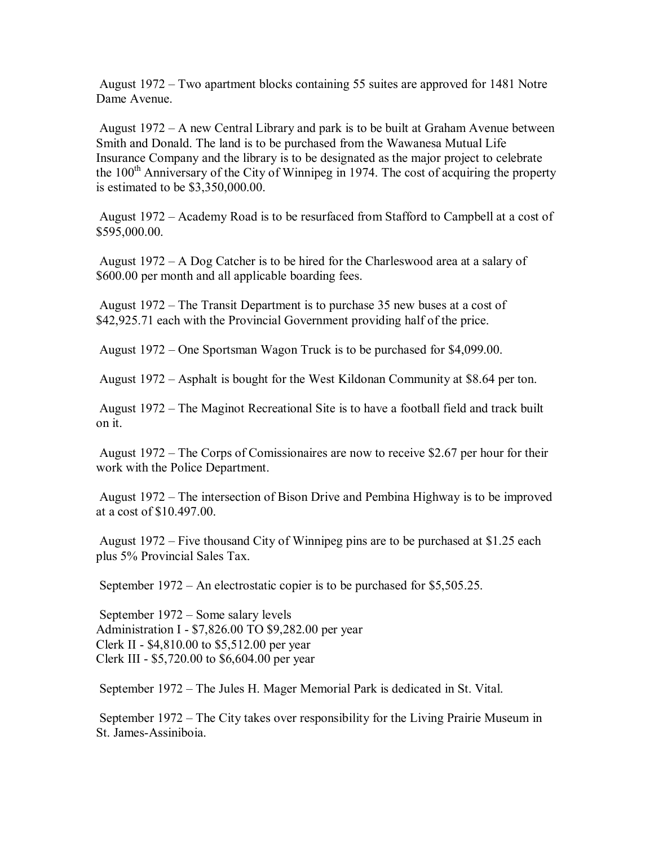August 1972 – Two apartment blocks containing 55 suites are approved for 1481 Notre Dame Avenue.

 August 1972 – A new Central Library and park is to be built at Graham Avenue between Smith and Donald. The land is to be purchased from the Wawanesa Mutual Life Insurance Company and the library is to be designated as the major project to celebrate the  $100<sup>th</sup>$  Anniversary of the City of Winnipeg in 1974. The cost of acquiring the property is estimated to be \$3,350,000.00.

 August 1972 – Academy Road is to be resurfaced from Stafford to Campbell at a cost of \$595,000.00.

 August 1972 – A Dog Catcher is to be hired for the Charleswood area at a salary of \$600.00 per month and all applicable boarding fees.

 August 1972 – The Transit Department is to purchase 35 new buses at a cost of \$42,925.71 each with the Provincial Government providing half of the price.

August 1972 – One Sportsman Wagon Truck is to be purchased for \$4,099.00.

August 1972 – Asphalt is bought for the West Kildonan Community at \$8.64 per ton.

 August 1972 – The Maginot Recreational Site is to have a football field and track built on it.

 August 1972 – The Corps of Comissionaires are now to receive \$2.67 per hour for their work with the Police Department.

 August 1972 – The intersection of Bison Drive and Pembina Highway is to be improved at a cost of \$10.497.00.

 August 1972 – Five thousand City of Winnipeg pins are to be purchased at \$1.25 each plus 5% Provincial Sales Tax.

September 1972 – An electrostatic copier is to be purchased for \$5,505.25.

 September 1972 – Some salary levels Administration I - \$7,826.00 TO \$9,282.00 per year Clerk II - \$4,810.00 to \$5,512.00 per year Clerk III - \$5,720.00 to \$6,604.00 per year

September 1972 – The Jules H. Mager Memorial Park is dedicated in St. Vital.

 September 1972 – The City takes over responsibility for the Living Prairie Museum in St. James-Assiniboia.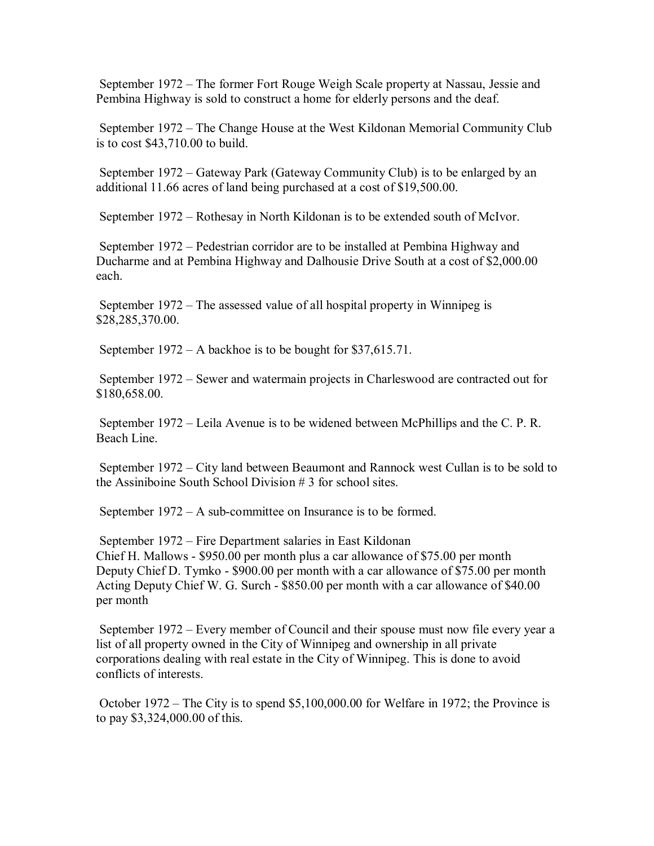September 1972 – The former Fort Rouge Weigh Scale property at Nassau, Jessie and Pembina Highway is sold to construct a home for elderly persons and the deaf.

 September 1972 – The Change House at the West Kildonan Memorial Community Club is to cost \$43,710.00 to build.

 September 1972 – Gateway Park (Gateway Community Club) is to be enlarged by an additional 11.66 acres of land being purchased at a cost of \$19,500.00.

September 1972 – Rothesay in North Kildonan is to be extended south of McIvor.

 September 1972 – Pedestrian corridor are to be installed at Pembina Highway and Ducharme and at Pembina Highway and Dalhousie Drive South at a cost of \$2,000.00 each.

 September 1972 – The assessed value of all hospital property in Winnipeg is \$28,285,370.00.

September 1972 – A backhoe is to be bought for \$37,615.71.

 September 1972 – Sewer and watermain projects in Charleswood are contracted out for \$180,658.00.

 September 1972 – Leila Avenue is to be widened between McPhillips and the C. P. R. Beach Line.

 September 1972 – City land between Beaumont and Rannock west Cullan is to be sold to the Assiniboine South School Division # 3 for school sites.

September 1972 – A sub-committee on Insurance is to be formed.

 September 1972 – Fire Department salaries in East Kildonan Chief H. Mallows - \$950.00 per month plus a car allowance of \$75.00 per month Deputy Chief D. Tymko - \$900.00 per month with a car allowance of \$75.00 per month Acting Deputy Chief W. G. Surch - \$850.00 per month with a car allowance of \$40.00 per month

 September 1972 – Every member of Council and their spouse must now file every year a list of all property owned in the City of Winnipeg and ownership in all private corporations dealing with real estate in the City of Winnipeg. This is done to avoid conflicts of interests.

 October 1972 – The City is to spend \$5,100,000.00 for Welfare in 1972; the Province is to pay \$3,324,000.00 of this.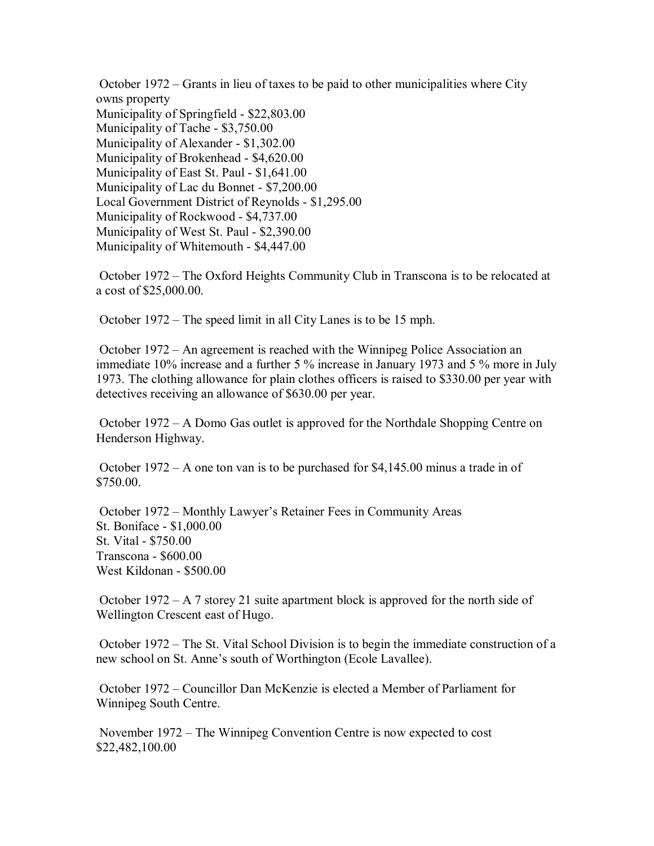October 1972 – Grants in lieu of taxes to be paid to other municipalities where City owns property Municipality of Springfield - \$22,803.00 Municipality of Tache - \$3,750.00 Municipality of Alexander - \$1,302.00 Municipality of Brokenhead - \$4,620.00 Municipality of East St. Paul - \$1,641.00 Municipality of Lac du Bonnet - \$7,200.00 Local Government District of Reynolds - \$1,295.00 Municipality of Rockwood - \$4,737.00 Municipality of West St. Paul - \$2,390.00 Municipality of Whitemouth - \$4,447.00

 October 1972 – The Oxford Heights Community Club in Transcona is to be relocated at a cost of \$25,000.00.

October 1972 – The speed limit in all City Lanes is to be 15 mph.

 October 1972 – An agreement is reached with the Winnipeg Police Association an immediate 10% increase and a further 5 % increase in January 1973 and 5 % more in July 1973. The clothing allowance for plain clothes officers is raised to \$330.00 per year with detectives receiving an allowance of \$630.00 per year.

 October 1972 – A Domo Gas outlet is approved for the Northdale Shopping Centre on Henderson Highway.

 October 1972 – A one ton van is to be purchased for \$4,145.00 minus a trade in of \$750.00.

 October 1972 – Monthly Lawyer's Retainer Fees in Community Areas St. Boniface - \$1,000.00 St. Vital - \$750.00 Transcona - \$600.00 West Kildonan - \$500.00

 October 1972 – A 7 storey 21 suite apartment block is approved for the north side of Wellington Crescent east of Hugo.

 October 1972 – The St. Vital School Division is to begin the immediate construction of a new school on St. Anne's south of Worthington (Ecole Lavallee).

 October 1972 – Councillor Dan McKenzie is elected a Member of Parliament for Winnipeg South Centre.

 November 1972 – The Winnipeg Convention Centre is now expected to cost \$22,482,100.00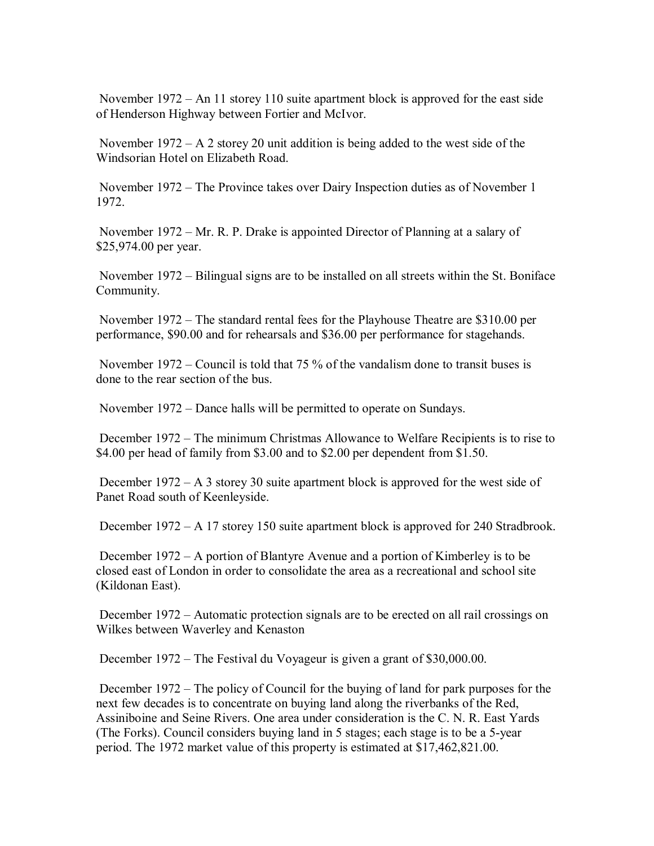November 1972 – An 11 storey 110 suite apartment block is approved for the east side of Henderson Highway between Fortier and McIvor.

November  $1972 - A 2$  storey 20 unit addition is being added to the west side of the Windsorian Hotel on Elizabeth Road.

 November 1972 – The Province takes over Dairy Inspection duties as of November 1 1972.

 November 1972 – Mr. R. P. Drake is appointed Director of Planning at a salary of \$25,974.00 per year.

 November 1972 – Bilingual signs are to be installed on all streets within the St. Boniface Community.

 November 1972 – The standard rental fees for the Playhouse Theatre are \$310.00 per performance, \$90.00 and for rehearsals and \$36.00 per performance for stagehands.

 November 1972 – Council is told that 75 % of the vandalism done to transit buses is done to the rear section of the bus.

November 1972 – Dance halls will be permitted to operate on Sundays.

 December 1972 – The minimum Christmas Allowance to Welfare Recipients is to rise to \$4.00 per head of family from \$3.00 and to \$2.00 per dependent from \$1.50.

 December 1972 – A 3 storey 30 suite apartment block is approved for the west side of Panet Road south of Keenleyside.

December 1972 – A 17 storey 150 suite apartment block is approved for 240 Stradbrook.

 December 1972 – A portion of Blantyre Avenue and a portion of Kimberley is to be closed east of London in order to consolidate the area as a recreational and school site (Kildonan East).

 December 1972 – Automatic protection signals are to be erected on all rail crossings on Wilkes between Waverley and Kenaston

December 1972 – The Festival du Voyageur is given a grant of \$30,000.00.

 December 1972 – The policy of Council for the buying of land for park purposes for the next few decades is to concentrate on buying land along the riverbanks of the Red, Assiniboine and Seine Rivers. One area under consideration is the C. N. R. East Yards (The Forks). Council considers buying land in 5 stages; each stage is to be a 5-year period. The 1972 market value of this property is estimated at \$17,462,821.00.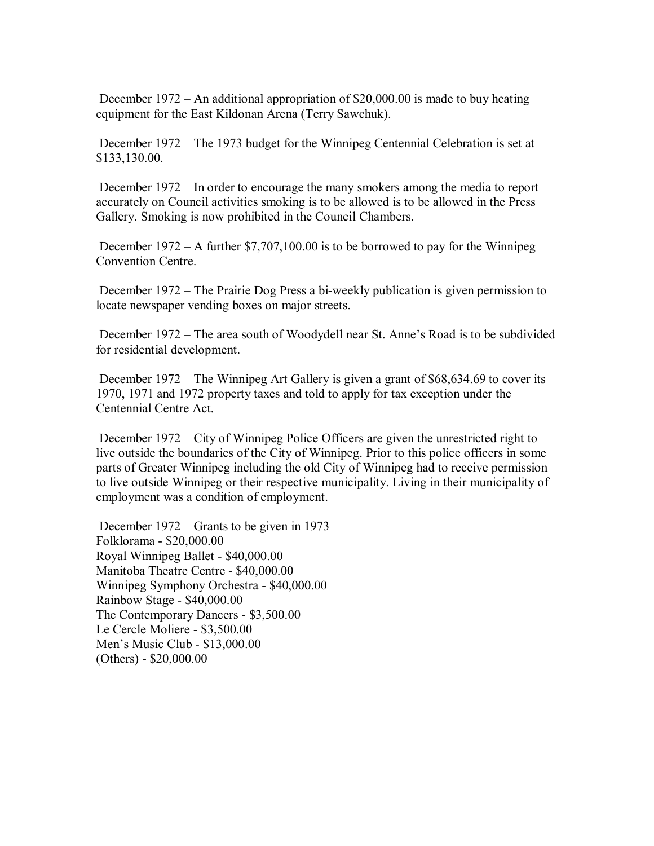December 1972 – An additional appropriation of \$20,000.00 is made to buy heating equipment for the East Kildonan Arena (Terry Sawchuk).

 December 1972 – The 1973 budget for the Winnipeg Centennial Celebration is set at \$133,130.00.

 December 1972 – In order to encourage the many smokers among the media to report accurately on Council activities smoking is to be allowed is to be allowed in the Press Gallery. Smoking is now prohibited in the Council Chambers.

 December 1972 – A further \$7,707,100.00 is to be borrowed to pay for the Winnipeg Convention Centre.

 December 1972 – The Prairie Dog Press a bi-weekly publication is given permission to locate newspaper vending boxes on major streets.

 December 1972 – The area south of Woodydell near St. Anne's Road is to be subdivided for residential development.

 December 1972 – The Winnipeg Art Gallery is given a grant of \$68,634.69 to cover its 1970, 1971 and 1972 property taxes and told to apply for tax exception under the Centennial Centre Act.

 December 1972 – City of Winnipeg Police Officers are given the unrestricted right to live outside the boundaries of the City of Winnipeg. Prior to this police officers in some parts of Greater Winnipeg including the old City of Winnipeg had to receive permission to live outside Winnipeg or their respective municipality. Living in their municipality of employment was a condition of employment.

 December 1972 – Grants to be given in 1973 Folklorama - \$20,000.00 Royal Winnipeg Ballet - \$40,000.00 Manitoba Theatre Centre - \$40,000.00 Winnipeg Symphony Orchestra - \$40,000.00 Rainbow Stage - \$40,000.00 The Contemporary Dancers - \$3,500.00 Le Cercle Moliere - \$3,500.00 Men's Music Club - \$13,000.00 (Others) - \$20,000.00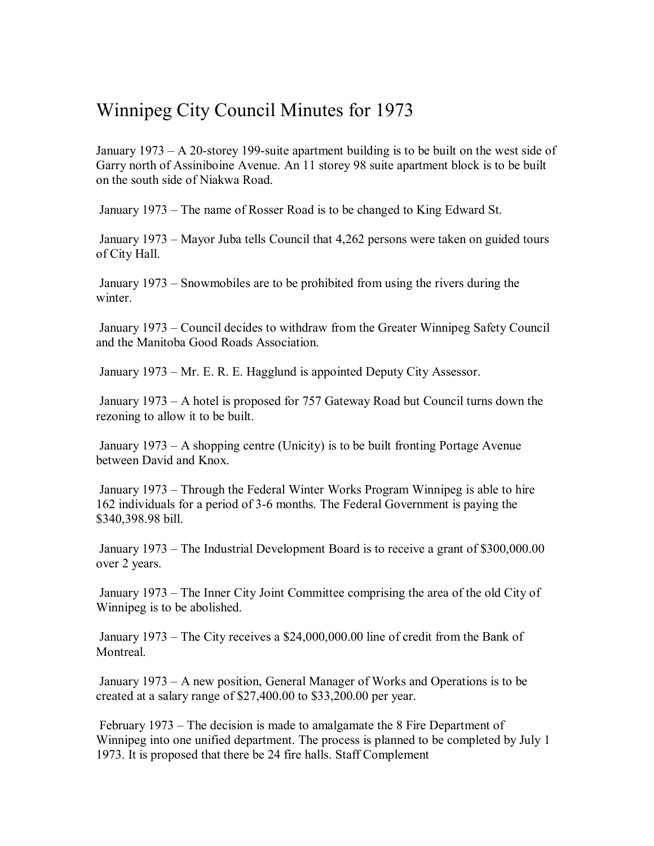## Winnipeg City Council Minutes for 1973

January 1973 – A 20-storey 199-suite apartment building is to be built on the west side of Garry north of Assiniboine Avenue. An 11 storey 98 suite apartment block is to be built on the south side of Niakwa Road.

January 1973 – The name of Rosser Road is to be changed to King Edward St.

 January 1973 – Mayor Juba tells Council that 4,262 persons were taken on guided tours of City Hall.

 January 1973 – Snowmobiles are to be prohibited from using the rivers during the winter.

 January 1973 – Council decides to withdraw from the Greater Winnipeg Safety Council and the Manitoba Good Roads Association.

January 1973 – Mr. E. R. E. Hagglund is appointed Deputy City Assessor.

 January 1973 – A hotel is proposed for 757 Gateway Road but Council turns down the rezoning to allow it to be built.

 January 1973 – A shopping centre (Unicity) is to be built fronting Portage Avenue between David and Knox.

 January 1973 – Through the Federal Winter Works Program Winnipeg is able to hire 162 individuals for a period of 3-6 months. The Federal Government is paying the \$340,398.98 bill.

 January 1973 – The Industrial Development Board is to receive a grant of \$300,000.00 over 2 years.

 January 1973 – The Inner City Joint Committee comprising the area of the old City of Winnipeg is to be abolished.

 January 1973 – The City receives a \$24,000,000.00 line of credit from the Bank of **Montreal** 

 January 1973 – A new position, General Manager of Works and Operations is to be created at a salary range of \$27,400.00 to \$33,200.00 per year.

 February 1973 – The decision is made to amalgamate the 8 Fire Department of Winnipeg into one unified department. The process is planned to be completed by July 1 1973. It is proposed that there be 24 fire halls. Staff Complement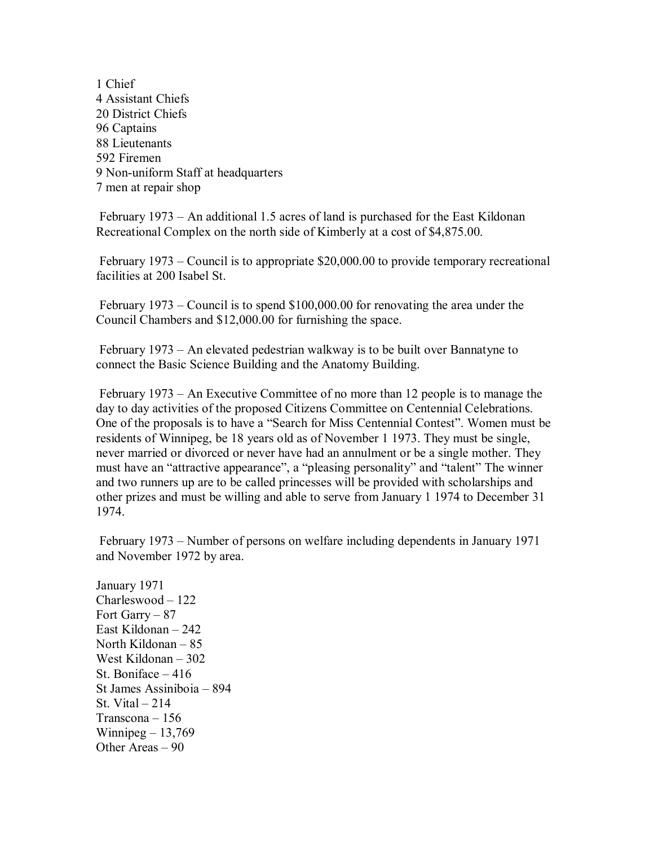1 Chief 4 Assistant Chiefs 20 District Chiefs 96 Captains 88 Lieutenants 592 Firemen 9 Non-uniform Staff at headquarters 7 men at repair shop

 February 1973 – An additional 1.5 acres of land is purchased for the East Kildonan Recreational Complex on the north side of Kimberly at a cost of \$4,875.00.

 February 1973 – Council is to appropriate \$20,000.00 to provide temporary recreational facilities at 200 Isabel St.

 February 1973 – Council is to spend \$100,000.00 for renovating the area under the Council Chambers and \$12,000.00 for furnishing the space.

 February 1973 – An elevated pedestrian walkway is to be built over Bannatyne to connect the Basic Science Building and the Anatomy Building.

 February 1973 – An Executive Committee of no more than 12 people is to manage the day to day activities of the proposed Citizens Committee on Centennial Celebrations. One of the proposals is to have a "Search for Miss Centennial Contest". Women must be residents of Winnipeg, be 18 years old as of November 1 1973. They must be single, never married or divorced or never have had an annulment or be a single mother. They must have an "attractive appearance", a "pleasing personality" and "talent" The winner and two runners up are to be called princesses will be provided with scholarships and other prizes and must be willing and able to serve from January 1 1974 to December 31 1974.

 February 1973 – Number of persons on welfare including dependents in January 1971 and November 1972 by area.

January 1971 Charleswood – 122 Fort Garry – 87 East Kildonan – 242 North Kildonan – 85 West Kildonan – 302 St. Boniface – 416 St James Assiniboia – 894 St. Vital  $-214$ Transcona – 156 Winnipeg  $-13,769$ Other Areas – 90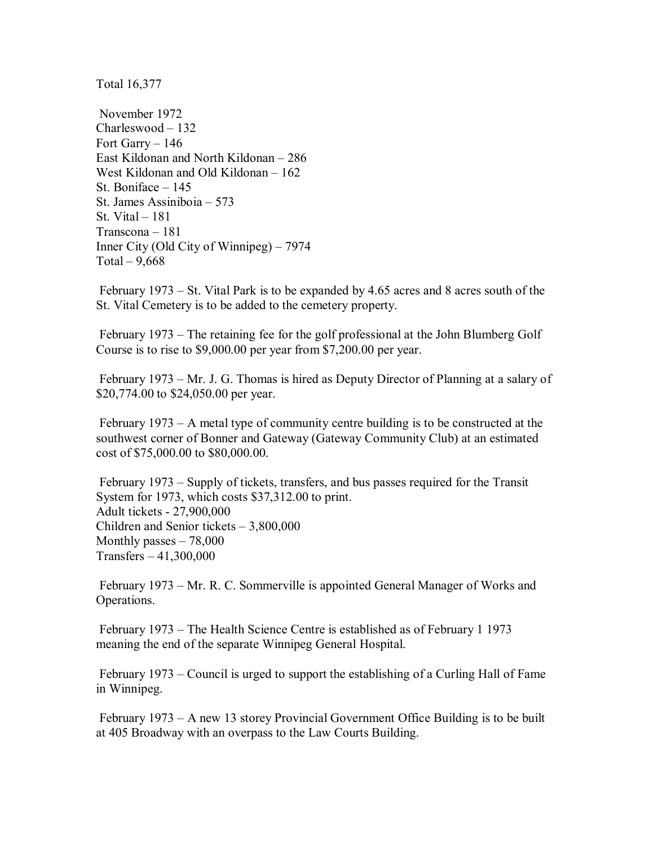Total 16,377

 November 1972 Charleswood – 132 Fort Garry – 146 East Kildonan and North Kildonan – 286 West Kildonan and Old Kildonan – 162 St. Boniface – 145 St. James Assiniboia – 573 St. Vital – 181 Transcona – 181 Inner City (Old City of Winnipeg) – 7974 Total  $-9,668$ 

 February 1973 – St. Vital Park is to be expanded by 4.65 acres and 8 acres south of the St. Vital Cemetery is to be added to the cemetery property.

 February 1973 – The retaining fee for the golf professional at the John Blumberg Golf Course is to rise to \$9,000.00 per year from \$7,200.00 per year.

 February 1973 – Mr. J. G. Thomas is hired as Deputy Director of Planning at a salary of \$20,774.00 to \$24,050.00 per year.

 February 1973 – A metal type of community centre building is to be constructed at the southwest corner of Bonner and Gateway (Gateway Community Club) at an estimated cost of \$75,000.00 to \$80,000.00.

 February 1973 – Supply of tickets, transfers, and bus passes required for the Transit System for 1973, which costs \$37,312.00 to print. Adult tickets - 27,900,000 Children and Senior tickets – 3,800,000 Monthly passes – 78,000 Transfers – 41,300,000

 February 1973 – Mr. R. C. Sommerville is appointed General Manager of Works and Operations.

 February 1973 – The Health Science Centre is established as of February 1 1973 meaning the end of the separate Winnipeg General Hospital.

 February 1973 – Council is urged to support the establishing of a Curling Hall of Fame in Winnipeg.

 February 1973 – A new 13 storey Provincial Government Office Building is to be built at 405 Broadway with an overpass to the Law Courts Building.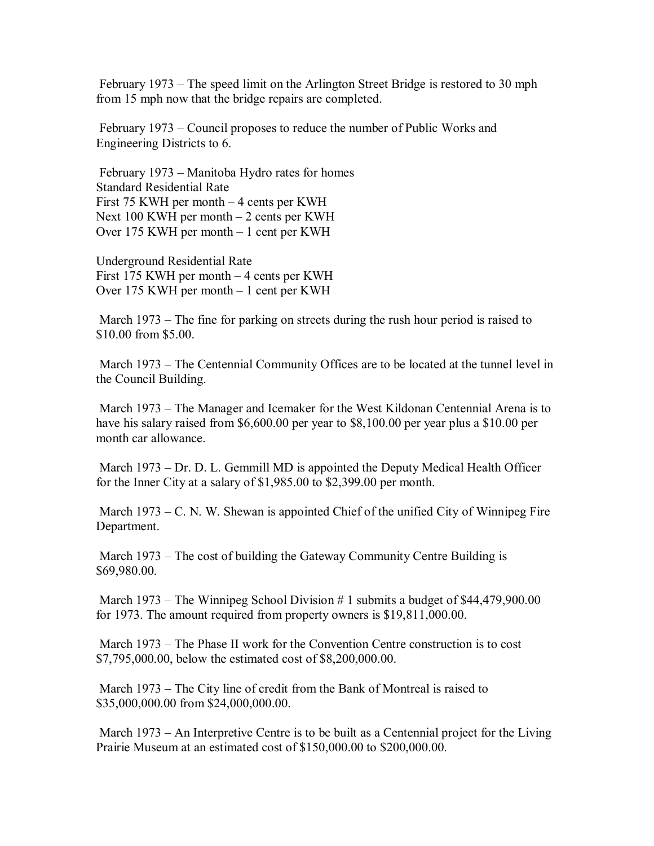February 1973 – The speed limit on the Arlington Street Bridge is restored to 30 mph from 15 mph now that the bridge repairs are completed.

 February 1973 – Council proposes to reduce the number of Public Works and Engineering Districts to 6.

 February 1973 – Manitoba Hydro rates for homes Standard Residential Rate First 75 KWH per month – 4 cents per KWH Next 100 KWH per month – 2 cents per KWH Over 175 KWH per month – 1 cent per KWH

Underground Residential Rate First 175 KWH per month – 4 cents per KWH Over 175 KWH per month – 1 cent per KWH

 March 1973 – The fine for parking on streets during the rush hour period is raised to \$10.00 from \$5.00.

 March 1973 – The Centennial Community Offices are to be located at the tunnel level in the Council Building.

 March 1973 – The Manager and Icemaker for the West Kildonan Centennial Arena is to have his salary raised from \$6,600.00 per year to \$8,100.00 per year plus a \$10.00 per month car allowance.

 March 1973 – Dr. D. L. Gemmill MD is appointed the Deputy Medical Health Officer for the Inner City at a salary of \$1,985.00 to \$2,399.00 per month.

 March 1973 – C. N. W. Shewan is appointed Chief of the unified City of Winnipeg Fire Department.

 March 1973 – The cost of building the Gateway Community Centre Building is \$69,980.00.

 March 1973 – The Winnipeg School Division # 1 submits a budget of \$44,479,900.00 for 1973. The amount required from property owners is \$19,811,000.00.

 March 1973 – The Phase II work for the Convention Centre construction is to cost \$7,795,000.00, below the estimated cost of \$8,200,000.00.

 March 1973 – The City line of credit from the Bank of Montreal is raised to \$35,000,000.00 from \$24,000,000.00.

 March 1973 – An Interpretive Centre is to be built as a Centennial project for the Living Prairie Museum at an estimated cost of \$150,000.00 to \$200,000.00.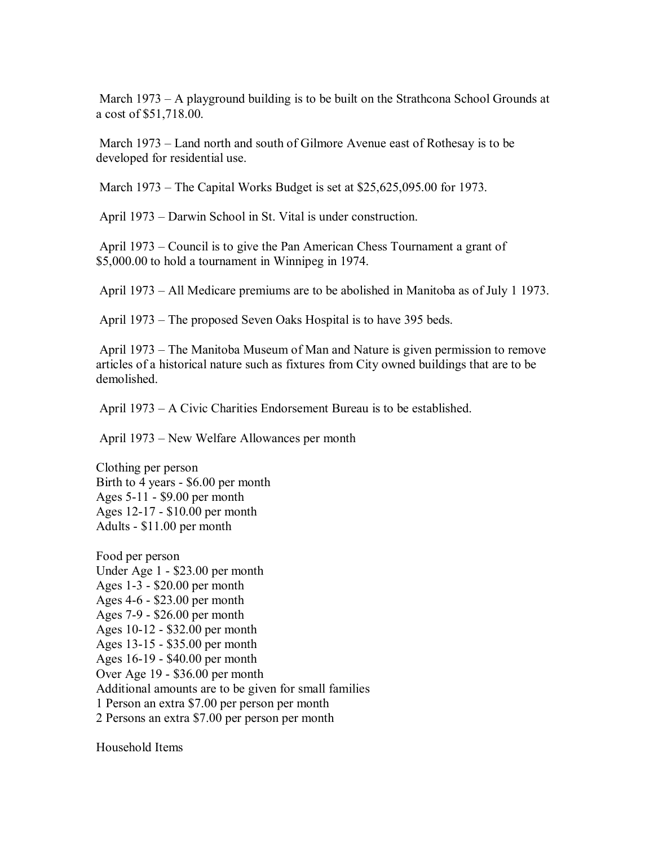March 1973 – A playground building is to be built on the Strathcona School Grounds at a cost of \$51,718.00.

 March 1973 – Land north and south of Gilmore Avenue east of Rothesay is to be developed for residential use.

March 1973 – The Capital Works Budget is set at \$25,625,095.00 for 1973.

April 1973 – Darwin School in St. Vital is under construction.

 April 1973 – Council is to give the Pan American Chess Tournament a grant of \$5,000.00 to hold a tournament in Winnipeg in 1974.

April 1973 – All Medicare premiums are to be abolished in Manitoba as of July 1 1973.

April 1973 – The proposed Seven Oaks Hospital is to have 395 beds.

 April 1973 – The Manitoba Museum of Man and Nature is given permission to remove articles of a historical nature such as fixtures from City owned buildings that are to be demolished.

April 1973 – A Civic Charities Endorsement Bureau is to be established.

April 1973 – New Welfare Allowances per month

Clothing per person Birth to 4 years - \$6.00 per month Ages 5-11 - \$9.00 per month Ages 12-17 - \$10.00 per month Adults - \$11.00 per month

Food per person Under Age 1 - \$23.00 per month Ages 1-3 - \$20.00 per month Ages 4-6 - \$23.00 per month Ages 7-9 - \$26.00 per month Ages 10-12 - \$32.00 per month Ages 13-15 - \$35.00 per month Ages 16-19 - \$40.00 per month Over Age 19 - \$36.00 per month Additional amounts are to be given for small families 1 Person an extra \$7.00 per person per month 2 Persons an extra \$7.00 per person per month

Household Items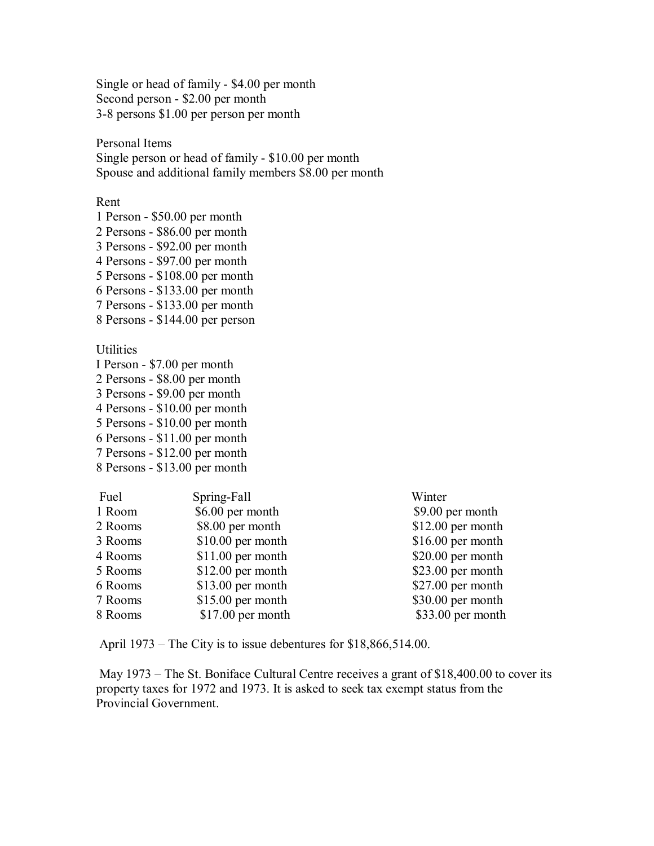Single or head of family - \$4.00 per month Second person - \$2.00 per month 3-8 persons \$1.00 per person per month

Personal Items Single person or head of family - \$10.00 per month Spouse and additional family members \$8.00 per month

Rent

1 Person - \$50.00 per month 2 Persons - \$86.00 per month 3 Persons - \$92.00 per month 4 Persons - \$97.00 per month 5 Persons - \$108.00 per month 6 Persons - \$133.00 per month 7 Persons - \$133.00 per month

8 Persons - \$144.00 per person

**Utilities** 

- I Person \$7.00 per month
- 2 Persons \$8.00 per month
- 3 Persons \$9.00 per month
- 4 Persons \$10.00 per month
- 5 Persons \$10.00 per month
- 6 Persons \$11.00 per month
- 7 Persons \$12.00 per month
- 8 Persons \$13.00 per month

| Fuel    | Spring-Fall        | Winter             |
|---------|--------------------|--------------------|
| 1 Room  | \$6.00 per month   | \$9.00 per month   |
| 2 Rooms | \$8.00 per month   | $$12.00$ per month |
| 3 Rooms | $$10.00$ per month | $$16.00$ per month |
| 4 Rooms | $$11.00$ per month | $$20.00$ per month |
| 5 Rooms | $$12.00$ per month | $$23.00$ per month |
| 6 Rooms | $$13.00$ per month | $$27.00$ per month |
| 7 Rooms | $$15.00$ per month | $$30.00$ per month |
| 8 Rooms | $$17.00$ per month | \$33.00 per month  |

April 1973 – The City is to issue debentures for \$18,866,514.00.

 May 1973 – The St. Boniface Cultural Centre receives a grant of \$18,400.00 to cover its property taxes for 1972 and 1973. It is asked to seek tax exempt status from the Provincial Government.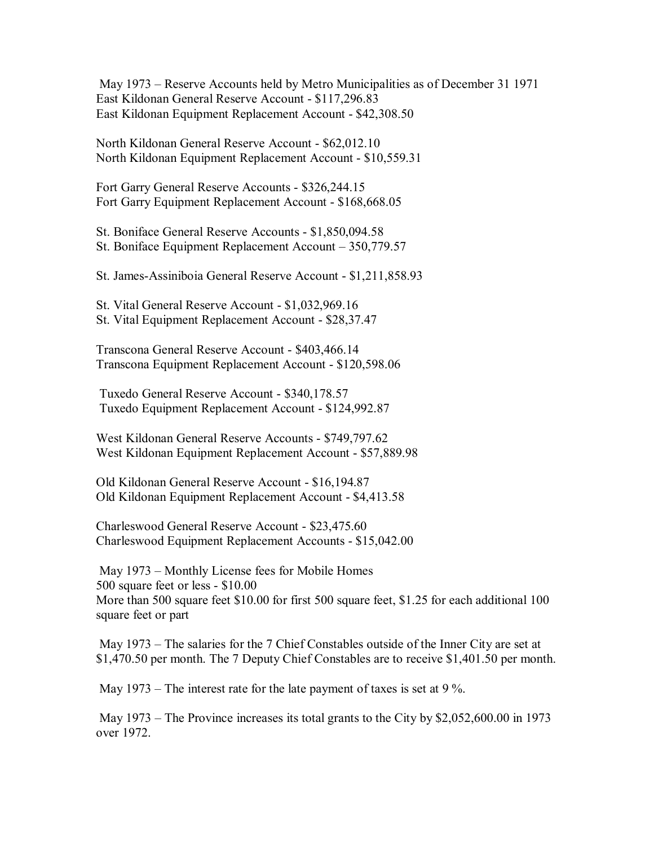May 1973 – Reserve Accounts held by Metro Municipalities as of December 31 1971 East Kildonan General Reserve Account - \$117,296.83 East Kildonan Equipment Replacement Account - \$42,308.50

North Kildonan General Reserve Account - \$62,012.10 North Kildonan Equipment Replacement Account - \$10,559.31

Fort Garry General Reserve Accounts - \$326,244.15 Fort Garry Equipment Replacement Account - \$168,668.05

St. Boniface General Reserve Accounts - \$1,850,094.58 St. Boniface Equipment Replacement Account – 350,779.57

St. James-Assiniboia General Reserve Account - \$1,211,858.93

St. Vital General Reserve Account - \$1,032,969.16 St. Vital Equipment Replacement Account - \$28,37.47

Transcona General Reserve Account - \$403,466.14 Transcona Equipment Replacement Account - \$120,598.06

 Tuxedo General Reserve Account - \$340,178.57 Tuxedo Equipment Replacement Account - \$124,992.87

West Kildonan General Reserve Accounts - \$749,797.62 West Kildonan Equipment Replacement Account - \$57,889.98

Old Kildonan General Reserve Account - \$16,194.87 Old Kildonan Equipment Replacement Account - \$4,413.58

Charleswood General Reserve Account - \$23,475.60 Charleswood Equipment Replacement Accounts - \$15,042.00

 May 1973 – Monthly License fees for Mobile Homes 500 square feet or less - \$10.00 More than 500 square feet \$10.00 for first 500 square feet, \$1.25 for each additional 100 square feet or part

May 1973 – The salaries for the 7 Chief Constables outside of the Inner City are set at \$1,470.50 per month. The 7 Deputy Chief Constables are to receive \$1,401.50 per month.

May 1973 – The interest rate for the late payment of taxes is set at 9 %.

 May 1973 – The Province increases its total grants to the City by \$2,052,600.00 in 1973 over 1972.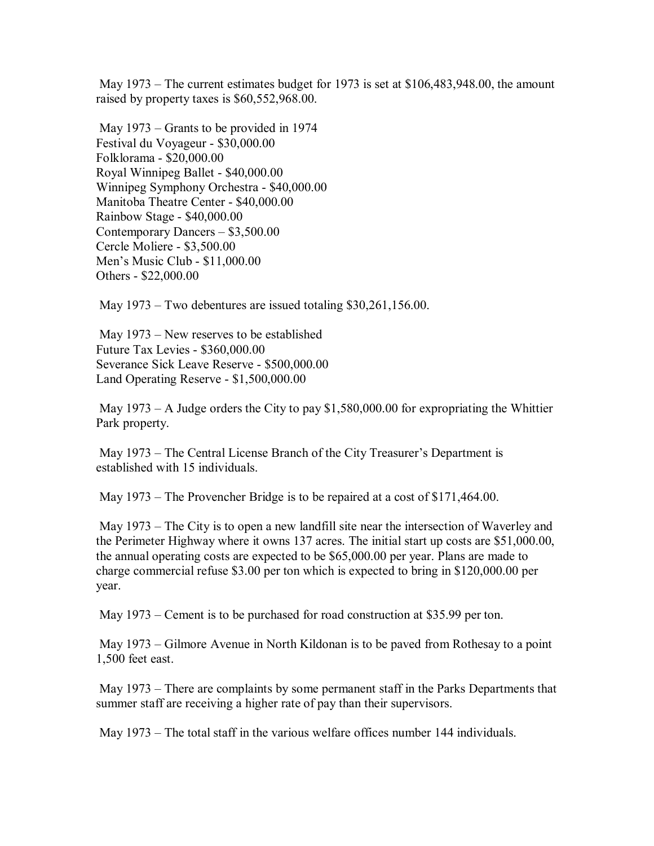May 1973 – The current estimates budget for 1973 is set at \$106,483,948.00, the amount raised by property taxes is \$60,552,968.00.

 May 1973 – Grants to be provided in 1974 Festival du Voyageur - \$30,000.00 Folklorama - \$20,000.00 Royal Winnipeg Ballet - \$40,000.00 Winnipeg Symphony Orchestra - \$40,000.00 Manitoba Theatre Center - \$40,000.00 Rainbow Stage - \$40,000.00 Contemporary Dancers – \$3,500.00 Cercle Moliere - \$3,500.00 Men's Music Club - \$11,000.00 Others - \$22,000.00

May 1973 – Two debentures are issued totaling \$30,261,156.00.

 May 1973 – New reserves to be established Future Tax Levies - \$360,000.00 Severance Sick Leave Reserve - \$500,000.00 Land Operating Reserve - \$1,500,000.00

May  $1973 - A$  Judge orders the City to pay \$1,580,000.00 for expropriating the Whittier Park property.

 May 1973 – The Central License Branch of the City Treasurer's Department is established with 15 individuals.

May 1973 – The Provencher Bridge is to be repaired at a cost of \$171,464.00.

 May 1973 – The City is to open a new landfill site near the intersection of Waverley and the Perimeter Highway where it owns 137 acres. The initial start up costs are \$51,000.00, the annual operating costs are expected to be \$65,000.00 per year. Plans are made to charge commercial refuse \$3.00 per ton which is expected to bring in \$120,000.00 per year.

May 1973 – Cement is to be purchased for road construction at \$35.99 per ton.

 May 1973 – Gilmore Avenue in North Kildonan is to be paved from Rothesay to a point 1,500 feet east.

 May 1973 – There are complaints by some permanent staff in the Parks Departments that summer staff are receiving a higher rate of pay than their supervisors.

May 1973 – The total staff in the various welfare offices number 144 individuals.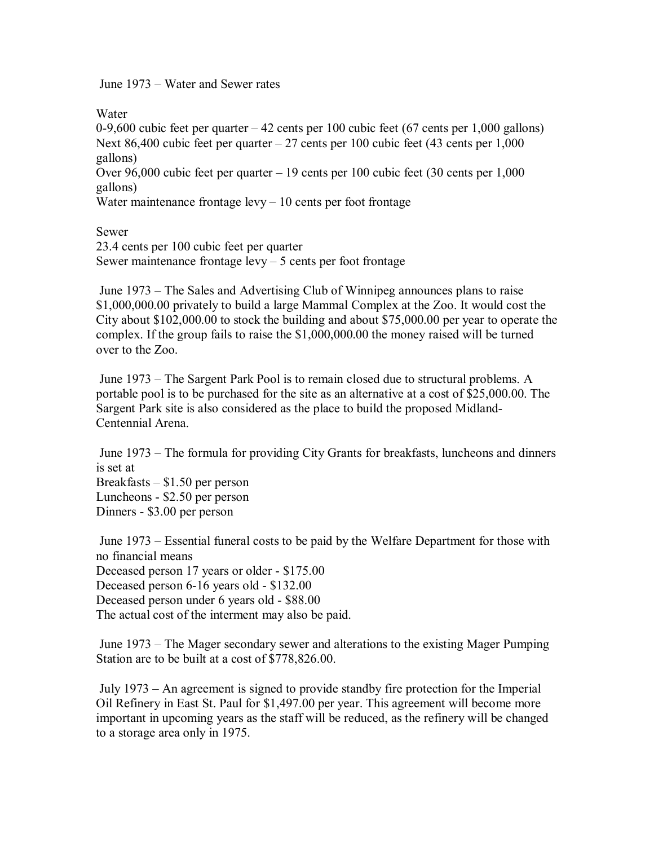June 1973 – Water and Sewer rates

Water

0-9,600 cubic feet per quarter – 42 cents per 100 cubic feet (67 cents per 1,000 gallons) Next 86,400 cubic feet per quarter  $-27$  cents per 100 cubic feet (43 cents per 1,000 gallons) Over 96,000 cubic feet per quarter – 19 cents per 100 cubic feet (30 cents per 1,000

gallons)

Water maintenance frontage  $levy - 10$  cents per foot frontage

Sewer

23.4 cents per 100 cubic feet per quarter Sewer maintenance frontage  $levy - 5$  cents per foot frontage

 June 1973 – The Sales and Advertising Club of Winnipeg announces plans to raise \$1,000,000.00 privately to build a large Mammal Complex at the Zoo. It would cost the City about \$102,000.00 to stock the building and about \$75,000.00 per year to operate the complex. If the group fails to raise the \$1,000,000.00 the money raised will be turned over to the Zoo.

 June 1973 – The Sargent Park Pool is to remain closed due to structural problems. A portable pool is to be purchased for the site as an alternative at a cost of \$25,000.00. The Sargent Park site is also considered as the place to build the proposed Midland-Centennial Arena.

 June 1973 – The formula for providing City Grants for breakfasts, luncheons and dinners is set at Breakfasts – \$1.50 per person Luncheons - \$2.50 per person Dinners - \$3.00 per person

 June 1973 – Essential funeral costs to be paid by the Welfare Department for those with no financial means Deceased person 17 years or older - \$175.00 Deceased person 6-16 years old - \$132.00 Deceased person under 6 years old - \$88.00 The actual cost of the interment may also be paid.

 June 1973 – The Mager secondary sewer and alterations to the existing Mager Pumping Station are to be built at a cost of \$778,826.00.

 July 1973 – An agreement is signed to provide standby fire protection for the Imperial Oil Refinery in East St. Paul for \$1,497.00 per year. This agreement will become more important in upcoming years as the staff will be reduced, as the refinery will be changed to a storage area only in 1975.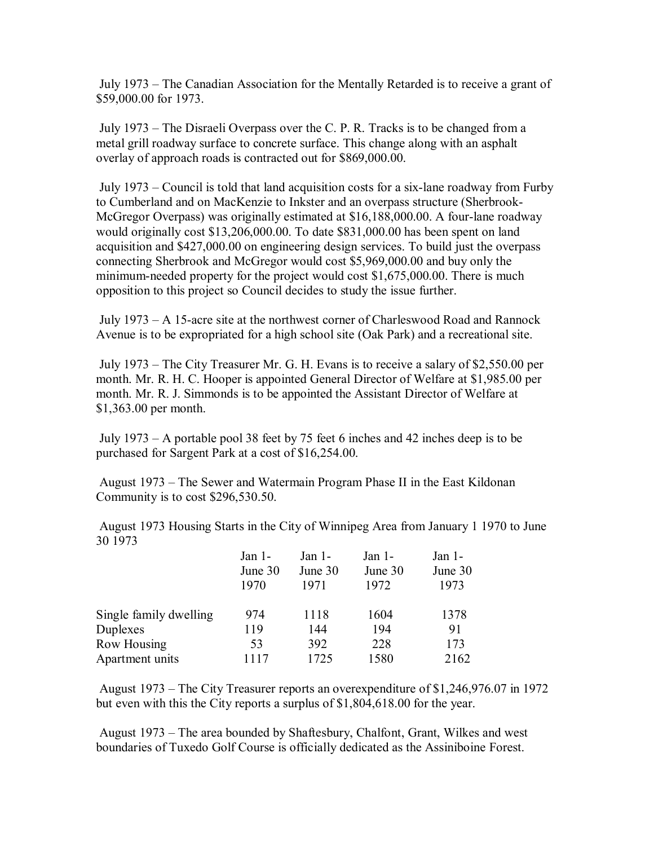July 1973 – The Canadian Association for the Mentally Retarded is to receive a grant of \$59,000.00 for 1973.

 July 1973 – The Disraeli Overpass over the C. P. R. Tracks is to be changed from a metal grill roadway surface to concrete surface. This change along with an asphalt overlay of approach roads is contracted out for \$869,000.00.

 July 1973 – Council is told that land acquisition costs for a six-lane roadway from Furby to Cumberland and on MacKenzie to Inkster and an overpass structure (Sherbrook-McGregor Overpass) was originally estimated at \$16,188,000.00. A four-lane roadway would originally cost \$13,206,000.00. To date \$831,000.00 has been spent on land acquisition and \$427,000.00 on engineering design services. To build just the overpass connecting Sherbrook and McGregor would cost \$5,969,000.00 and buy only the minimum-needed property for the project would cost \$1,675,000.00. There is much opposition to this project so Council decides to study the issue further.

 July 1973 – A 15-acre site at the northwest corner of Charleswood Road and Rannock Avenue is to be expropriated for a high school site (Oak Park) and a recreational site.

 July 1973 – The City Treasurer Mr. G. H. Evans is to receive a salary of \$2,550.00 per month. Mr. R. H. C. Hooper is appointed General Director of Welfare at \$1,985.00 per month. Mr. R. J. Simmonds is to be appointed the Assistant Director of Welfare at \$1,363.00 per month.

 July 1973 – A portable pool 38 feet by 75 feet 6 inches and 42 inches deep is to be purchased for Sargent Park at a cost of \$16,254.00.

 August 1973 – The Sewer and Watermain Program Phase II in the East Kildonan Community is to cost \$296,530.50.

 August 1973 Housing Starts in the City of Winnipeg Area from January 1 1970 to June 30 1973

|                        | Jan $1-$ | Jan $1-$ | Jan $1-$ | Jan $1-$ |
|------------------------|----------|----------|----------|----------|
|                        | June 30  | June 30  | June 30  | June 30  |
|                        | 1970     | 1971     | 1972     | 1973     |
| Single family dwelling | 974      | 1118     | 1604     | 1378     |
| Duplexes               | 119      | 144      | 194      | 91       |
| Row Housing            | 53       | 392      | 228      | 173      |
| Apartment units        | 1117     | 1725     | 1580     | 2162     |

 August 1973 – The City Treasurer reports an overexpenditure of \$1,246,976.07 in 1972 but even with this the City reports a surplus of \$1,804,618.00 for the year.

 August 1973 – The area bounded by Shaftesbury, Chalfont, Grant, Wilkes and west boundaries of Tuxedo Golf Course is officially dedicated as the Assiniboine Forest.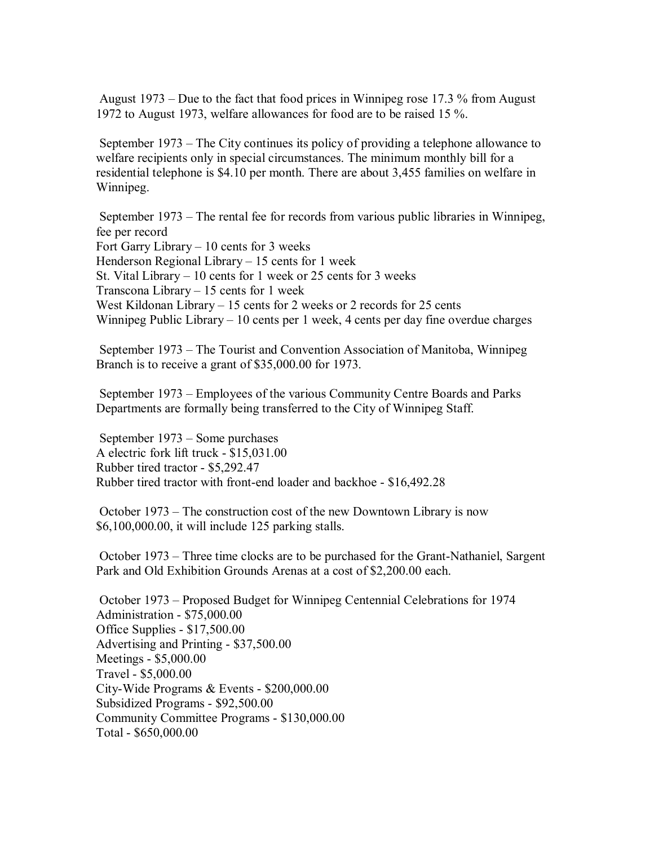August 1973 – Due to the fact that food prices in Winnipeg rose 17.3 % from August 1972 to August 1973, welfare allowances for food are to be raised 15 %.

 September 1973 – The City continues its policy of providing a telephone allowance to welfare recipients only in special circumstances. The minimum monthly bill for a residential telephone is \$4.10 per month. There are about 3,455 families on welfare in Winnipeg.

 September 1973 – The rental fee for records from various public libraries in Winnipeg, fee per record Fort Garry Library – 10 cents for 3 weeks Henderson Regional Library – 15 cents for 1 week St. Vital Library – 10 cents for 1 week or 25 cents for 3 weeks Transcona Library – 15 cents for 1 week West Kildonan Library – 15 cents for 2 weeks or 2 records for 25 cents Winnipeg Public Library – 10 cents per 1 week, 4 cents per day fine overdue charges

 September 1973 – The Tourist and Convention Association of Manitoba, Winnipeg Branch is to receive a grant of \$35,000.00 for 1973.

 September 1973 – Employees of the various Community Centre Boards and Parks Departments are formally being transferred to the City of Winnipeg Staff.

 September 1973 – Some purchases A electric fork lift truck - \$15,031.00 Rubber tired tractor - \$5,292.47 Rubber tired tractor with front-end loader and backhoe - \$16,492.28

 October 1973 – The construction cost of the new Downtown Library is now \$6,100,000.00, it will include 125 parking stalls.

 October 1973 – Three time clocks are to be purchased for the Grant-Nathaniel, Sargent Park and Old Exhibition Grounds Arenas at a cost of \$2,200.00 each.

 October 1973 – Proposed Budget for Winnipeg Centennial Celebrations for 1974 Administration - \$75,000.00 Office Supplies - \$17,500.00 Advertising and Printing - \$37,500.00 Meetings - \$5,000.00 Travel - \$5,000.00 City-Wide Programs & Events - \$200,000.00 Subsidized Programs - \$92,500.00 Community Committee Programs - \$130,000.00 Total - \$650,000.00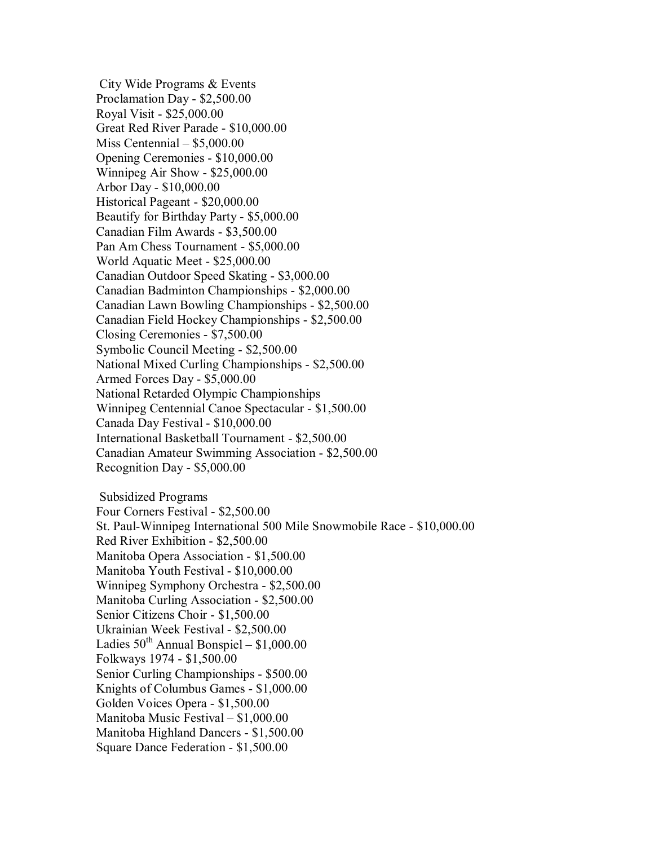City Wide Programs & Events Proclamation Day - \$2,500.00 Royal Visit - \$25,000.00 Great Red River Parade - \$10,000.00 Miss Centennial – \$5,000.00 Opening Ceremonies - \$10,000.00 Winnipeg Air Show - \$25,000.00 Arbor Day - \$10,000.00 Historical Pageant - \$20,000.00 Beautify for Birthday Party - \$5,000.00 Canadian Film Awards - \$3,500.00 Pan Am Chess Tournament - \$5,000.00 World Aquatic Meet - \$25,000.00 Canadian Outdoor Speed Skating - \$3,000.00 Canadian Badminton Championships - \$2,000.00 Canadian Lawn Bowling Championships - \$2,500.00 Canadian Field Hockey Championships - \$2,500.00 Closing Ceremonies - \$7,500.00 Symbolic Council Meeting - \$2,500.00 National Mixed Curling Championships - \$2,500.00 Armed Forces Day - \$5,000.00 National Retarded Olympic Championships Winnipeg Centennial Canoe Spectacular - \$1,500.00 Canada Day Festival - \$10,000.00 International Basketball Tournament - \$2,500.00 Canadian Amateur Swimming Association - \$2,500.00 Recognition Day - \$5,000.00

 Subsidized Programs Four Corners Festival - \$2,500.00 St. Paul-Winnipeg International 500 Mile Snowmobile Race - \$10,000.00 Red River Exhibition - \$2,500.00 Manitoba Opera Association - \$1,500.00 Manitoba Youth Festival - \$10,000.00 Winnipeg Symphony Orchestra - \$2,500.00 Manitoba Curling Association - \$2,500.00 Senior Citizens Choir - \$1,500.00 Ukrainian Week Festival - \$2,500.00 Ladies  $50^{th}$  Annual Bonspiel – \$1,000.00 Folkways 1974 - \$1,500.00 Senior Curling Championships - \$500.00 Knights of Columbus Games - \$1,000.00 Golden Voices Opera - \$1,500.00 Manitoba Music Festival – \$1,000.00 Manitoba Highland Dancers - \$1,500.00 Square Dance Federation - \$1,500.00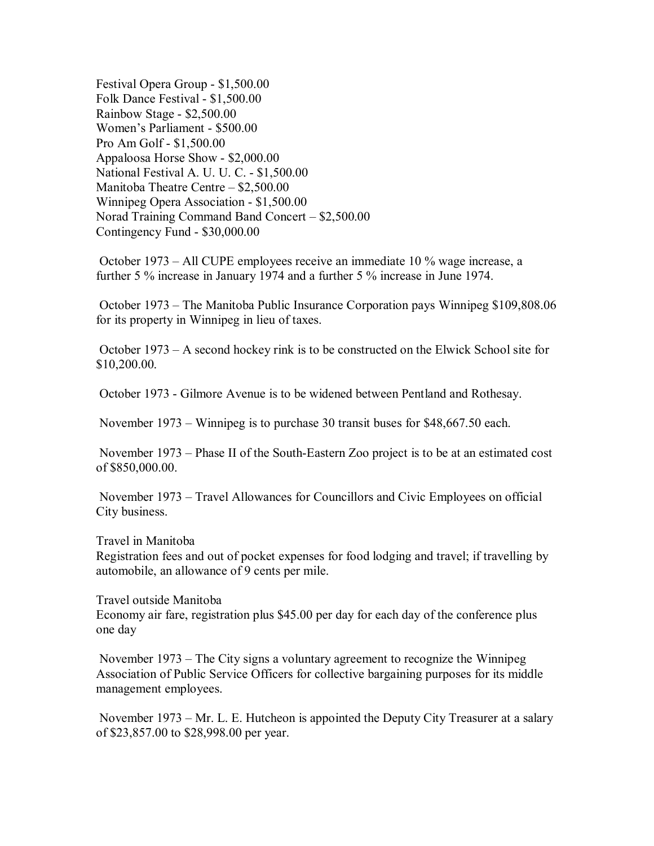Festival Opera Group - \$1,500.00 Folk Dance Festival - \$1,500.00 Rainbow Stage - \$2,500.00 Women's Parliament - \$500.00 Pro Am Golf - \$1,500.00 Appaloosa Horse Show - \$2,000.00 National Festival A. U. U. C. - \$1,500.00 Manitoba Theatre Centre – \$2,500.00 Winnipeg Opera Association - \$1,500.00 Norad Training Command Band Concert – \$2,500.00 Contingency Fund - \$30,000.00

 October 1973 – All CUPE employees receive an immediate 10 % wage increase, a further 5 % increase in January 1974 and a further 5 % increase in June 1974.

 October 1973 – The Manitoba Public Insurance Corporation pays Winnipeg \$109,808.06 for its property in Winnipeg in lieu of taxes.

 October 1973 – A second hockey rink is to be constructed on the Elwick School site for \$10,200.00.

October 1973 - Gilmore Avenue is to be widened between Pentland and Rothesay.

November 1973 – Winnipeg is to purchase 30 transit buses for \$48,667.50 each.

 November 1973 – Phase II of the South-Eastern Zoo project is to be at an estimated cost of \$850,000.00.

 November 1973 – Travel Allowances for Councillors and Civic Employees on official City business.

Travel in Manitoba

Registration fees and out of pocket expenses for food lodging and travel; if travelling by automobile, an allowance of 9 cents per mile.

Travel outside Manitoba Economy air fare, registration plus \$45.00 per day for each day of the conference plus one day

 November 1973 – The City signs a voluntary agreement to recognize the Winnipeg Association of Public Service Officers for collective bargaining purposes for its middle management employees.

 November 1973 – Mr. L. E. Hutcheon is appointed the Deputy City Treasurer at a salary of \$23,857.00 to \$28,998.00 per year.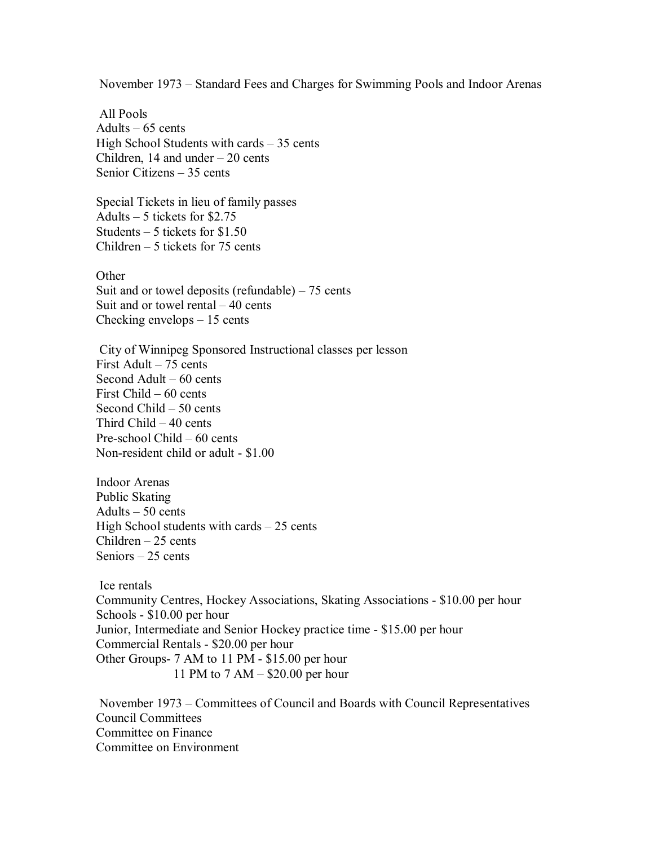November 1973 – Standard Fees and Charges for Swimming Pools and Indoor Arenas

 All Pools Adults  $-65$  cents High School Students with cards – 35 cents Children, 14 and under  $-20$  cents Senior Citizens – 35 cents

Special Tickets in lieu of family passes Adults – 5 tickets for \$2.75 Students  $-5$  tickets for \$1.50 Children – 5 tickets for 75 cents

**Other** 

Suit and or towel deposits (refundable)  $-75$  cents Suit and or towel rental – 40 cents Checking envelops – 15 cents

 City of Winnipeg Sponsored Instructional classes per lesson First Adult – 75 cents Second Adult – 60 cents First Child – 60 cents Second Child – 50 cents Third Child – 40 cents Pre-school Child – 60 cents Non-resident child or adult - \$1.00

Indoor Arenas Public Skating Adults – 50 cents High School students with cards – 25 cents Children – 25 cents Seniors – 25 cents

 Ice rentals Community Centres, Hockey Associations, Skating Associations - \$10.00 per hour Schools - \$10.00 per hour Junior, Intermediate and Senior Hockey practice time - \$15.00 per hour Commercial Rentals - \$20.00 per hour Other Groups- 7 AM to 11 PM - \$15.00 per hour 11 PM to 7 AM – \$20.00 per hour

 November 1973 – Committees of Council and Boards with Council Representatives Council Committees Committee on Finance Committee on Environment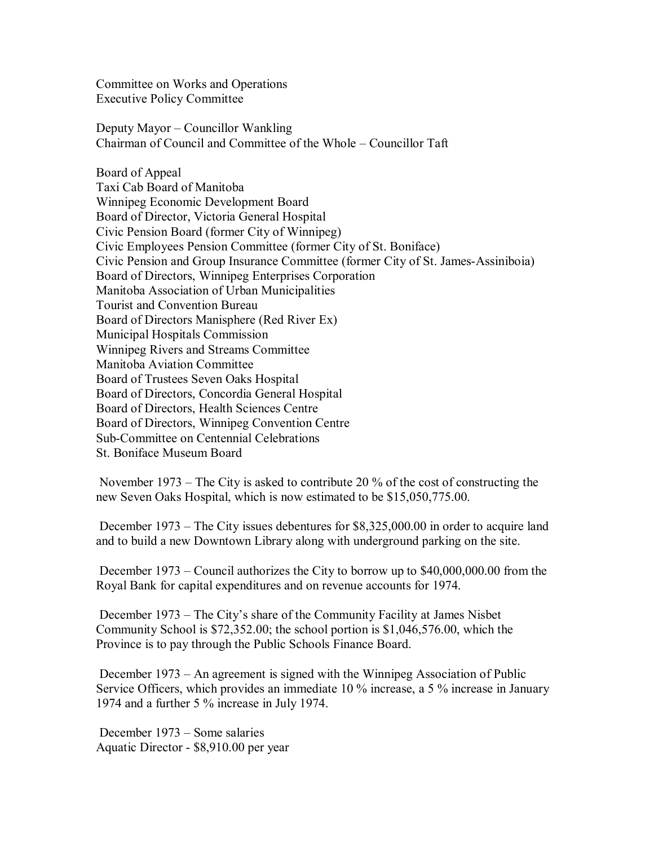Committee on Works and Operations Executive Policy Committee

Deputy Mayor – Councillor Wankling Chairman of Council and Committee of the Whole – Councillor Taft

Board of Appeal Taxi Cab Board of Manitoba Winnipeg Economic Development Board Board of Director, Victoria General Hospital Civic Pension Board (former City of Winnipeg) Civic Employees Pension Committee (former City of St. Boniface) Civic Pension and Group Insurance Committee (former City of St. James-Assiniboia) Board of Directors, Winnipeg Enterprises Corporation Manitoba Association of Urban Municipalities Tourist and Convention Bureau Board of Directors Manisphere (Red River Ex) Municipal Hospitals Commission Winnipeg Rivers and Streams Committee Manitoba Aviation Committee Board of Trustees Seven Oaks Hospital Board of Directors, Concordia General Hospital Board of Directors, Health Sciences Centre Board of Directors, Winnipeg Convention Centre Sub-Committee on Centennial Celebrations St. Boniface Museum Board

 November 1973 – The City is asked to contribute 20 % of the cost of constructing the new Seven Oaks Hospital, which is now estimated to be \$15,050,775.00.

 December 1973 – The City issues debentures for \$8,325,000.00 in order to acquire land and to build a new Downtown Library along with underground parking on the site.

 December 1973 – Council authorizes the City to borrow up to \$40,000,000.00 from the Royal Bank for capital expenditures and on revenue accounts for 1974.

 December 1973 – The City's share of the Community Facility at James Nisbet Community School is \$72,352.00; the school portion is \$1,046,576.00, which the Province is to pay through the Public Schools Finance Board.

 December 1973 – An agreement is signed with the Winnipeg Association of Public Service Officers, which provides an immediate 10 % increase, a 5 % increase in January 1974 and a further 5 % increase in July 1974.

 December 1973 – Some salaries Aquatic Director - \$8,910.00 per year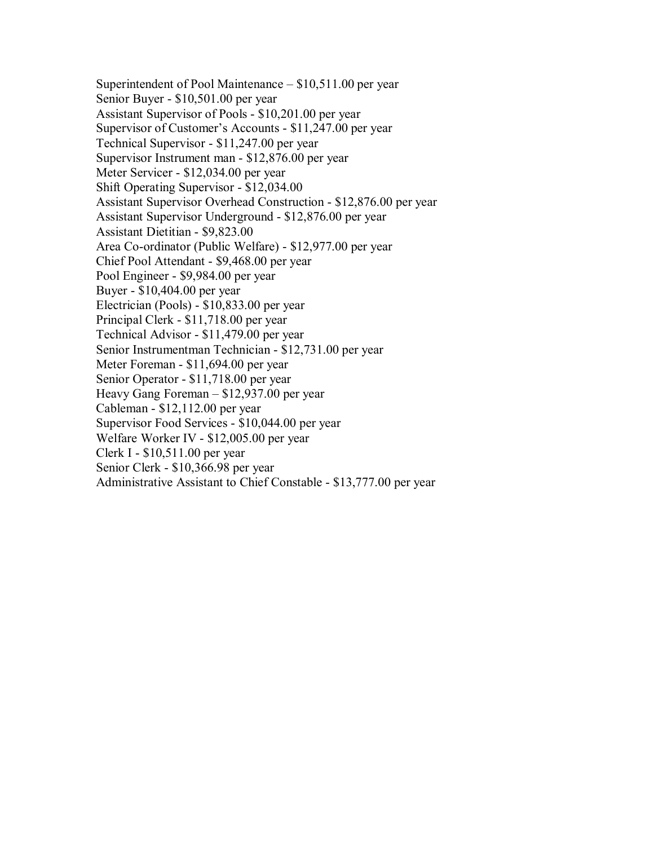Superintendent of Pool Maintenance – \$10,511.00 per year Senior Buyer - \$10,501.00 per year Assistant Supervisor of Pools - \$10,201.00 per year Supervisor of Customer's Accounts - \$11,247.00 per year Technical Supervisor - \$11,247.00 per year Supervisor Instrument man - \$12,876.00 per year Meter Servicer - \$12,034.00 per year Shift Operating Supervisor - \$12,034.00 Assistant Supervisor Overhead Construction - \$12,876.00 per year Assistant Supervisor Underground - \$12,876.00 per year Assistant Dietitian - \$9,823.00 Area Co-ordinator (Public Welfare) - \$12,977.00 per year Chief Pool Attendant - \$9,468.00 per year Pool Engineer - \$9,984.00 per year Buyer - \$10,404.00 per year Electrician (Pools) - \$10,833.00 per year Principal Clerk - \$11,718.00 per year Technical Advisor - \$11,479.00 per year Senior Instrumentman Technician - \$12,731.00 per year Meter Foreman - \$11,694.00 per year Senior Operator - \$11,718.00 per year Heavy Gang Foreman – \$12,937.00 per year Cableman - \$12,112.00 per year Supervisor Food Services - \$10,044.00 per year Welfare Worker IV - \$12,005.00 per year Clerk I - \$10,511.00 per year Senior Clerk - \$10,366.98 per year Administrative Assistant to Chief Constable - \$13,777.00 per year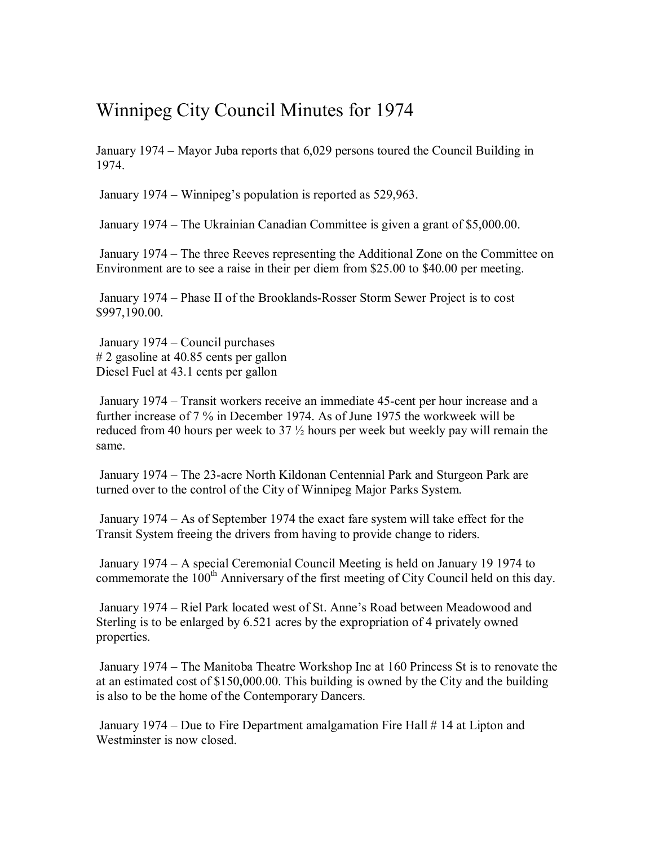## Winnipeg City Council Minutes for 1974

January 1974 – Mayor Juba reports that 6,029 persons toured the Council Building in 1974.

January 1974 – Winnipeg's population is reported as 529,963.

January 1974 – The Ukrainian Canadian Committee is given a grant of \$5,000.00.

 January 1974 – The three Reeves representing the Additional Zone on the Committee on Environment are to see a raise in their per diem from \$25.00 to \$40.00 per meeting.

 January 1974 – Phase II of the Brooklands-Rosser Storm Sewer Project is to cost \$997,190.00.

 January 1974 – Council purchases # 2 gasoline at 40.85 cents per gallon Diesel Fuel at 43.1 cents per gallon

 January 1974 – Transit workers receive an immediate 45-cent per hour increase and a further increase of 7 % in December 1974. As of June 1975 the workweek will be reduced from 40 hours per week to 37 ½ hours per week but weekly pay will remain the same.

 January 1974 – The 23-acre North Kildonan Centennial Park and Sturgeon Park are turned over to the control of the City of Winnipeg Major Parks System.

 January 1974 – As of September 1974 the exact fare system will take effect for the Transit System freeing the drivers from having to provide change to riders.

 January 1974 – A special Ceremonial Council Meeting is held on January 19 1974 to commemorate the 100<sup>th</sup> Anniversary of the first meeting of City Council held on this day.

 January 1974 – Riel Park located west of St. Anne's Road between Meadowood and Sterling is to be enlarged by 6.521 acres by the expropriation of 4 privately owned properties.

 January 1974 – The Manitoba Theatre Workshop Inc at 160 Princess St is to renovate the at an estimated cost of \$150,000.00. This building is owned by the City and the building is also to be the home of the Contemporary Dancers.

 January 1974 – Due to Fire Department amalgamation Fire Hall # 14 at Lipton and Westminster is now closed.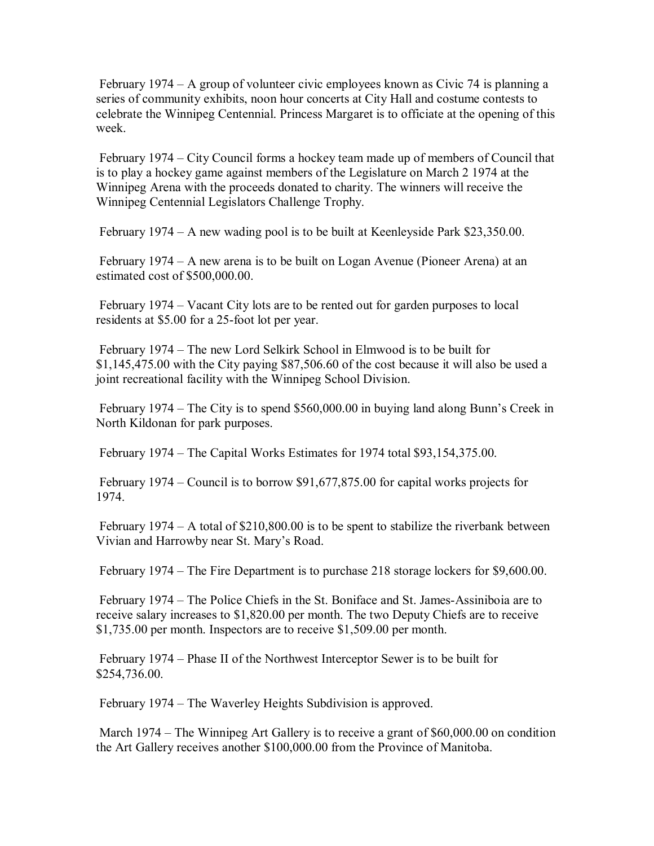February 1974 – A group of volunteer civic employees known as Civic 74 is planning a series of community exhibits, noon hour concerts at City Hall and costume contests to celebrate the Winnipeg Centennial. Princess Margaret is to officiate at the opening of this week.

 February 1974 – City Council forms a hockey team made up of members of Council that is to play a hockey game against members of the Legislature on March 2 1974 at the Winnipeg Arena with the proceeds donated to charity. The winners will receive the Winnipeg Centennial Legislators Challenge Trophy.

February 1974 – A new wading pool is to be built at Keenleyside Park \$23,350.00.

 February 1974 – A new arena is to be built on Logan Avenue (Pioneer Arena) at an estimated cost of \$500,000.00.

 February 1974 – Vacant City lots are to be rented out for garden purposes to local residents at \$5.00 for a 25-foot lot per year.

 February 1974 – The new Lord Selkirk School in Elmwood is to be built for \$1,145,475.00 with the City paying \$87,506.60 of the cost because it will also be used a joint recreational facility with the Winnipeg School Division.

 February 1974 – The City is to spend \$560,000.00 in buying land along Bunn's Creek in North Kildonan for park purposes.

February 1974 – The Capital Works Estimates for 1974 total \$93,154,375.00.

 February 1974 – Council is to borrow \$91,677,875.00 for capital works projects for 1974.

 February 1974 – A total of \$210,800.00 is to be spent to stabilize the riverbank between Vivian and Harrowby near St. Mary's Road.

February 1974 – The Fire Department is to purchase 218 storage lockers for \$9,600.00.

 February 1974 – The Police Chiefs in the St. Boniface and St. James-Assiniboia are to receive salary increases to \$1,820.00 per month. The two Deputy Chiefs are to receive \$1,735.00 per month. Inspectors are to receive \$1,509.00 per month.

 February 1974 – Phase II of the Northwest Interceptor Sewer is to be built for \$254,736.00.

February 1974 – The Waverley Heights Subdivision is approved.

 March 1974 – The Winnipeg Art Gallery is to receive a grant of \$60,000.00 on condition the Art Gallery receives another \$100,000.00 from the Province of Manitoba.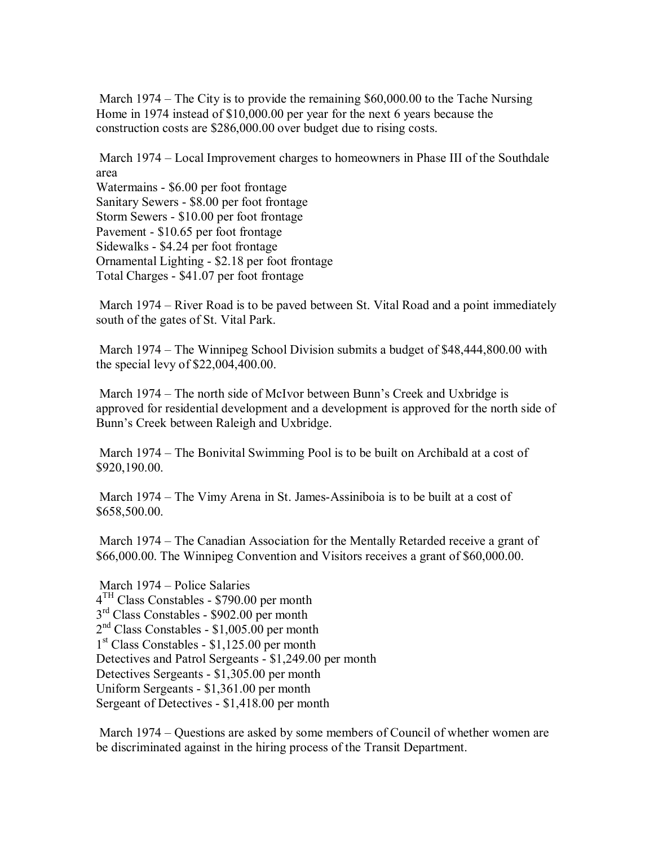March 1974 – The City is to provide the remaining \$60,000.00 to the Tache Nursing Home in 1974 instead of \$10,000.00 per year for the next 6 years because the construction costs are \$286,000.00 over budget due to rising costs.

 March 1974 – Local Improvement charges to homeowners in Phase III of the Southdale area

Watermains - \$6.00 per foot frontage Sanitary Sewers - \$8.00 per foot frontage Storm Sewers - \$10.00 per foot frontage Pavement - \$10.65 per foot frontage Sidewalks - \$4.24 per foot frontage Ornamental Lighting - \$2.18 per foot frontage Total Charges - \$41.07 per foot frontage

 March 1974 – River Road is to be paved between St. Vital Road and a point immediately south of the gates of St. Vital Park.

 March 1974 – The Winnipeg School Division submits a budget of \$48,444,800.00 with the special levy of \$22,004,400.00.

 March 1974 – The north side of McIvor between Bunn's Creek and Uxbridge is approved for residential development and a development is approved for the north side of Bunn's Creek between Raleigh and Uxbridge.

 March 1974 – The Bonivital Swimming Pool is to be built on Archibald at a cost of \$920,190.00.

 March 1974 – The Vimy Arena in St. James-Assiniboia is to be built at a cost of \$658,500.00.

 March 1974 – The Canadian Association for the Mentally Retarded receive a grant of \$66,000.00. The Winnipeg Convention and Visitors receives a grant of \$60,000.00.

 March 1974 – Police Salaries  $4<sup>TH</sup>$  Class Constables - \$790.00 per month  $3<sup>rd</sup> Class Constables - $902.00 per month$  $2<sup>nd</sup> Class Constables - $1,005.00$  per month 1<sup>st</sup> Class Constables - \$1,125.00 per month Detectives and Patrol Sergeants - \$1,249.00 per month Detectives Sergeants - \$1,305.00 per month Uniform Sergeants - \$1,361.00 per month Sergeant of Detectives - \$1,418.00 per month

 March 1974 – Questions are asked by some members of Council of whether women are be discriminated against in the hiring process of the Transit Department.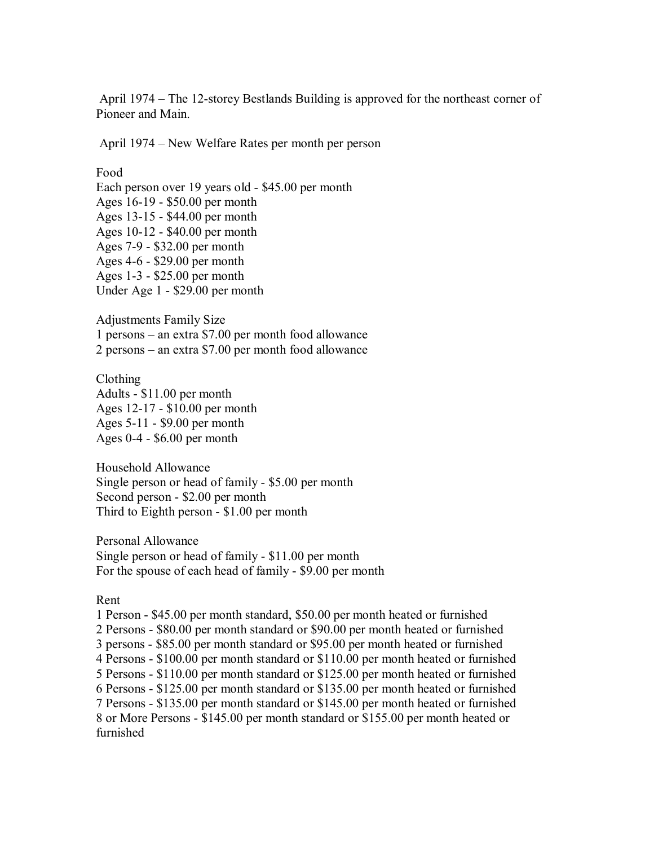April 1974 – The 12-storey Bestlands Building is approved for the northeast corner of Pioneer and Main.

April 1974 – New Welfare Rates per month per person

Food Each person over 19 years old - \$45.00 per month Ages 16-19 - \$50.00 per month Ages 13-15 - \$44.00 per month Ages 10-12 - \$40.00 per month Ages 7-9 - \$32.00 per month Ages 4-6 - \$29.00 per month Ages 1-3 - \$25.00 per month Under Age 1 - \$29.00 per month

Adjustments Family Size 1 persons – an extra \$7.00 per month food allowance 2 persons – an extra \$7.00 per month food allowance

Clothing Adults - \$11.00 per month Ages 12-17 - \$10.00 per month Ages 5-11 - \$9.00 per month Ages 0-4 - \$6.00 per month

Household Allowance Single person or head of family - \$5.00 per month Second person - \$2.00 per month Third to Eighth person - \$1.00 per month

Personal Allowance Single person or head of family - \$11.00 per month For the spouse of each head of family - \$9.00 per month

Rent

1 Person - \$45.00 per month standard, \$50.00 per month heated or furnished 2 Persons - \$80.00 per month standard or \$90.00 per month heated or furnished 3 persons - \$85.00 per month standard or \$95.00 per month heated or furnished 4 Persons - \$100.00 per month standard or \$110.00 per month heated or furnished 5 Persons - \$110.00 per month standard or \$125.00 per month heated or furnished 6 Persons - \$125.00 per month standard or \$135.00 per month heated or furnished 7 Persons - \$135.00 per month standard or \$145.00 per month heated or furnished 8 or More Persons - \$145.00 per month standard or \$155.00 per month heated or furnished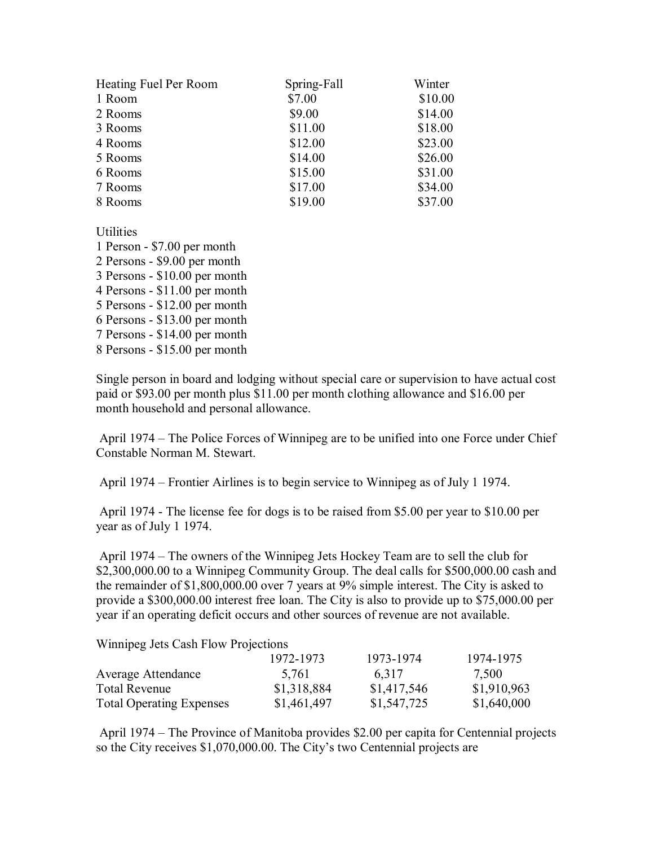| Heating Fuel Per Room | Spring-Fall | Winter  |
|-----------------------|-------------|---------|
| 1 Room                | \$7.00      | \$10.00 |
| 2 Rooms               | \$9.00      | \$14.00 |
| 3 Rooms               | \$11.00     | \$18.00 |
| 4 Rooms               | \$12.00     | \$23.00 |
| 5 Rooms               | \$14.00     | \$26.00 |
| 6 Rooms               | \$15.00     | \$31.00 |
| 7 Rooms               | \$17.00     | \$34.00 |
| 8 Rooms               | \$19.00     | \$37.00 |

**Utilities** 

1 Person - \$7.00 per month 2 Persons - \$9.00 per month 3 Persons - \$10.00 per month 4 Persons - \$11.00 per month 5 Persons - \$12.00 per month 6 Persons - \$13.00 per month 7 Persons - \$14.00 per month 8 Persons - \$15.00 per month

Single person in board and lodging without special care or supervision to have actual cost paid or \$93.00 per month plus \$11.00 per month clothing allowance and \$16.00 per month household and personal allowance.

 April 1974 – The Police Forces of Winnipeg are to be unified into one Force under Chief Constable Norman M. Stewart.

April 1974 – Frontier Airlines is to begin service to Winnipeg as of July 1 1974.

 April 1974 - The license fee for dogs is to be raised from \$5.00 per year to \$10.00 per year as of July 1 1974.

 April 1974 – The owners of the Winnipeg Jets Hockey Team are to sell the club for \$2,300,000.00 to a Winnipeg Community Group. The deal calls for \$500,000.00 cash and the remainder of \$1,800,000.00 over 7 years at 9% simple interest. The City is asked to provide a \$300,000.00 interest free loan. The City is also to provide up to \$75,000.00 per year if an operating deficit occurs and other sources of revenue are not available.

Winnipeg Jets Cash Flow Projections

|                                 | 1972-1973   | 1973-1974   | 1974-1975   |
|---------------------------------|-------------|-------------|-------------|
| Average Attendance              | 5.761       | 6.317       | 7,500       |
| <b>Total Revenue</b>            | \$1,318,884 | \$1,417,546 | \$1,910,963 |
| <b>Total Operating Expenses</b> | \$1,461,497 | \$1,547,725 | \$1,640,000 |

 April 1974 – The Province of Manitoba provides \$2.00 per capita for Centennial projects so the City receives \$1,070,000.00. The City's two Centennial projects are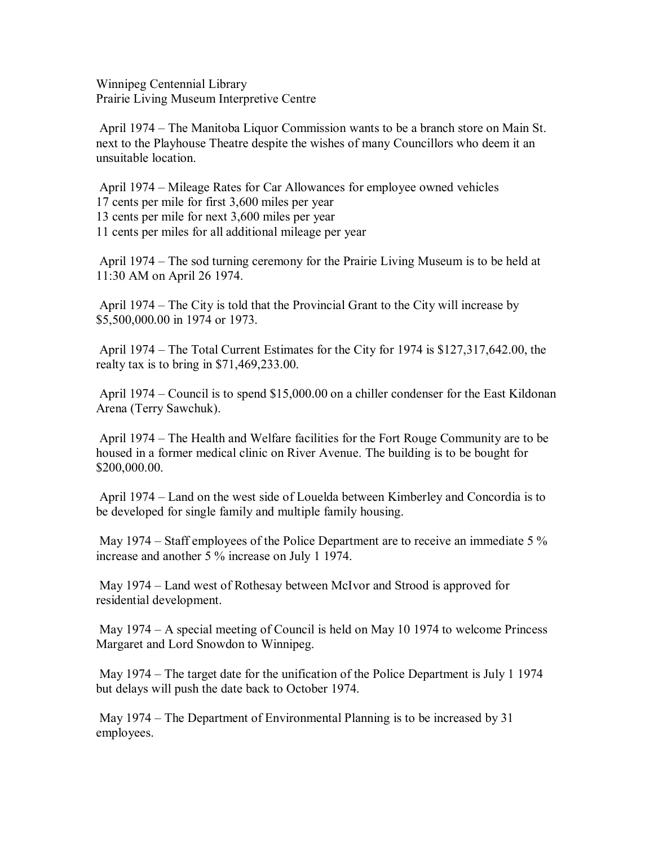Winnipeg Centennial Library Prairie Living Museum Interpretive Centre

 April 1974 – The Manitoba Liquor Commission wants to be a branch store on Main St. next to the Playhouse Theatre despite the wishes of many Councillors who deem it an unsuitable location.

 April 1974 – Mileage Rates for Car Allowances for employee owned vehicles 17 cents per mile for first 3,600 miles per year 13 cents per mile for next 3,600 miles per year 11 cents per miles for all additional mileage per year

 April 1974 – The sod turning ceremony for the Prairie Living Museum is to be held at 11:30 AM on April 26 1974.

 April 1974 – The City is told that the Provincial Grant to the City will increase by \$5,500,000.00 in 1974 or 1973.

 April 1974 – The Total Current Estimates for the City for 1974 is \$127,317,642.00, the realty tax is to bring in \$71,469,233.00.

 April 1974 – Council is to spend \$15,000.00 on a chiller condenser for the East Kildonan Arena (Terry Sawchuk).

 April 1974 – The Health and Welfare facilities for the Fort Rouge Community are to be housed in a former medical clinic on River Avenue. The building is to be bought for \$200,000.00.

 April 1974 – Land on the west side of Louelda between Kimberley and Concordia is to be developed for single family and multiple family housing.

 May 1974 – Staff employees of the Police Department are to receive an immediate 5 % increase and another 5 % increase on July 1 1974.

 May 1974 – Land west of Rothesay between McIvor and Strood is approved for residential development.

 May 1974 – A special meeting of Council is held on May 10 1974 to welcome Princess Margaret and Lord Snowdon to Winnipeg.

 May 1974 – The target date for the unification of the Police Department is July 1 1974 but delays will push the date back to October 1974.

 May 1974 – The Department of Environmental Planning is to be increased by 31 employees.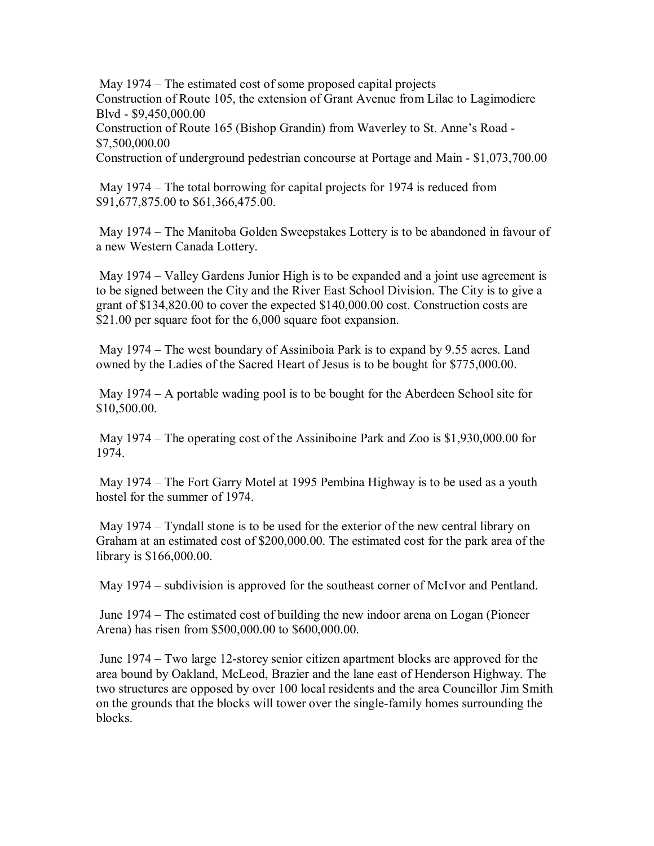May 1974 – The estimated cost of some proposed capital projects Construction of Route 105, the extension of Grant Avenue from Lilac to Lagimodiere Blvd - \$9,450,000.00 Construction of Route 165 (Bishop Grandin) from Waverley to St. Anne's Road - \$7,500,000.00 Construction of underground pedestrian concourse at Portage and Main - \$1,073,700.00

 May 1974 – The total borrowing for capital projects for 1974 is reduced from \$91,677,875.00 to \$61,366,475.00.

 May 1974 – The Manitoba Golden Sweepstakes Lottery is to be abandoned in favour of a new Western Canada Lottery.

 May 1974 – Valley Gardens Junior High is to be expanded and a joint use agreement is to be signed between the City and the River East School Division. The City is to give a grant of \$134,820.00 to cover the expected \$140,000.00 cost. Construction costs are \$21.00 per square foot for the 6,000 square foot expansion.

 May 1974 – The west boundary of Assiniboia Park is to expand by 9.55 acres. Land owned by the Ladies of the Sacred Heart of Jesus is to be bought for \$775,000.00.

 May 1974 – A portable wading pool is to be bought for the Aberdeen School site for \$10,500.00.

 May 1974 – The operating cost of the Assiniboine Park and Zoo is \$1,930,000.00 for 1974.

 May 1974 – The Fort Garry Motel at 1995 Pembina Highway is to be used as a youth hostel for the summer of 1974.

 May 1974 – Tyndall stone is to be used for the exterior of the new central library on Graham at an estimated cost of \$200,000.00. The estimated cost for the park area of the library is \$166,000.00.

May 1974 – subdivision is approved for the southeast corner of McIvor and Pentland.

 June 1974 – The estimated cost of building the new indoor arena on Logan (Pioneer Arena) has risen from \$500,000.00 to \$600,000.00.

 June 1974 – Two large 12-storey senior citizen apartment blocks are approved for the area bound by Oakland, McLeod, Brazier and the lane east of Henderson Highway. The two structures are opposed by over 100 local residents and the area Councillor Jim Smith on the grounds that the blocks will tower over the single-family homes surrounding the blocks.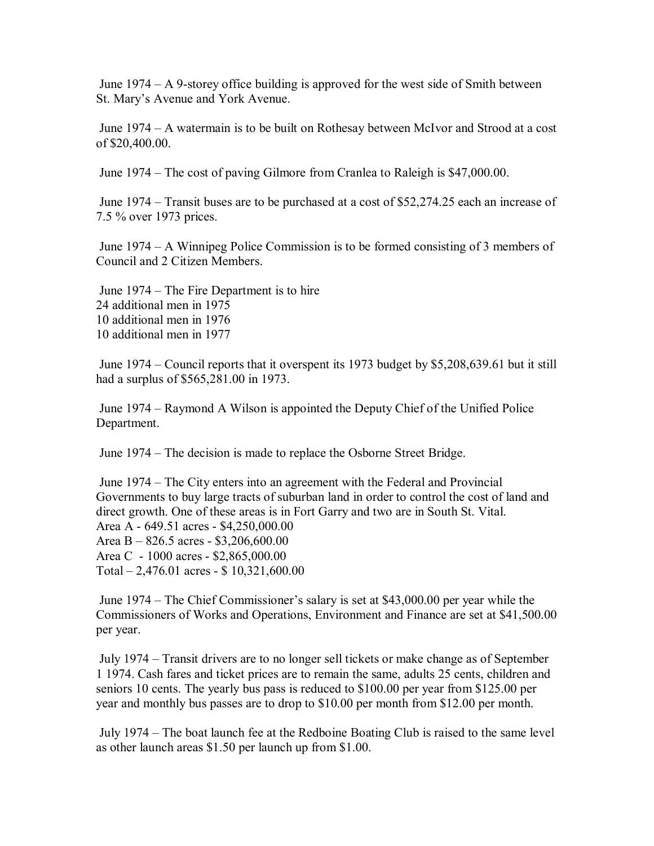June 1974 – A 9-storey office building is approved for the west side of Smith between St. Mary's Avenue and York Avenue.

 June 1974 – A watermain is to be built on Rothesay between McIvor and Strood at a cost of \$20,400.00.

June 1974 – The cost of paving Gilmore from Cranlea to Raleigh is \$47,000.00.

 June 1974 – Transit buses are to be purchased at a cost of \$52,274.25 each an increase of 7.5 % over 1973 prices.

 June 1974 – A Winnipeg Police Commission is to be formed consisting of 3 members of Council and 2 Citizen Members.

 June 1974 – The Fire Department is to hire 24 additional men in 1975 10 additional men in 1976 10 additional men in 1977

 June 1974 – Council reports that it overspent its 1973 budget by \$5,208,639.61 but it still had a surplus of \$565,281.00 in 1973.

 June 1974 – Raymond A Wilson is appointed the Deputy Chief of the Unified Police Department.

June 1974 – The decision is made to replace the Osborne Street Bridge.

 June 1974 – The City enters into an agreement with the Federal and Provincial Governments to buy large tracts of suburban land in order to control the cost of land and direct growth. One of these areas is in Fort Garry and two are in South St. Vital. Area A - 649.51 acres - \$4,250,000.00 Area B – 826.5 acres - \$3,206,600.00 Area C - 1000 acres - \$2,865,000.00 Total – 2,476.01 acres - \$ 10,321,600.00

 June 1974 – The Chief Commissioner's salary is set at \$43,000.00 per year while the Commissioners of Works and Operations, Environment and Finance are set at \$41,500.00 per year.

 July 1974 – Transit drivers are to no longer sell tickets or make change as of September 1 1974. Cash fares and ticket prices are to remain the same, adults 25 cents, children and seniors 10 cents. The yearly bus pass is reduced to \$100.00 per year from \$125.00 per year and monthly bus passes are to drop to \$10.00 per month from \$12.00 per month.

 July 1974 – The boat launch fee at the Redboine Boating Club is raised to the same level as other launch areas \$1.50 per launch up from \$1.00.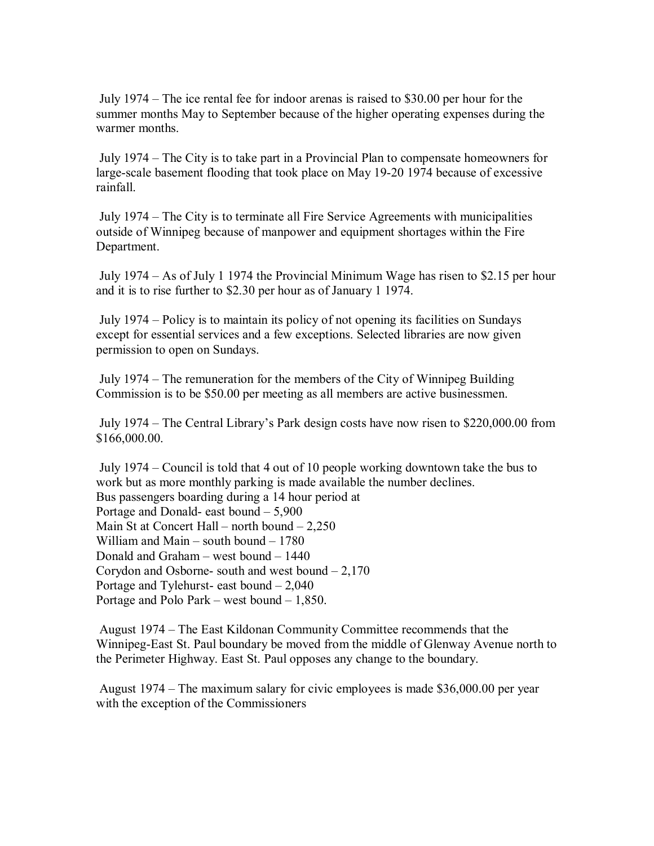July 1974 – The ice rental fee for indoor arenas is raised to \$30.00 per hour for the summer months May to September because of the higher operating expenses during the warmer months.

 July 1974 – The City is to take part in a Provincial Plan to compensate homeowners for large-scale basement flooding that took place on May 19-20 1974 because of excessive rainfall.

 July 1974 – The City is to terminate all Fire Service Agreements with municipalities outside of Winnipeg because of manpower and equipment shortages within the Fire Department.

 July 1974 – As of July 1 1974 the Provincial Minimum Wage has risen to \$2.15 per hour and it is to rise further to \$2.30 per hour as of January 1 1974.

 July 1974 – Policy is to maintain its policy of not opening its facilities on Sundays except for essential services and a few exceptions. Selected libraries are now given permission to open on Sundays.

 July 1974 – The remuneration for the members of the City of Winnipeg Building Commission is to be \$50.00 per meeting as all members are active businessmen.

 July 1974 – The Central Library's Park design costs have now risen to \$220,000.00 from \$166,000.00.

 July 1974 – Council is told that 4 out of 10 people working downtown take the bus to work but as more monthly parking is made available the number declines. Bus passengers boarding during a 14 hour period at Portage and Donald- east bound – 5,900 Main St at Concert Hall – north bound – 2,250 William and Main – south bound – 1780 Donald and Graham – west bound – 1440 Corydon and Osborne- south and west bound  $-2,170$ Portage and Tylehurst- east bound – 2,040 Portage and Polo Park – west bound – 1,850.

 August 1974 – The East Kildonan Community Committee recommends that the Winnipeg-East St. Paul boundary be moved from the middle of Glenway Avenue north to the Perimeter Highway. East St. Paul opposes any change to the boundary.

 August 1974 – The maximum salary for civic employees is made \$36,000.00 per year with the exception of the Commissioners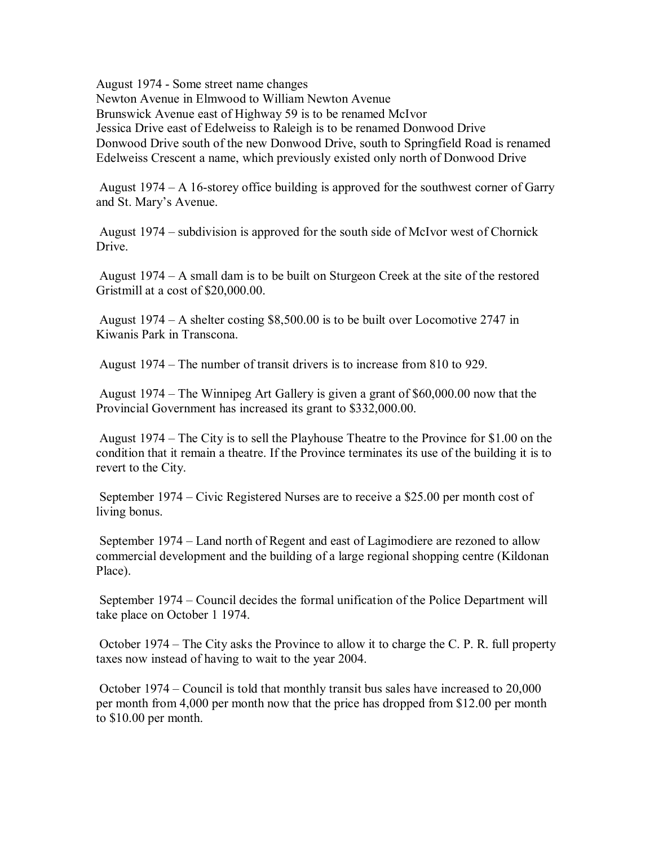August 1974 - Some street name changes Newton Avenue in Elmwood to William Newton Avenue Brunswick Avenue east of Highway 59 is to be renamed McIvor Jessica Drive east of Edelweiss to Raleigh is to be renamed Donwood Drive Donwood Drive south of the new Donwood Drive, south to Springfield Road is renamed Edelweiss Crescent a name, which previously existed only north of Donwood Drive

 August 1974 – A 16-storey office building is approved for the southwest corner of Garry and St. Mary's Avenue.

 August 1974 – subdivision is approved for the south side of McIvor west of Chornick Drive.

 August 1974 – A small dam is to be built on Sturgeon Creek at the site of the restored Gristmill at a cost of \$20,000.00.

 August 1974 – A shelter costing \$8,500.00 is to be built over Locomotive 2747 in Kiwanis Park in Transcona.

August 1974 – The number of transit drivers is to increase from 810 to 929.

 August 1974 – The Winnipeg Art Gallery is given a grant of \$60,000.00 now that the Provincial Government has increased its grant to \$332,000.00.

 August 1974 – The City is to sell the Playhouse Theatre to the Province for \$1.00 on the condition that it remain a theatre. If the Province terminates its use of the building it is to revert to the City.

 September 1974 – Civic Registered Nurses are to receive a \$25.00 per month cost of living bonus.

 September 1974 – Land north of Regent and east of Lagimodiere are rezoned to allow commercial development and the building of a large regional shopping centre (Kildonan Place).

 September 1974 – Council decides the formal unification of the Police Department will take place on October 1 1974.

 October 1974 – The City asks the Province to allow it to charge the C. P. R. full property taxes now instead of having to wait to the year 2004.

 October 1974 – Council is told that monthly transit bus sales have increased to 20,000 per month from 4,000 per month now that the price has dropped from \$12.00 per month to \$10.00 per month.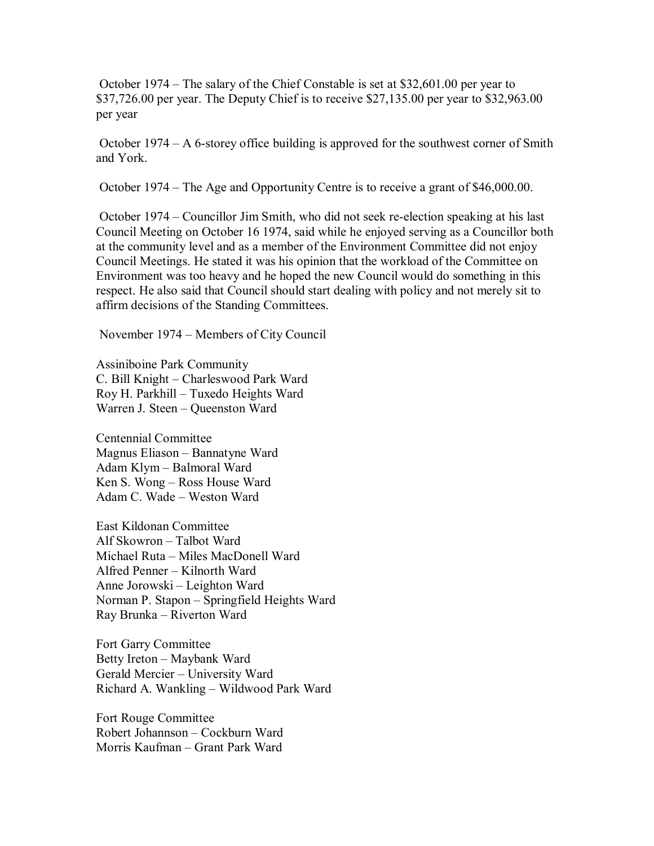October 1974 – The salary of the Chief Constable is set at \$32,601.00 per year to \$37,726.00 per year. The Deputy Chief is to receive \$27,135.00 per year to \$32,963.00 per year

 October 1974 – A 6-storey office building is approved for the southwest corner of Smith and York.

October 1974 – The Age and Opportunity Centre is to receive a grant of \$46,000.00.

 October 1974 – Councillor Jim Smith, who did not seek re-election speaking at his last Council Meeting on October 16 1974, said while he enjoyed serving as a Councillor both at the community level and as a member of the Environment Committee did not enjoy Council Meetings. He stated it was his opinion that the workload of the Committee on Environment was too heavy and he hoped the new Council would do something in this respect. He also said that Council should start dealing with policy and not merely sit to affirm decisions of the Standing Committees.

November 1974 – Members of City Council

Assiniboine Park Community C. Bill Knight – Charleswood Park Ward Roy H. Parkhill – Tuxedo Heights Ward Warren J. Steen – Queenston Ward

Centennial Committee Magnus Eliason – Bannatyne Ward Adam Klym – Balmoral Ward Ken S. Wong – Ross House Ward Adam C. Wade – Weston Ward

East Kildonan Committee Alf Skowron – Talbot Ward Michael Ruta – Miles MacDonell Ward Alfred Penner – Kilnorth Ward Anne Jorowski – Leighton Ward Norman P. Stapon – Springfield Heights Ward Ray Brunka – Riverton Ward

Fort Garry Committee Betty Ireton – Maybank Ward Gerald Mercier – University Ward Richard A. Wankling – Wildwood Park Ward

Fort Rouge Committee Robert Johannson – Cockburn Ward Morris Kaufman – Grant Park Ward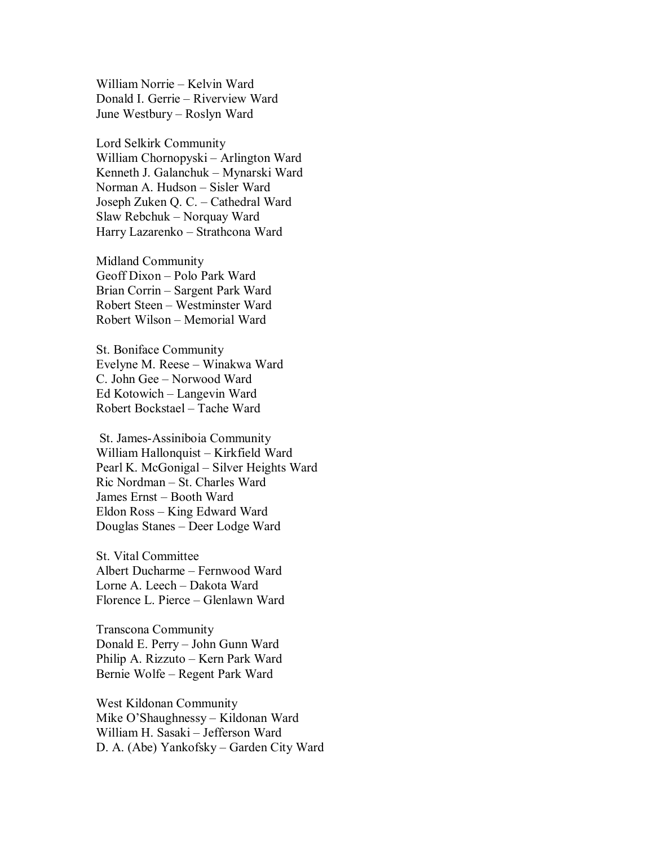William Norrie – Kelvin Ward Donald I. Gerrie – Riverview Ward June Westbury – Roslyn Ward

Lord Selkirk Community William Chornopyski – Arlington Ward Kenneth J. Galanchuk – Mynarski Ward Norman A. Hudson – Sisler Ward Joseph Zuken Q. C. – Cathedral Ward Slaw Rebchuk – Norquay Ward Harry Lazarenko – Strathcona Ward

Midland Community Geoff Dixon – Polo Park Ward Brian Corrin – Sargent Park Ward Robert Steen – Westminster Ward Robert Wilson – Memorial Ward

St. Boniface Community Evelyne M. Reese – Winakwa Ward C. John Gee – Norwood Ward Ed Kotowich – Langevin Ward Robert Bockstael – Tache Ward

 St. James-Assiniboia Community William Hallonquist – Kirkfield Ward Pearl K. McGonigal – Silver Heights Ward Ric Nordman – St. Charles Ward James Ernst – Booth Ward Eldon Ross – King Edward Ward Douglas Stanes – Deer Lodge Ward

St. Vital Committee Albert Ducharme – Fernwood Ward Lorne A. Leech – Dakota Ward Florence L. Pierce – Glenlawn Ward

Transcona Community Donald E. Perry – John Gunn Ward Philip A. Rizzuto – Kern Park Ward Bernie Wolfe – Regent Park Ward

West Kildonan Community Mike O'Shaughnessy – Kildonan Ward William H. Sasaki – Jefferson Ward D. A. (Abe) Yankofsky – Garden City Ward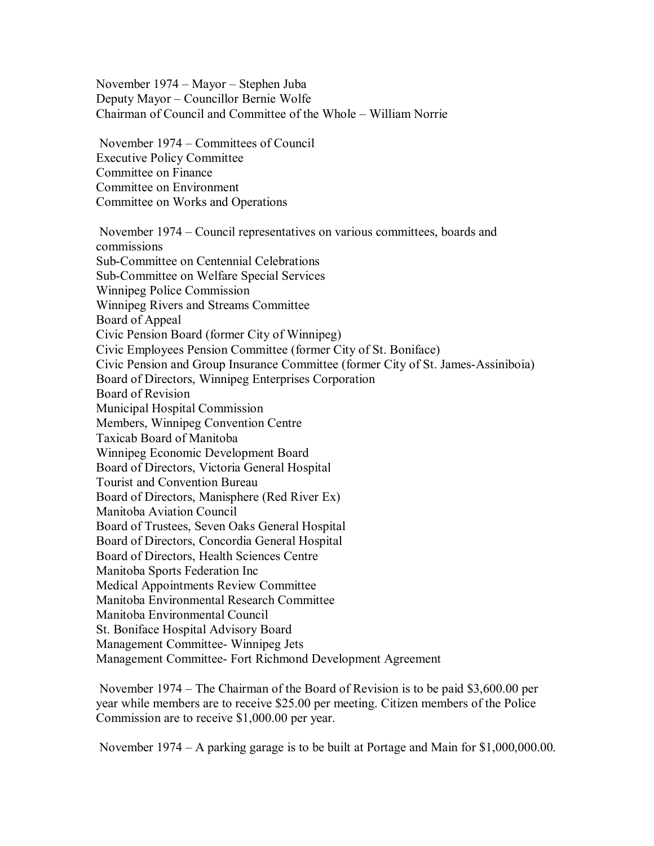November 1974 – Mayor – Stephen Juba Deputy Mayor – Councillor Bernie Wolfe Chairman of Council and Committee of the Whole – William Norrie

 November 1974 – Committees of Council Executive Policy Committee Committee on Finance Committee on Environment Committee on Works and Operations

 November 1974 – Council representatives on various committees, boards and commissions Sub-Committee on Centennial Celebrations Sub-Committee on Welfare Special Services Winnipeg Police Commission Winnipeg Rivers and Streams Committee Board of Appeal Civic Pension Board (former City of Winnipeg) Civic Employees Pension Committee (former City of St. Boniface) Civic Pension and Group Insurance Committee (former City of St. James-Assiniboia) Board of Directors, Winnipeg Enterprises Corporation Board of Revision Municipal Hospital Commission Members, Winnipeg Convention Centre Taxicab Board of Manitoba Winnipeg Economic Development Board Board of Directors, Victoria General Hospital Tourist and Convention Bureau Board of Directors, Manisphere (Red River Ex) Manitoba Aviation Council Board of Trustees, Seven Oaks General Hospital Board of Directors, Concordia General Hospital Board of Directors, Health Sciences Centre Manitoba Sports Federation Inc Medical Appointments Review Committee Manitoba Environmental Research Committee Manitoba Environmental Council St. Boniface Hospital Advisory Board Management Committee- Winnipeg Jets Management Committee- Fort Richmond Development Agreement

 November 1974 – The Chairman of the Board of Revision is to be paid \$3,600.00 per year while members are to receive \$25.00 per meeting. Citizen members of the Police Commission are to receive \$1,000.00 per year.

November 1974 – A parking garage is to be built at Portage and Main for \$1,000,000.00.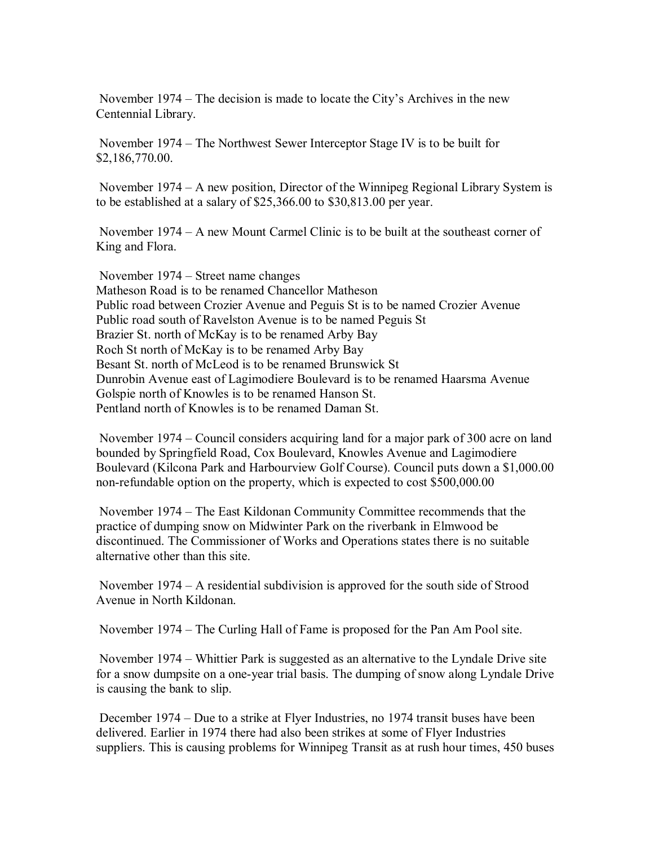November 1974 – The decision is made to locate the City's Archives in the new Centennial Library.

 November 1974 – The Northwest Sewer Interceptor Stage IV is to be built for \$2,186,770.00.

 November 1974 – A new position, Director of the Winnipeg Regional Library System is to be established at a salary of \$25,366.00 to \$30,813.00 per year.

 November 1974 – A new Mount Carmel Clinic is to be built at the southeast corner of King and Flora.

 November 1974 – Street name changes Matheson Road is to be renamed Chancellor Matheson Public road between Crozier Avenue and Peguis St is to be named Crozier Avenue Public road south of Ravelston Avenue is to be named Peguis St Brazier St. north of McKay is to be renamed Arby Bay Roch St north of McKay is to be renamed Arby Bay Besant St. north of McLeod is to be renamed Brunswick St Dunrobin Avenue east of Lagimodiere Boulevard is to be renamed Haarsma Avenue Golspie north of Knowles is to be renamed Hanson St. Pentland north of Knowles is to be renamed Daman St.

 November 1974 – Council considers acquiring land for a major park of 300 acre on land bounded by Springfield Road, Cox Boulevard, Knowles Avenue and Lagimodiere Boulevard (Kilcona Park and Harbourview Golf Course). Council puts down a \$1,000.00 non-refundable option on the property, which is expected to cost \$500,000.00

 November 1974 – The East Kildonan Community Committee recommends that the practice of dumping snow on Midwinter Park on the riverbank in Elmwood be discontinued. The Commissioner of Works and Operations states there is no suitable alternative other than this site.

 November 1974 – A residential subdivision is approved for the south side of Strood Avenue in North Kildonan.

November 1974 – The Curling Hall of Fame is proposed for the Pan Am Pool site.

 November 1974 – Whittier Park is suggested as an alternative to the Lyndale Drive site for a snow dumpsite on a one-year trial basis. The dumping of snow along Lyndale Drive is causing the bank to slip.

 December 1974 – Due to a strike at Flyer Industries, no 1974 transit buses have been delivered. Earlier in 1974 there had also been strikes at some of Flyer Industries suppliers. This is causing problems for Winnipeg Transit as at rush hour times, 450 buses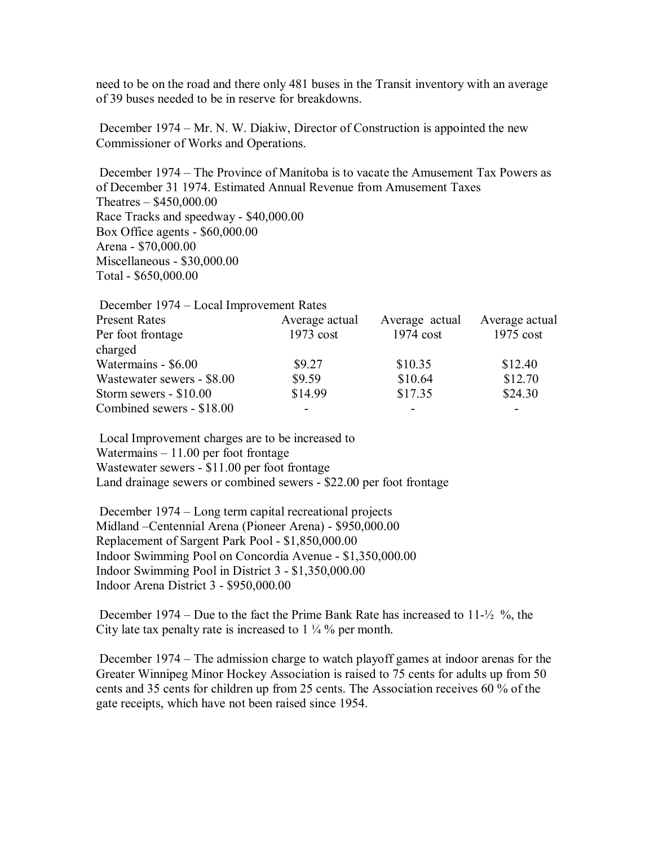need to be on the road and there only 481 buses in the Transit inventory with an average of 39 buses needed to be in reserve for breakdowns.

 December 1974 – Mr. N. W. Diakiw, Director of Construction is appointed the new Commissioner of Works and Operations.

 December 1974 – The Province of Manitoba is to vacate the Amusement Tax Powers as of December 31 1974. Estimated Annual Revenue from Amusement Taxes Theatres – \$450,000.00 Race Tracks and speedway - \$40,000.00 Box Office agents - \$60,000.00 Arena - \$70,000.00 Miscellaneous - \$30,000.00 Total - \$650,000.00

| December 1974 – Local Improvement Rates |                |                |                |
|-----------------------------------------|----------------|----------------|----------------|
| <b>Present Rates</b>                    | Average actual | Average actual | Average actual |
| Per foot frontage                       | $1973$ cost    | $1974$ cost    | $1975$ cost    |
| charged                                 |                |                |                |
| Watermains - \$6.00                     | \$9.27         | \$10.35        | \$12.40        |
| Wastewater sewers - \$8.00              | \$9.59         | \$10.64        | \$12.70        |
| Storm sewers - \$10.00                  | \$14.99        | \$17.35        | \$24.30        |
| Combined sewers - \$18.00               |                |                |                |

 Local Improvement charges are to be increased to Watermains – 11.00 per foot frontage Wastewater sewers - \$11.00 per foot frontage Land drainage sewers or combined sewers - \$22.00 per foot frontage

 December 1974 – Long term capital recreational projects Midland –Centennial Arena (Pioneer Arena) - \$950,000.00 Replacement of Sargent Park Pool - \$1,850,000.00 Indoor Swimming Pool on Concordia Avenue - \$1,350,000.00 Indoor Swimming Pool in District 3 - \$1,350,000.00 Indoor Arena District 3 - \$950,000.00

 December 1974 – Due to the fact the Prime Bank Rate has increased to 11-½ %, the City late tax penalty rate is increased to 1 ¼ % per month.

 December 1974 – The admission charge to watch playoff games at indoor arenas for the Greater Winnipeg Minor Hockey Association is raised to 75 cents for adults up from 50 cents and 35 cents for children up from 25 cents. The Association receives 60 % of the gate receipts, which have not been raised since 1954.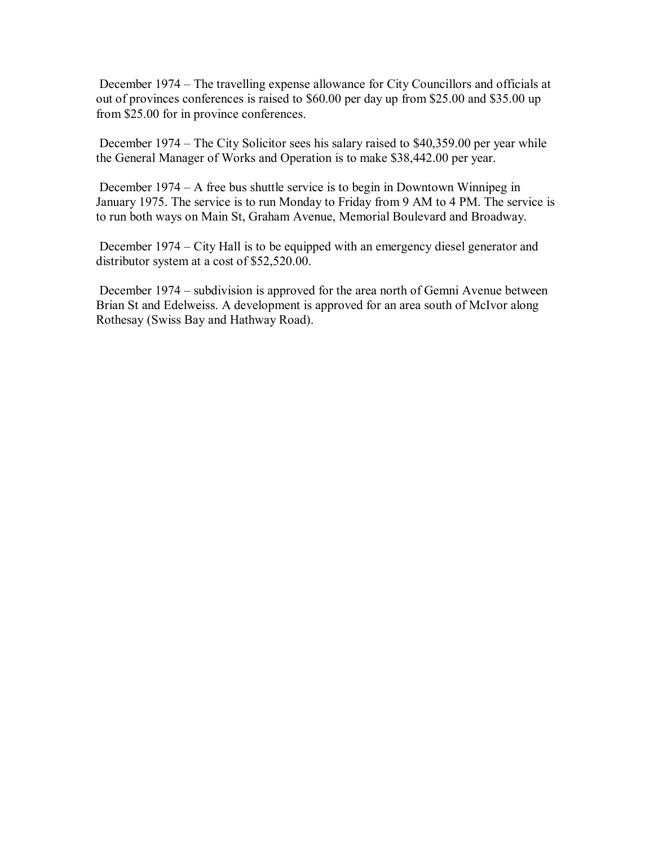December 1974 – The travelling expense allowance for City Councillors and officials at out of provinces conferences is raised to \$60.00 per day up from \$25.00 and \$35.00 up from \$25.00 for in province conferences.

 December 1974 – The City Solicitor sees his salary raised to \$40,359.00 per year while the General Manager of Works and Operation is to make \$38,442.00 per year.

 December 1974 – A free bus shuttle service is to begin in Downtown Winnipeg in January 1975. The service is to run Monday to Friday from 9 AM to 4 PM. The service is to run both ways on Main St, Graham Avenue, Memorial Boulevard and Broadway.

 December 1974 – City Hall is to be equipped with an emergency diesel generator and distributor system at a cost of \$52,520.00.

 December 1974 – subdivision is approved for the area north of Gemni Avenue between Brian St and Edelweiss. A development is approved for an area south of McIvor along Rothesay (Swiss Bay and Hathway Road).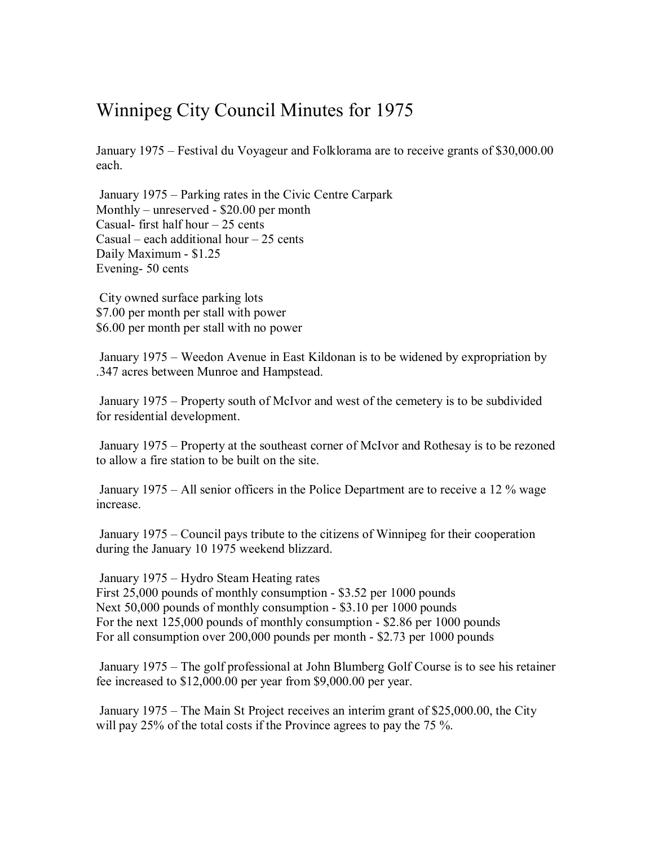## Winnipeg City Council Minutes for 1975

January 1975 – Festival du Voyageur and Folklorama are to receive grants of \$30,000.00 each.

 January 1975 – Parking rates in the Civic Centre Carpark Monthly – unreserved - \$20.00 per month Casual- first half hour  $-25$  cents Casual – each additional hour – 25 cents Daily Maximum - \$1.25 Evening- 50 cents

 City owned surface parking lots \$7.00 per month per stall with power \$6.00 per month per stall with no power

 January 1975 – Weedon Avenue in East Kildonan is to be widened by expropriation by .347 acres between Munroe and Hampstead.

 January 1975 – Property south of McIvor and west of the cemetery is to be subdivided for residential development.

 January 1975 – Property at the southeast corner of McIvor and Rothesay is to be rezoned to allow a fire station to be built on the site.

 January 1975 – All senior officers in the Police Department are to receive a 12 % wage increase.

 January 1975 – Council pays tribute to the citizens of Winnipeg for their cooperation during the January 10 1975 weekend blizzard.

 January 1975 – Hydro Steam Heating rates First 25,000 pounds of monthly consumption - \$3.52 per 1000 pounds Next 50,000 pounds of monthly consumption - \$3.10 per 1000 pounds For the next 125,000 pounds of monthly consumption - \$2.86 per 1000 pounds For all consumption over 200,000 pounds per month - \$2.73 per 1000 pounds

 January 1975 – The golf professional at John Blumberg Golf Course is to see his retainer fee increased to \$12,000.00 per year from \$9,000.00 per year.

 January 1975 – The Main St Project receives an interim grant of \$25,000.00, the City will pay 25% of the total costs if the Province agrees to pay the 75 %.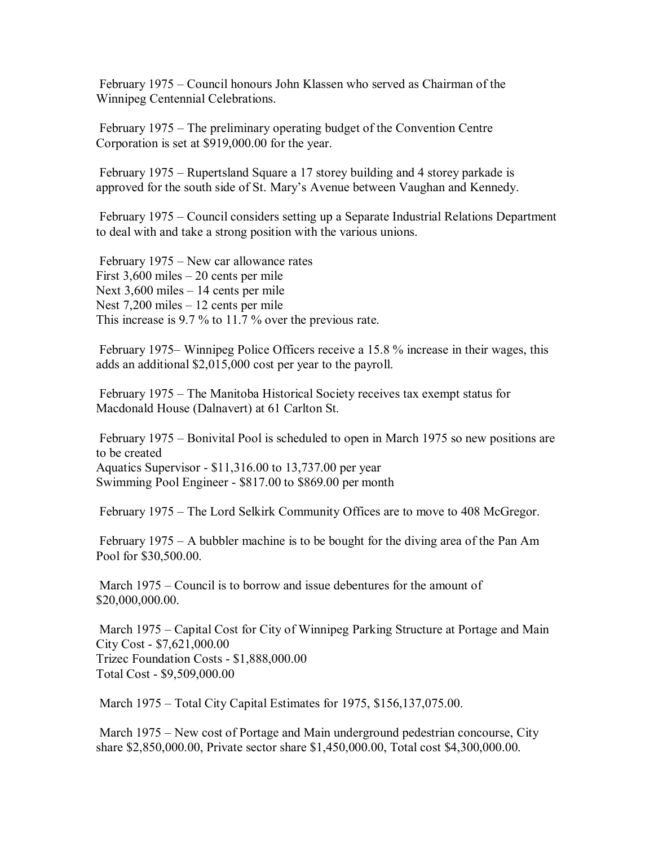February 1975 – Council honours John Klassen who served as Chairman of the Winnipeg Centennial Celebrations.

 February 1975 – The preliminary operating budget of the Convention Centre Corporation is set at \$919,000.00 for the year.

 February 1975 – Rupertsland Square a 17 storey building and 4 storey parkade is approved for the south side of St. Mary's Avenue between Vaughan and Kennedy.

 February 1975 – Council considers setting up a Separate Industrial Relations Department to deal with and take a strong position with the various unions.

 February 1975 – New car allowance rates First 3,600 miles – 20 cents per mile Next 3,600 miles – 14 cents per mile Nest 7,200 miles – 12 cents per mile This increase is 9.7 % to 11.7 % over the previous rate.

 February 1975– Winnipeg Police Officers receive a 15.8 % increase in their wages, this adds an additional \$2,015,000 cost per year to the payroll.

 February 1975 – The Manitoba Historical Society receives tax exempt status for Macdonald House (Dalnavert) at 61 Carlton St.

 February 1975 – Bonivital Pool is scheduled to open in March 1975 so new positions are to be created Aquatics Supervisor - \$11,316.00 to 13,737.00 per year Swimming Pool Engineer - \$817.00 to \$869.00 per month

February 1975 – The Lord Selkirk Community Offices are to move to 408 McGregor.

 February 1975 – A bubbler machine is to be bought for the diving area of the Pan Am Pool for \$30,500.00.

 March 1975 – Council is to borrow and issue debentures for the amount of \$20,000,000.00.

 March 1975 – Capital Cost for City of Winnipeg Parking Structure at Portage and Main City Cost - \$7,621,000.00 Trizec Foundation Costs - \$1,888,000.00 Total Cost - \$9,509,000.00

March 1975 – Total City Capital Estimates for 1975, \$156,137,075.00.

 March 1975 – New cost of Portage and Main underground pedestrian concourse, City share \$2,850,000.00, Private sector share \$1,450,000.00, Total cost \$4,300,000.00.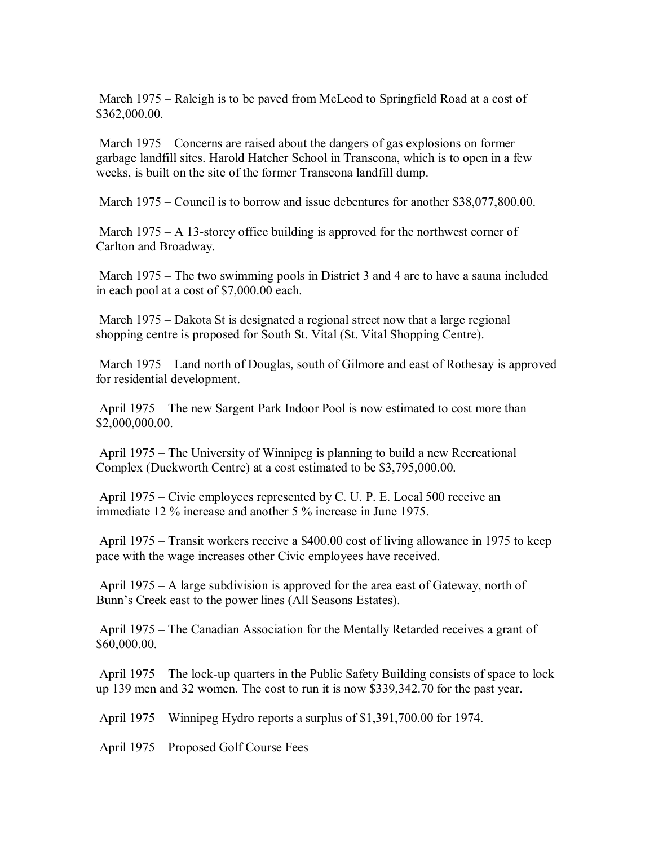March 1975 – Raleigh is to be paved from McLeod to Springfield Road at a cost of \$362,000.00.

 March 1975 – Concerns are raised about the dangers of gas explosions on former garbage landfill sites. Harold Hatcher School in Transcona, which is to open in a few weeks, is built on the site of the former Transcona landfill dump.

March 1975 – Council is to borrow and issue debentures for another \$38,077,800.00.

March  $1975 - A$  13-storey office building is approved for the northwest corner of Carlton and Broadway.

 March 1975 – The two swimming pools in District 3 and 4 are to have a sauna included in each pool at a cost of \$7,000.00 each.

 March 1975 – Dakota St is designated a regional street now that a large regional shopping centre is proposed for South St. Vital (St. Vital Shopping Centre).

 March 1975 – Land north of Douglas, south of Gilmore and east of Rothesay is approved for residential development.

 April 1975 – The new Sargent Park Indoor Pool is now estimated to cost more than \$2,000,000.00.

 April 1975 – The University of Winnipeg is planning to build a new Recreational Complex (Duckworth Centre) at a cost estimated to be \$3,795,000.00.

 April 1975 – Civic employees represented by C. U. P. E. Local 500 receive an immediate 12 % increase and another 5 % increase in June 1975.

 April 1975 – Transit workers receive a \$400.00 cost of living allowance in 1975 to keep pace with the wage increases other Civic employees have received.

 April 1975 – A large subdivision is approved for the area east of Gateway, north of Bunn's Creek east to the power lines (All Seasons Estates).

 April 1975 – The Canadian Association for the Mentally Retarded receives a grant of \$60,000.00.

 April 1975 – The lock-up quarters in the Public Safety Building consists of space to lock up 139 men and 32 women. The cost to run it is now \$339,342.70 for the past year.

April 1975 – Winnipeg Hydro reports a surplus of \$1,391,700.00 for 1974.

April 1975 – Proposed Golf Course Fees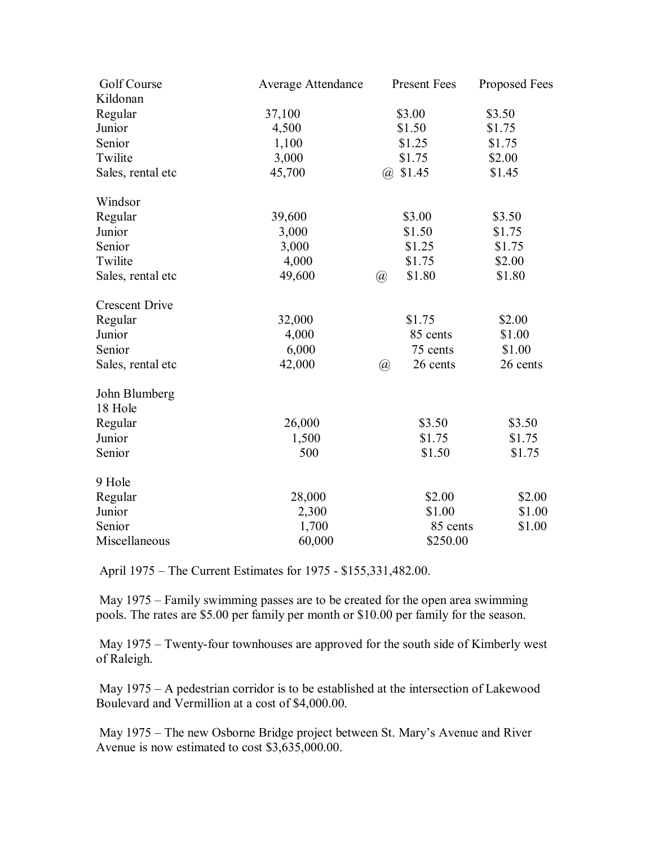| Golf Course           | <b>Average Attendance</b> | <b>Present Fees</b>     | Proposed Fees |
|-----------------------|---------------------------|-------------------------|---------------|
| Kildonan              |                           |                         |               |
| Regular               | 37,100                    | \$3.00                  | \$3.50        |
| Junior                | 4,500                     | \$1.50                  | \$1.75        |
| Senior                | 1,100                     | \$1.25                  | \$1.75        |
| Twilite               | 3,000                     | \$1.75                  | \$2.00        |
| Sales, rental etc     | 45,700                    | $(a)$ \$1.45            | \$1.45        |
| Windsor               |                           |                         |               |
| Regular               | 39,600                    | \$3.00                  | \$3.50        |
| Junior                | 3,000                     | \$1.50                  | \$1.75        |
| Senior                | 3,000                     | \$1.25                  | \$1.75        |
| Twilite               | 4,000                     | \$1.75                  | \$2.00        |
| Sales, rental etc     | 49,600                    | \$1.80<br>$\circleda$   | \$1.80        |
| <b>Crescent Drive</b> |                           |                         |               |
| Regular               | 32,000                    | \$1.75                  | \$2.00        |
| Junior                | 4,000                     | 85 cents                | \$1.00        |
| Senior                | 6,000                     | 75 cents                | \$1.00        |
| Sales, rental etc     | 42,000                    | $\circleda$<br>26 cents | 26 cents      |
| John Blumberg         |                           |                         |               |
| 18 Hole               |                           |                         |               |
| Regular               | 26,000                    | \$3.50                  | \$3.50        |
| Junior                | 1,500                     | \$1.75                  | \$1.75        |
| Senior                | 500                       | \$1.50                  | \$1.75        |
| 9 Hole                |                           |                         |               |
| Regular               | 28,000                    | \$2.00                  | \$2.00        |
| Junior                | 2,300                     | \$1.00                  | \$1.00        |
| Senior                | 1,700                     | 85 cents                | \$1.00        |
| Miscellaneous         | 60,000                    | \$250.00                |               |

April 1975 – The Current Estimates for 1975 - \$155,331,482.00.

 May 1975 – Family swimming passes are to be created for the open area swimming pools. The rates are \$5.00 per family per month or \$10.00 per family for the season.

 May 1975 – Twenty-four townhouses are approved for the south side of Kimberly west of Raleigh.

 May 1975 – A pedestrian corridor is to be established at the intersection of Lakewood Boulevard and Vermillion at a cost of \$4,000.00.

 May 1975 – The new Osborne Bridge project between St. Mary's Avenue and River Avenue is now estimated to cost \$3,635,000.00.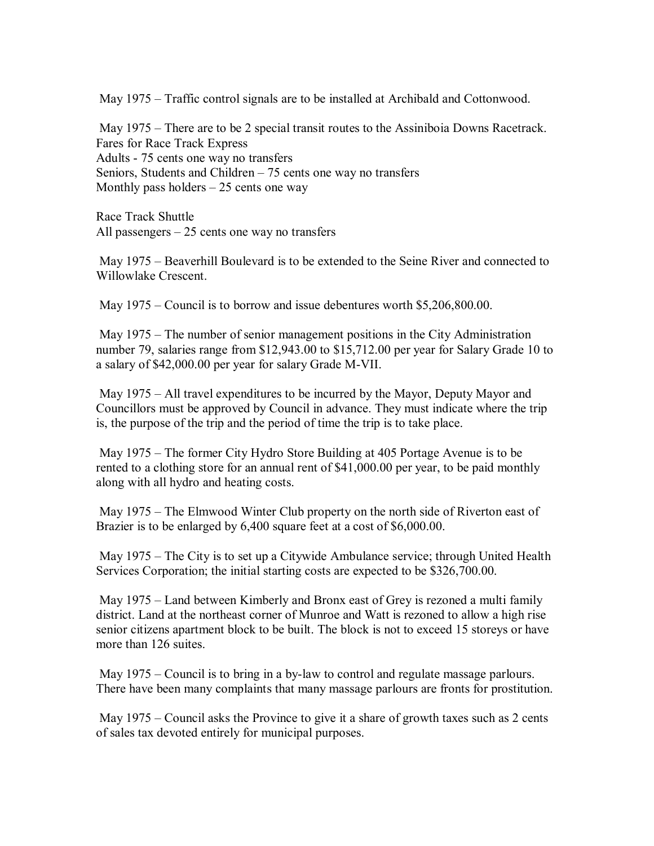May 1975 – Traffic control signals are to be installed at Archibald and Cottonwood.

 May 1975 – There are to be 2 special transit routes to the Assiniboia Downs Racetrack. Fares for Race Track Express Adults - 75 cents one way no transfers Seniors, Students and Children – 75 cents one way no transfers Monthly pass holders  $-25$  cents one way

Race Track Shuttle All passengers  $-25$  cents one way no transfers

 May 1975 – Beaverhill Boulevard is to be extended to the Seine River and connected to Willowlake Crescent.

May 1975 – Council is to borrow and issue debentures worth \$5,206,800.00.

 May 1975 – The number of senior management positions in the City Administration number 79, salaries range from \$12,943.00 to \$15,712.00 per year for Salary Grade 10 to a salary of \$42,000.00 per year for salary Grade M-VII.

 May 1975 – All travel expenditures to be incurred by the Mayor, Deputy Mayor and Councillors must be approved by Council in advance. They must indicate where the trip is, the purpose of the trip and the period of time the trip is to take place.

 May 1975 – The former City Hydro Store Building at 405 Portage Avenue is to be rented to a clothing store for an annual rent of \$41,000.00 per year, to be paid monthly along with all hydro and heating costs.

 May 1975 – The Elmwood Winter Club property on the north side of Riverton east of Brazier is to be enlarged by 6,400 square feet at a cost of \$6,000.00.

 May 1975 – The City is to set up a Citywide Ambulance service; through United Health Services Corporation; the initial starting costs are expected to be \$326,700.00.

 May 1975 – Land between Kimberly and Bronx east of Grey is rezoned a multi family district. Land at the northeast corner of Munroe and Watt is rezoned to allow a high rise senior citizens apartment block to be built. The block is not to exceed 15 storeys or have more than 126 suites.

 May 1975 – Council is to bring in a by-law to control and regulate massage parlours. There have been many complaints that many massage parlours are fronts for prostitution.

May 1975 – Council asks the Province to give it a share of growth taxes such as 2 cents of sales tax devoted entirely for municipal purposes.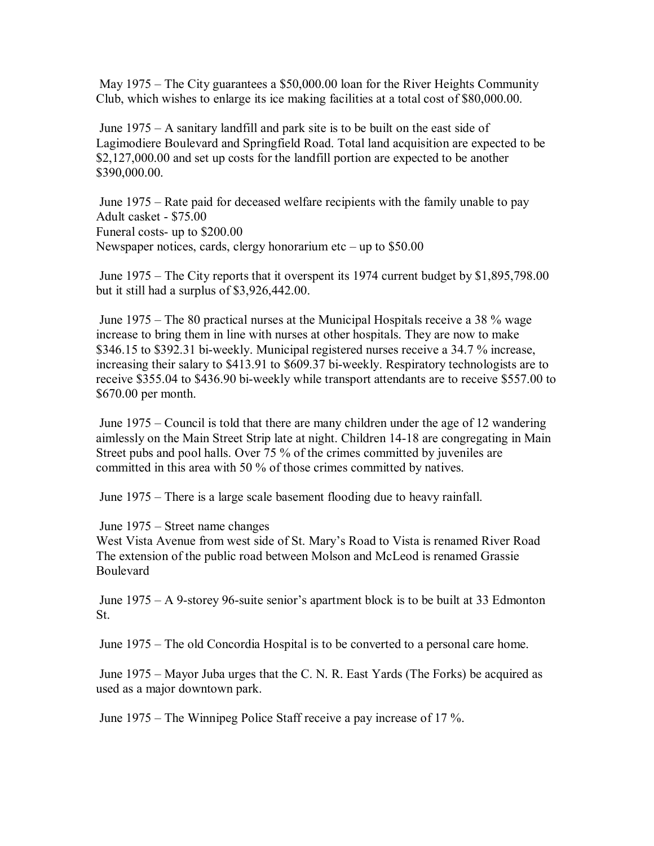May 1975 – The City guarantees a \$50,000.00 loan for the River Heights Community Club, which wishes to enlarge its ice making facilities at a total cost of \$80,000.00.

 June 1975 – A sanitary landfill and park site is to be built on the east side of Lagimodiere Boulevard and Springfield Road. Total land acquisition are expected to be \$2,127,000.00 and set up costs for the landfill portion are expected to be another \$390,000.00.

 June 1975 – Rate paid for deceased welfare recipients with the family unable to pay Adult casket - \$75.00 Funeral costs- up to \$200.00 Newspaper notices, cards, clergy honorarium etc – up to \$50.00

 June 1975 – The City reports that it overspent its 1974 current budget by \$1,895,798.00 but it still had a surplus of \$3,926,442.00.

 June 1975 – The 80 practical nurses at the Municipal Hospitals receive a 38 % wage increase to bring them in line with nurses at other hospitals. They are now to make \$346.15 to \$392.31 bi-weekly. Municipal registered nurses receive a 34.7 % increase, increasing their salary to \$413.91 to \$609.37 bi-weekly. Respiratory technologists are to receive \$355.04 to \$436.90 bi-weekly while transport attendants are to receive \$557.00 to \$670.00 per month.

 June 1975 – Council is told that there are many children under the age of 12 wandering aimlessly on the Main Street Strip late at night. Children 14-18 are congregating in Main Street pubs and pool halls. Over 75 % of the crimes committed by juveniles are committed in this area with 50 % of those crimes committed by natives.

June 1975 – There is a large scale basement flooding due to heavy rainfall.

June 1975 – Street name changes

West Vista Avenue from west side of St. Mary's Road to Vista is renamed River Road The extension of the public road between Molson and McLeod is renamed Grassie Boulevard

 June 1975 – A 9-storey 96-suite senior's apartment block is to be built at 33 Edmonton St.

June 1975 – The old Concordia Hospital is to be converted to a personal care home.

 June 1975 – Mayor Juba urges that the C. N. R. East Yards (The Forks) be acquired as used as a major downtown park.

June 1975 – The Winnipeg Police Staff receive a pay increase of 17 %.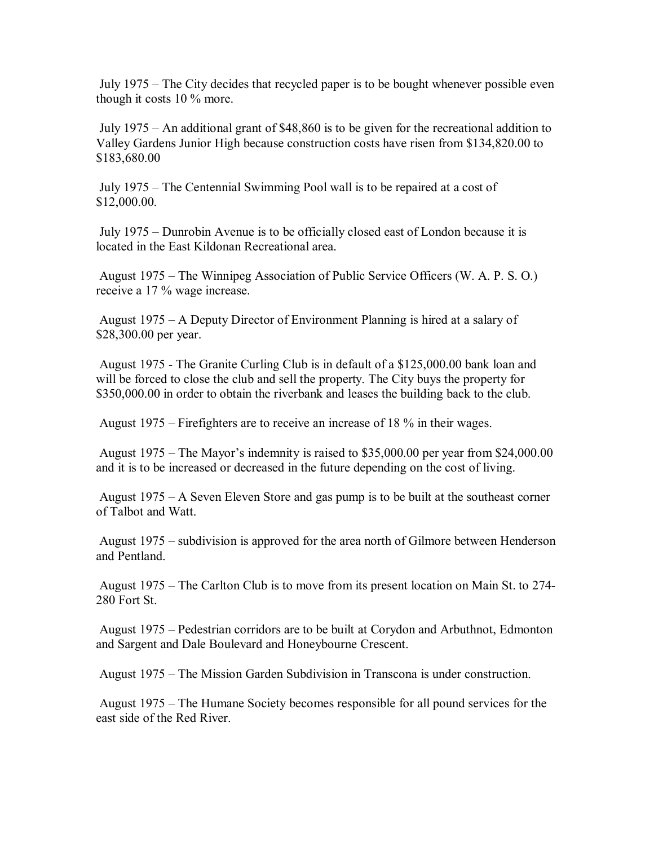July 1975 – The City decides that recycled paper is to be bought whenever possible even though it costs 10 % more.

 July 1975 – An additional grant of \$48,860 is to be given for the recreational addition to Valley Gardens Junior High because construction costs have risen from \$134,820.00 to \$183,680.00

 July 1975 – The Centennial Swimming Pool wall is to be repaired at a cost of \$12,000.00.

 July 1975 – Dunrobin Avenue is to be officially closed east of London because it is located in the East Kildonan Recreational area.

 August 1975 – The Winnipeg Association of Public Service Officers (W. A. P. S. O.) receive a 17 % wage increase.

 August 1975 – A Deputy Director of Environment Planning is hired at a salary of \$28,300.00 per year.

 August 1975 - The Granite Curling Club is in default of a \$125,000.00 bank loan and will be forced to close the club and sell the property. The City buys the property for \$350,000.00 in order to obtain the riverbank and leases the building back to the club.

August 1975 – Firefighters are to receive an increase of 18 % in their wages.

 August 1975 – The Mayor's indemnity is raised to \$35,000.00 per year from \$24,000.00 and it is to be increased or decreased in the future depending on the cost of living.

 August 1975 – A Seven Eleven Store and gas pump is to be built at the southeast corner of Talbot and Watt.

 August 1975 – subdivision is approved for the area north of Gilmore between Henderson and Pentland.

 August 1975 – The Carlton Club is to move from its present location on Main St. to 274- 280 Fort St.

 August 1975 – Pedestrian corridors are to be built at Corydon and Arbuthnot, Edmonton and Sargent and Dale Boulevard and Honeybourne Crescent.

August 1975 – The Mission Garden Subdivision in Transcona is under construction.

 August 1975 – The Humane Society becomes responsible for all pound services for the east side of the Red River.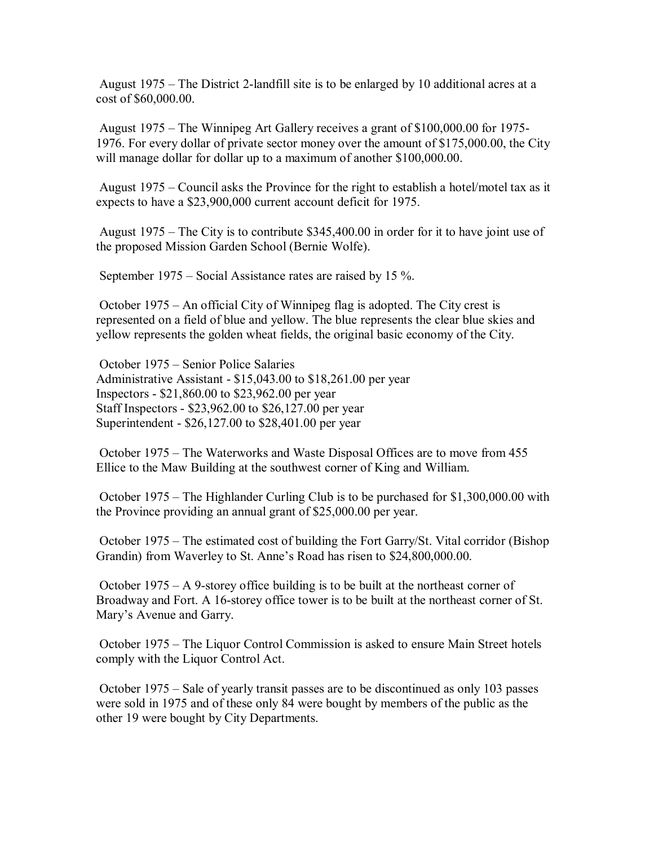August 1975 – The District 2-landfill site is to be enlarged by 10 additional acres at a cost of \$60,000.00.

 August 1975 – The Winnipeg Art Gallery receives a grant of \$100,000.00 for 1975- 1976. For every dollar of private sector money over the amount of \$175,000.00, the City will manage dollar for dollar up to a maximum of another \$100,000.00.

 August 1975 – Council asks the Province for the right to establish a hotel/motel tax as it expects to have a \$23,900,000 current account deficit for 1975.

 August 1975 – The City is to contribute \$345,400.00 in order for it to have joint use of the proposed Mission Garden School (Bernie Wolfe).

September 1975 – Social Assistance rates are raised by 15 %.

 October 1975 – An official City of Winnipeg flag is adopted. The City crest is represented on a field of blue and yellow. The blue represents the clear blue skies and yellow represents the golden wheat fields, the original basic economy of the City.

 October 1975 – Senior Police Salaries Administrative Assistant - \$15,043.00 to \$18,261.00 per year Inspectors - \$21,860.00 to \$23,962.00 per year Staff Inspectors - \$23,962.00 to \$26,127.00 per year Superintendent - \$26,127.00 to \$28,401.00 per year

 October 1975 – The Waterworks and Waste Disposal Offices are to move from 455 Ellice to the Maw Building at the southwest corner of King and William.

 October 1975 – The Highlander Curling Club is to be purchased for \$1,300,000.00 with the Province providing an annual grant of \$25,000.00 per year.

 October 1975 – The estimated cost of building the Fort Garry/St. Vital corridor (Bishop Grandin) from Waverley to St. Anne's Road has risen to \$24,800,000.00.

 October 1975 – A 9-storey office building is to be built at the northeast corner of Broadway and Fort. A 16-storey office tower is to be built at the northeast corner of St. Mary's Avenue and Garry.

 October 1975 – The Liquor Control Commission is asked to ensure Main Street hotels comply with the Liquor Control Act.

 October 1975 – Sale of yearly transit passes are to be discontinued as only 103 passes were sold in 1975 and of these only 84 were bought by members of the public as the other 19 were bought by City Departments.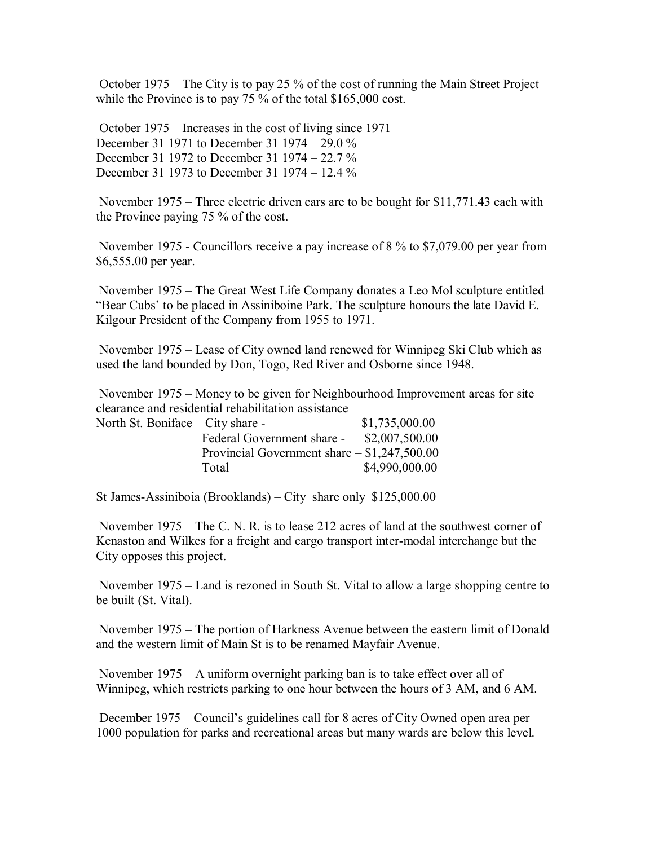October 1975 – The City is to pay 25 % of the cost of running the Main Street Project while the Province is to pay 75 % of the total \$165,000 cost.

 October 1975 – Increases in the cost of living since 1971 December 31 1971 to December 31 1974 – 29.0 % December 31 1972 to December 31 1974 – 22.7 % December 31 1973 to December 31 1974 – 12.4 %

 November 1975 – Three electric driven cars are to be bought for \$11,771.43 each with the Province paying 75 % of the cost.

 November 1975 - Councillors receive a pay increase of 8 % to \$7,079.00 per year from \$6,555.00 per year.

 November 1975 – The Great West Life Company donates a Leo Mol sculpture entitled "Bear Cubs' to be placed in Assiniboine Park. The sculpture honours the late David E. Kilgour President of the Company from 1955 to 1971.

 November 1975 – Lease of City owned land renewed for Winnipeg Ski Club which as used the land bounded by Don, Togo, Red River and Osborne since 1948.

 November 1975 – Money to be given for Neighbourhood Improvement areas for site clearance and residential rehabilitation assistance North St.

| North St. Boniface – City share - |                                               | \$1,735,000.00 |
|-----------------------------------|-----------------------------------------------|----------------|
|                                   | Federal Government share -                    | \$2,007,500.00 |
|                                   | Provincial Government share $- $1,247,500.00$ |                |
| Total                             |                                               | \$4,990,000.00 |

St James-Assiniboia (Brooklands) – City share only \$125,000.00

 November 1975 – The C. N. R. is to lease 212 acres of land at the southwest corner of Kenaston and Wilkes for a freight and cargo transport inter-modal interchange but the City opposes this project.

 November 1975 – Land is rezoned in South St. Vital to allow a large shopping centre to be built (St. Vital).

 November 1975 – The portion of Harkness Avenue between the eastern limit of Donald and the western limit of Main St is to be renamed Mayfair Avenue.

 November 1975 – A uniform overnight parking ban is to take effect over all of Winnipeg, which restricts parking to one hour between the hours of 3 AM, and 6 AM.

 December 1975 – Council's guidelines call for 8 acres of City Owned open area per 1000 population for parks and recreational areas but many wards are below this level.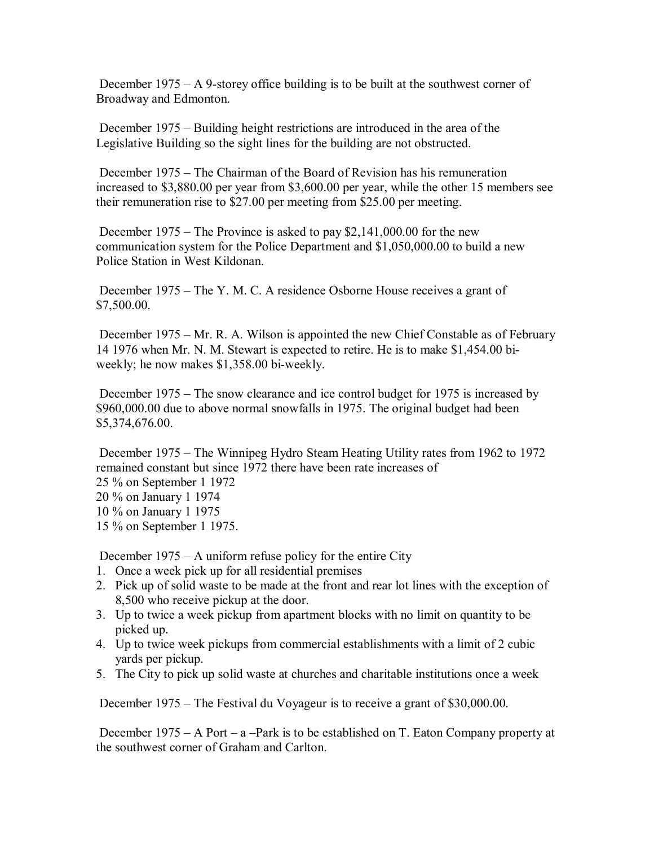December  $1975 - A$  9-storey office building is to be built at the southwest corner of Broadway and Edmonton.

 December 1975 – Building height restrictions are introduced in the area of the Legislative Building so the sight lines for the building are not obstructed.

 December 1975 – The Chairman of the Board of Revision has his remuneration increased to \$3,880.00 per year from \$3,600.00 per year, while the other 15 members see their remuneration rise to \$27.00 per meeting from \$25.00 per meeting.

 December 1975 – The Province is asked to pay \$2,141,000.00 for the new communication system for the Police Department and \$1,050,000.00 to build a new Police Station in West Kildonan.

 December 1975 – The Y. M. C. A residence Osborne House receives a grant of \$7,500.00.

 December 1975 – Mr. R. A. Wilson is appointed the new Chief Constable as of February 14 1976 when Mr. N. M. Stewart is expected to retire. He is to make \$1,454.00 biweekly; he now makes \$1,358.00 bi-weekly.

 December 1975 – The snow clearance and ice control budget for 1975 is increased by \$960,000.00 due to above normal snowfalls in 1975. The original budget had been \$5,374,676.00.

 December 1975 – The Winnipeg Hydro Steam Heating Utility rates from 1962 to 1972 remained constant but since 1972 there have been rate increases of 25 % on September 1 1972 20 % on January 1 1974 10 % on January 1 1975 15 % on September 1 1975.

December 1975 – A uniform refuse policy for the entire City

- 1. Once a week pick up for all residential premises
- 2. Pick up of solid waste to be made at the front and rear lot lines with the exception of 8,500 who receive pickup at the door.
- 3. Up to twice a week pickup from apartment blocks with no limit on quantity to be picked up.
- 4. Up to twice week pickups from commercial establishments with a limit of 2 cubic yards per pickup.
- 5. The City to pick up solid waste at churches and charitable institutions once a week

December 1975 – The Festival du Voyageur is to receive a grant of \$30,000.00.

 December 1975 – A Port – a –Park is to be established on T. Eaton Company property at the southwest corner of Graham and Carlton.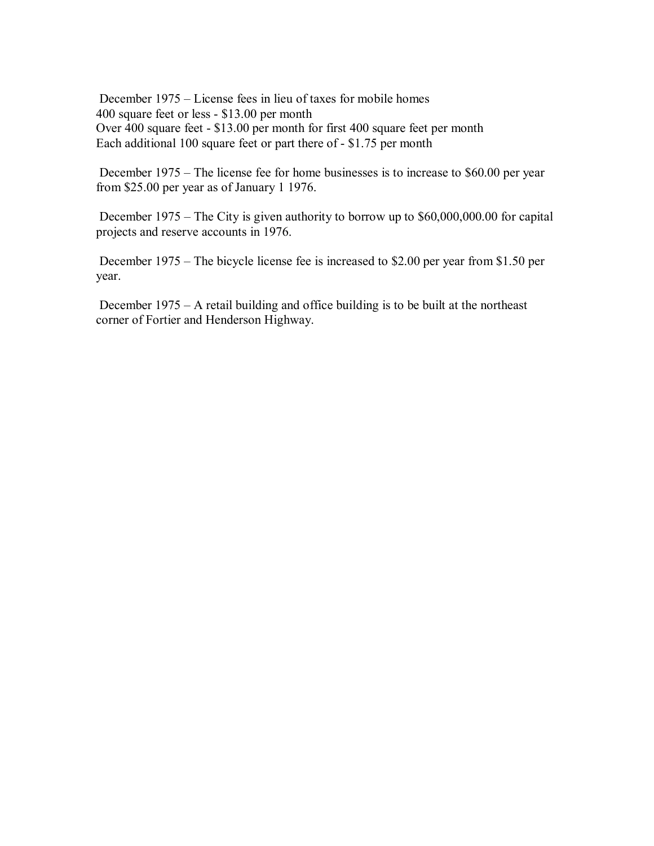December 1975 – License fees in lieu of taxes for mobile homes 400 square feet or less - \$13.00 per month Over 400 square feet - \$13.00 per month for first 400 square feet per month Each additional 100 square feet or part there of - \$1.75 per month

 December 1975 – The license fee for home businesses is to increase to \$60.00 per year from \$25.00 per year as of January 1 1976.

 December 1975 – The City is given authority to borrow up to \$60,000,000.00 for capital projects and reserve accounts in 1976.

 December 1975 – The bicycle license fee is increased to \$2.00 per year from \$1.50 per year.

 December 1975 – A retail building and office building is to be built at the northeast corner of Fortier and Henderson Highway.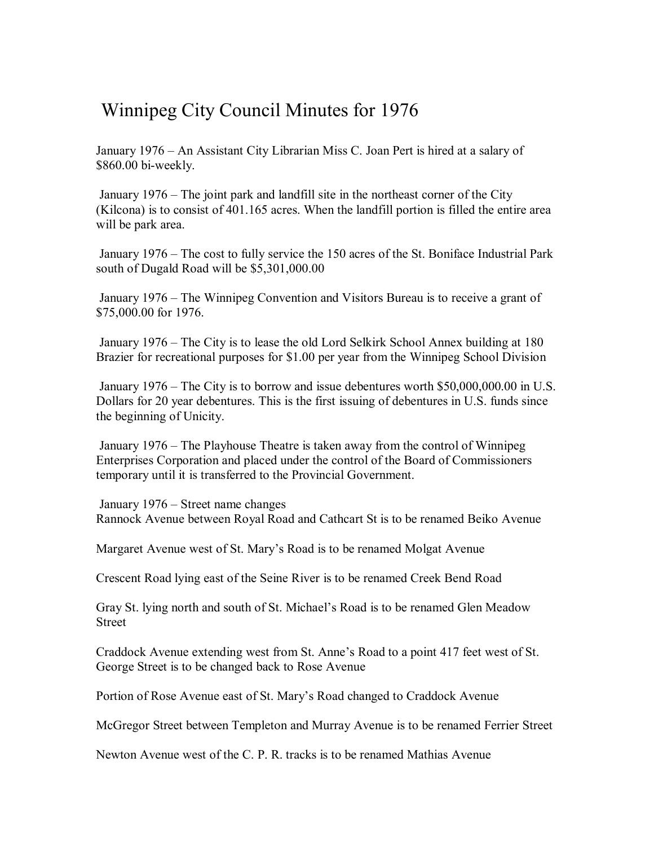## Winnipeg City Council Minutes for 1976

January 1976 – An Assistant City Librarian Miss C. Joan Pert is hired at a salary of \$860.00 bi-weekly.

 January 1976 – The joint park and landfill site in the northeast corner of the City (Kilcona) is to consist of 401.165 acres. When the landfill portion is filled the entire area will be park area.

 January 1976 – The cost to fully service the 150 acres of the St. Boniface Industrial Park south of Dugald Road will be \$5,301,000.00

 January 1976 – The Winnipeg Convention and Visitors Bureau is to receive a grant of \$75,000.00 for 1976.

 January 1976 – The City is to lease the old Lord Selkirk School Annex building at 180 Brazier for recreational purposes for \$1.00 per year from the Winnipeg School Division

 January 1976 – The City is to borrow and issue debentures worth \$50,000,000.00 in U.S. Dollars for 20 year debentures. This is the first issuing of debentures in U.S. funds since the beginning of Unicity.

 January 1976 – The Playhouse Theatre is taken away from the control of Winnipeg Enterprises Corporation and placed under the control of the Board of Commissioners temporary until it is transferred to the Provincial Government.

 January 1976 – Street name changes Rannock Avenue between Royal Road and Cathcart St is to be renamed Beiko Avenue

Margaret Avenue west of St. Mary's Road is to be renamed Molgat Avenue

Crescent Road lying east of the Seine River is to be renamed Creek Bend Road

Gray St. lying north and south of St. Michael's Road is to be renamed Glen Meadow Street

Craddock Avenue extending west from St. Anne's Road to a point 417 feet west of St. George Street is to be changed back to Rose Avenue

Portion of Rose Avenue east of St. Mary's Road changed to Craddock Avenue

McGregor Street between Templeton and Murray Avenue is to be renamed Ferrier Street

Newton Avenue west of the C. P. R. tracks is to be renamed Mathias Avenue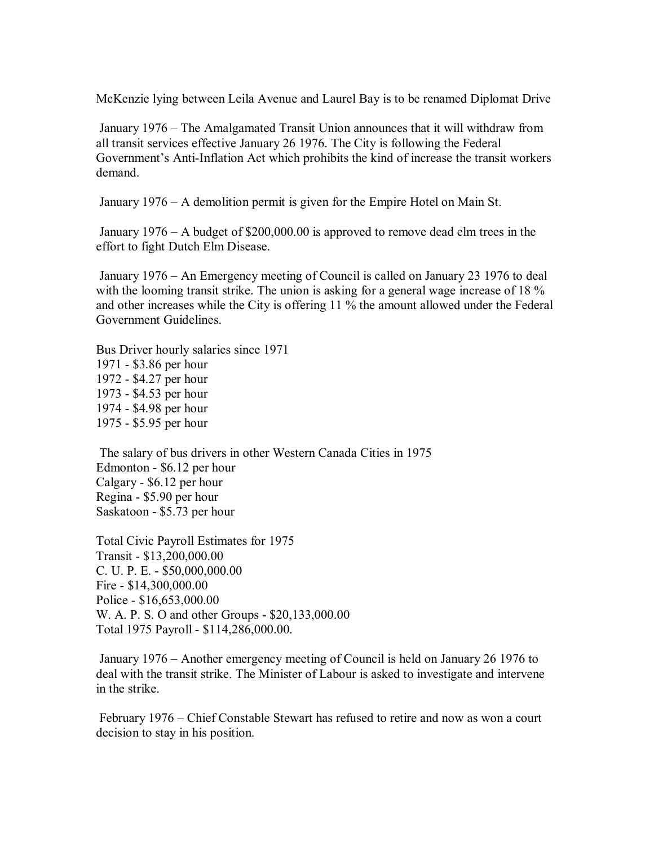McKenzie lying between Leila Avenue and Laurel Bay is to be renamed Diplomat Drive

 January 1976 – The Amalgamated Transit Union announces that it will withdraw from all transit services effective January 26 1976. The City is following the Federal Government's Anti-Inflation Act which prohibits the kind of increase the transit workers demand.

January 1976 – A demolition permit is given for the Empire Hotel on Main St.

 January 1976 – A budget of \$200,000.00 is approved to remove dead elm trees in the effort to fight Dutch Elm Disease.

 January 1976 – An Emergency meeting of Council is called on January 23 1976 to deal with the looming transit strike. The union is asking for a general wage increase of 18 % and other increases while the City is offering 11 % the amount allowed under the Federal Government Guidelines.

Bus Driver hourly salaries since 1971 1971 - \$3.86 per hour 1972 - \$4.27 per hour 1973 - \$4.53 per hour 1974 - \$4.98 per hour 1975 - \$5.95 per hour

 The salary of bus drivers in other Western Canada Cities in 1975 Edmonton - \$6.12 per hour Calgary - \$6.12 per hour Regina - \$5.90 per hour Saskatoon - \$5.73 per hour

Total Civic Payroll Estimates for 1975 Transit - \$13,200,000.00 C. U. P. E. - \$50,000,000.00 Fire - \$14,300,000.00 Police - \$16,653,000.00 W. A. P. S. O and other Groups - \$20,133,000.00 Total 1975 Payroll - \$114,286,000.00.

 January 1976 – Another emergency meeting of Council is held on January 26 1976 to deal with the transit strike. The Minister of Labour is asked to investigate and intervene in the strike.

 February 1976 – Chief Constable Stewart has refused to retire and now as won a court decision to stay in his position.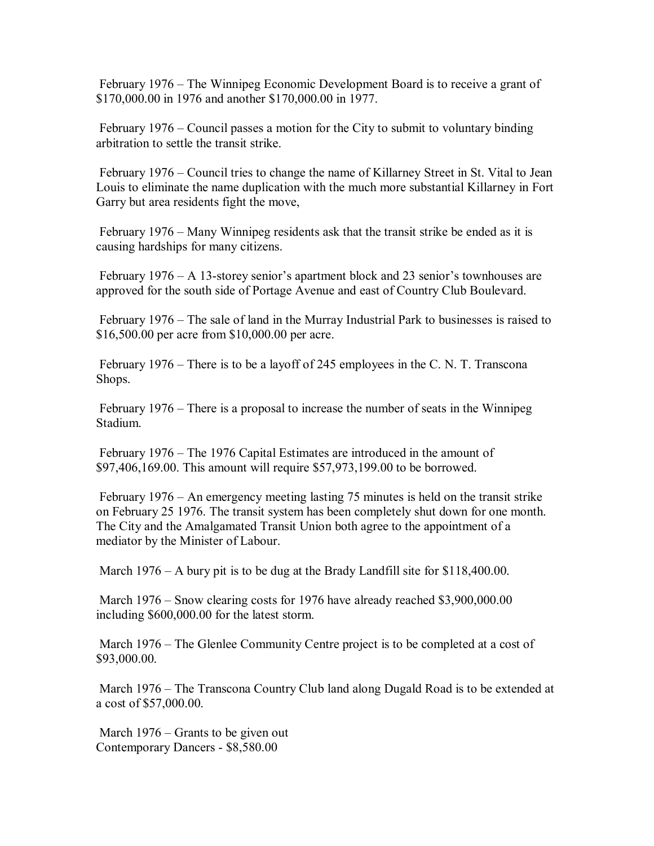February 1976 – The Winnipeg Economic Development Board is to receive a grant of \$170,000.00 in 1976 and another \$170,000.00 in 1977.

 February 1976 – Council passes a motion for the City to submit to voluntary binding arbitration to settle the transit strike.

 February 1976 – Council tries to change the name of Killarney Street in St. Vital to Jean Louis to eliminate the name duplication with the much more substantial Killarney in Fort Garry but area residents fight the move,

 February 1976 – Many Winnipeg residents ask that the transit strike be ended as it is causing hardships for many citizens.

 February 1976 – A 13-storey senior's apartment block and 23 senior's townhouses are approved for the south side of Portage Avenue and east of Country Club Boulevard.

 February 1976 – The sale of land in the Murray Industrial Park to businesses is raised to \$16,500.00 per acre from \$10,000.00 per acre.

 February 1976 – There is to be a layoff of 245 employees in the C. N. T. Transcona Shops.

 February 1976 – There is a proposal to increase the number of seats in the Winnipeg Stadium.

 February 1976 – The 1976 Capital Estimates are introduced in the amount of \$97,406,169.00. This amount will require \$57,973,199.00 to be borrowed.

 February 1976 – An emergency meeting lasting 75 minutes is held on the transit strike on February 25 1976. The transit system has been completely shut down for one month. The City and the Amalgamated Transit Union both agree to the appointment of a mediator by the Minister of Labour.

March 1976 – A bury pit is to be dug at the Brady Landfill site for \$118,400.00.

 March 1976 – Snow clearing costs for 1976 have already reached \$3,900,000.00 including \$600,000.00 for the latest storm.

March 1976 – The Glenlee Community Centre project is to be completed at a cost of \$93,000.00.

 March 1976 – The Transcona Country Club land along Dugald Road is to be extended at a cost of \$57,000.00.

March 1976 – Grants to be given out Contemporary Dancers - \$8,580.00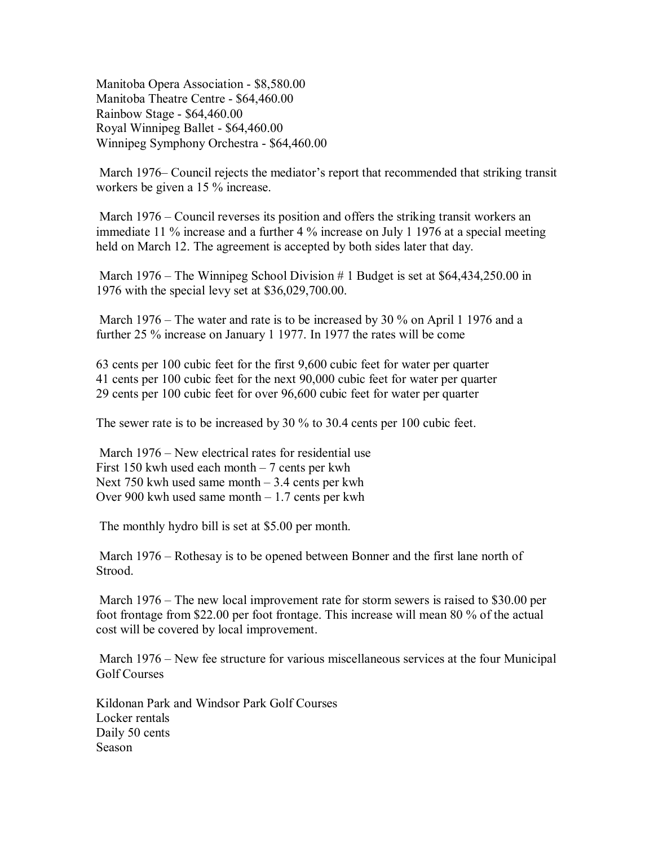Manitoba Opera Association - \$8,580.00 Manitoba Theatre Centre - \$64,460.00 Rainbow Stage - \$64,460.00 Royal Winnipeg Ballet - \$64,460.00 Winnipeg Symphony Orchestra - \$64,460.00

 March 1976– Council rejects the mediator's report that recommended that striking transit workers be given a 15 % increase.

March 1976 – Council reverses its position and offers the striking transit workers an immediate 11 % increase and a further 4 % increase on July 1 1976 at a special meeting held on March 12. The agreement is accepted by both sides later that day.

March 1976 – The Winnipeg School Division # 1 Budget is set at \$64,434,250.00 in 1976 with the special levy set at \$36,029,700.00.

 March 1976 – The water and rate is to be increased by 30 % on April 1 1976 and a further 25 % increase on January 1 1977. In 1977 the rates will be come

63 cents per 100 cubic feet for the first 9,600 cubic feet for water per quarter 41 cents per 100 cubic feet for the next 90,000 cubic feet for water per quarter 29 cents per 100 cubic feet for over 96,600 cubic feet for water per quarter

The sewer rate is to be increased by 30 % to 30.4 cents per 100 cubic feet.

 March 1976 – New electrical rates for residential use First 150 kwh used each month  $-7$  cents per kwh Next 750 kwh used same month  $-3.4$  cents per kwh Over 900 kwh used same month – 1.7 cents per kwh

The monthly hydro bill is set at \$5.00 per month.

 March 1976 – Rothesay is to be opened between Bonner and the first lane north of Strood.

 March 1976 – The new local improvement rate for storm sewers is raised to \$30.00 per foot frontage from \$22.00 per foot frontage. This increase will mean 80 % of the actual cost will be covered by local improvement.

 March 1976 – New fee structure for various miscellaneous services at the four Municipal Golf Courses

Kildonan Park and Windsor Park Golf Courses Locker rentals Daily 50 cents Season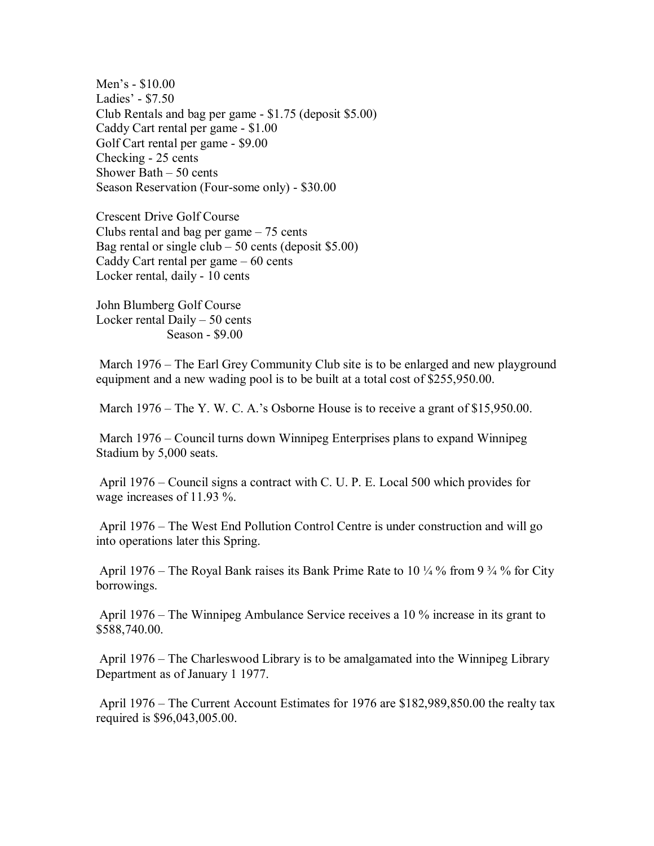Men's - \$10.00 Ladies' - \$7.50 Club Rentals and bag per game - \$1.75 (deposit \$5.00) Caddy Cart rental per game - \$1.00 Golf Cart rental per game - \$9.00 Checking - 25 cents Shower Bath – 50 cents Season Reservation (Four-some only) - \$30.00

Crescent Drive Golf Course Clubs rental and bag per game – 75 cents Bag rental or single club – 50 cents (deposit  $$5.00$ ) Caddy Cart rental per game – 60 cents Locker rental, daily - 10 cents

John Blumberg Golf Course Locker rental Daily – 50 cents Season - \$9.00

 March 1976 – The Earl Grey Community Club site is to be enlarged and new playground equipment and a new wading pool is to be built at a total cost of \$255,950.00.

March 1976 – The Y. W. C. A.'s Osborne House is to receive a grant of \$15,950.00.

 March 1976 – Council turns down Winnipeg Enterprises plans to expand Winnipeg Stadium by 5,000 seats.

 April 1976 – Council signs a contract with C. U. P. E. Local 500 which provides for wage increases of 11.93 %.

 April 1976 – The West End Pollution Control Centre is under construction and will go into operations later this Spring.

April 1976 – The Royal Bank raises its Bank Prime Rate to 10  $\frac{1}{4}$  % from 9  $\frac{3}{4}$  % for City borrowings.

 April 1976 – The Winnipeg Ambulance Service receives a 10 % increase in its grant to \$588,740.00.

 April 1976 – The Charleswood Library is to be amalgamated into the Winnipeg Library Department as of January 1 1977.

 April 1976 – The Current Account Estimates for 1976 are \$182,989,850.00 the realty tax required is \$96,043,005.00.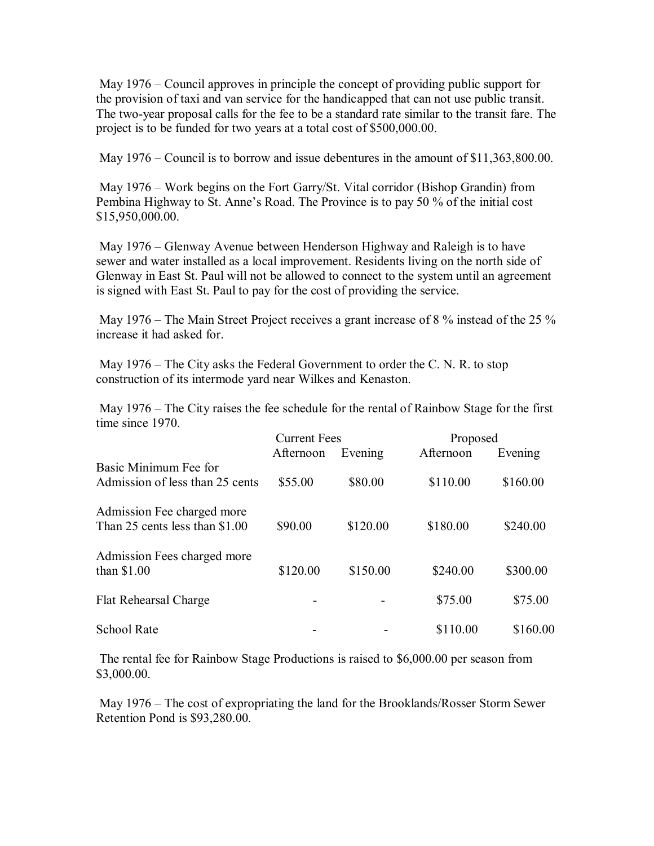May 1976 – Council approves in principle the concept of providing public support for the provision of taxi and van service for the handicapped that can not use public transit. The two-year proposal calls for the fee to be a standard rate similar to the transit fare. The project is to be funded for two years at a total cost of \$500,000.00.

May 1976 – Council is to borrow and issue debentures in the amount of \$11,363,800.00.

 May 1976 – Work begins on the Fort Garry/St. Vital corridor (Bishop Grandin) from Pembina Highway to St. Anne's Road. The Province is to pay 50 % of the initial cost \$15,950,000.00.

 May 1976 – Glenway Avenue between Henderson Highway and Raleigh is to have sewer and water installed as a local improvement. Residents living on the north side of Glenway in East St. Paul will not be allowed to connect to the system until an agreement is signed with East St. Paul to pay for the cost of providing the service.

May 1976 – The Main Street Project receives a grant increase of 8 % instead of the 25 % increase it had asked for.

 May 1976 – The City asks the Federal Government to order the C. N. R. to stop construction of its intermode yard near Wilkes and Kenaston.

 May 1976 – The City raises the fee schedule for the rental of Rainbow Stage for the first time since 1970.

|                                                              | <b>Current Fees</b> |          | Proposed  |          |
|--------------------------------------------------------------|---------------------|----------|-----------|----------|
|                                                              | Afternoon           | Evening  | Afternoon | Evening  |
| Basic Minimum Fee for<br>Admission of less than 25 cents     | \$55.00             | \$80.00  | \$110.00  | \$160.00 |
| Admission Fee charged more<br>Than 25 cents less than \$1.00 | \$90.00             | \$120.00 | \$180.00  | \$240.00 |
| Admission Fees charged more<br>than $$1.00$                  | \$120.00            | \$150.00 | \$240.00  | \$300.00 |
| Flat Rehearsal Charge                                        |                     |          | \$75.00   | \$75.00  |
| <b>School Rate</b>                                           |                     |          | \$110.00  | \$160.00 |

 The rental fee for Rainbow Stage Productions is raised to \$6,000.00 per season from \$3,000.00.

 May 1976 – The cost of expropriating the land for the Brooklands/Rosser Storm Sewer Retention Pond is \$93,280.00.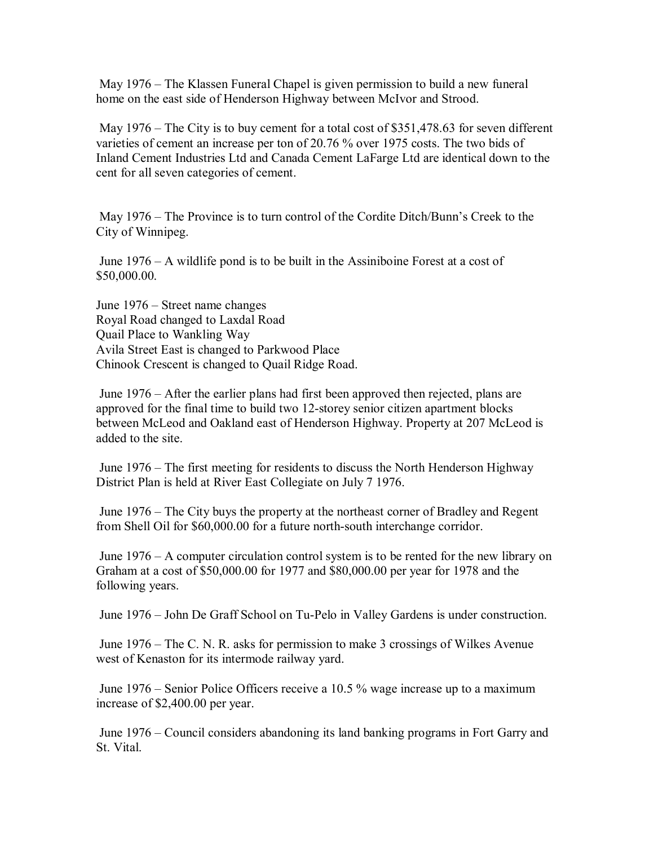May 1976 – The Klassen Funeral Chapel is given permission to build a new funeral home on the east side of Henderson Highway between McIvor and Strood.

 May 1976 – The City is to buy cement for a total cost of \$351,478.63 for seven different varieties of cement an increase per ton of 20.76 % over 1975 costs. The two bids of Inland Cement Industries Ltd and Canada Cement LaFarge Ltd are identical down to the cent for all seven categories of cement.

 May 1976 – The Province is to turn control of the Cordite Ditch/Bunn's Creek to the City of Winnipeg.

 June 1976 – A wildlife pond is to be built in the Assiniboine Forest at a cost of \$50,000.00.

June 1976 – Street name changes Royal Road changed to Laxdal Road Quail Place to Wankling Way Avila Street East is changed to Parkwood Place Chinook Crescent is changed to Quail Ridge Road.

 June 1976 – After the earlier plans had first been approved then rejected, plans are approved for the final time to build two 12-storey senior citizen apartment blocks between McLeod and Oakland east of Henderson Highway. Property at 207 McLeod is added to the site.

 June 1976 – The first meeting for residents to discuss the North Henderson Highway District Plan is held at River East Collegiate on July 7 1976.

 June 1976 – The City buys the property at the northeast corner of Bradley and Regent from Shell Oil for \$60,000.00 for a future north-south interchange corridor.

 June 1976 – A computer circulation control system is to be rented for the new library on Graham at a cost of \$50,000.00 for 1977 and \$80,000.00 per year for 1978 and the following years.

June 1976 – John De Graff School on Tu-Pelo in Valley Gardens is under construction.

 June 1976 – The C. N. R. asks for permission to make 3 crossings of Wilkes Avenue west of Kenaston for its intermode railway yard.

 June 1976 – Senior Police Officers receive a 10.5 % wage increase up to a maximum increase of \$2,400.00 per year.

 June 1976 – Council considers abandoning its land banking programs in Fort Garry and St. Vital.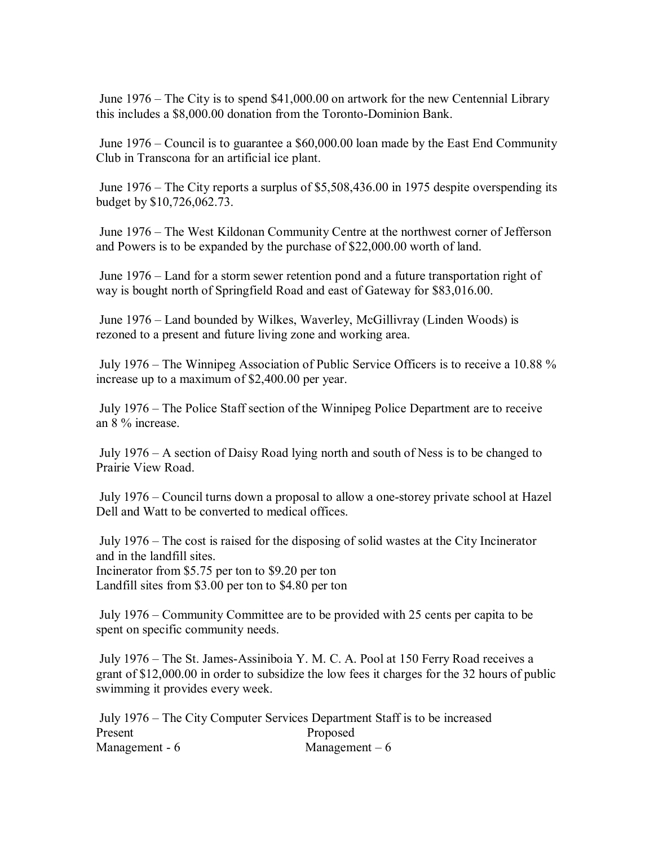June 1976 – The City is to spend \$41,000.00 on artwork for the new Centennial Library this includes a \$8,000.00 donation from the Toronto-Dominion Bank.

 June 1976 – Council is to guarantee a \$60,000.00 loan made by the East End Community Club in Transcona for an artificial ice plant.

 June 1976 – The City reports a surplus of \$5,508,436.00 in 1975 despite overspending its budget by \$10,726,062.73.

 June 1976 – The West Kildonan Community Centre at the northwest corner of Jefferson and Powers is to be expanded by the purchase of \$22,000.00 worth of land.

 June 1976 – Land for a storm sewer retention pond and a future transportation right of way is bought north of Springfield Road and east of Gateway for \$83,016.00.

 June 1976 – Land bounded by Wilkes, Waverley, McGillivray (Linden Woods) is rezoned to a present and future living zone and working area.

 July 1976 – The Winnipeg Association of Public Service Officers is to receive a 10.88 % increase up to a maximum of \$2,400.00 per year.

 July 1976 – The Police Staff section of the Winnipeg Police Department are to receive an 8 % increase.

 July 1976 – A section of Daisy Road lying north and south of Ness is to be changed to Prairie View Road.

 July 1976 – Council turns down a proposal to allow a one-storey private school at Hazel Dell and Watt to be converted to medical offices.

 July 1976 – The cost is raised for the disposing of solid wastes at the City Incinerator and in the landfill sites. Incinerator from \$5.75 per ton to \$9.20 per ton Landfill sites from \$3.00 per ton to \$4.80 per ton

 July 1976 – Community Committee are to be provided with 25 cents per capita to be spent on specific community needs.

 July 1976 – The St. James-Assiniboia Y. M. C. A. Pool at 150 Ferry Road receives a grant of \$12,000.00 in order to subsidize the low fees it charges for the 32 hours of public swimming it provides every week.

 July 1976 – The City Computer Services Department Staff is to be increased Present Proposed Management - 6 Management – 6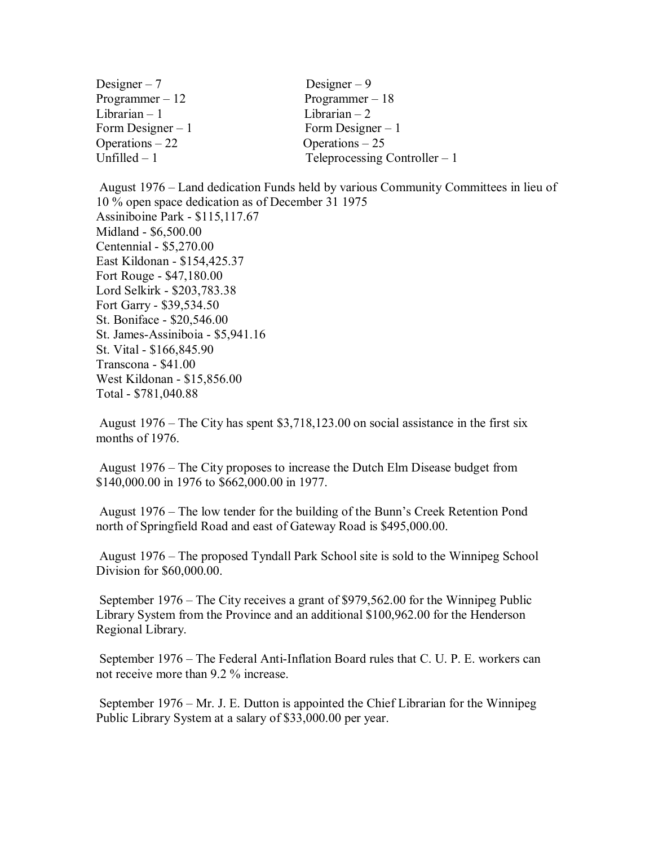| Designer $-7$      | Designer $-9$                  |
|--------------------|--------------------------------|
| Programmer $-12$   | Programmer $-18$               |
| Librarian – 1      | Librarian $-2$                 |
| Form Designer $-1$ | Form Designer $-1$             |
| Operations $-22$   | Operations $-25$               |
| Unfilled – 1       | Teleprocessing Controller $-1$ |

 August 1976 – Land dedication Funds held by various Community Committees in lieu of 10 % open space dedication as of December 31 1975 Assiniboine Park - \$115,117.67 Midland - \$6,500.00 Centennial - \$5,270.00 East Kildonan - \$154,425.37 Fort Rouge - \$47,180.00 Lord Selkirk - \$203,783.38 Fort Garry - \$39,534.50 St. Boniface - \$20,546.00 St. James-Assiniboia - \$5,941.16 St. Vital - \$166,845.90 Transcona - \$41.00 West Kildonan - \$15,856.00 Total - \$781,040.88

 August 1976 – The City has spent \$3,718,123.00 on social assistance in the first six months of 1976.

 August 1976 – The City proposes to increase the Dutch Elm Disease budget from \$140,000.00 in 1976 to \$662,000.00 in 1977.

 August 1976 – The low tender for the building of the Bunn's Creek Retention Pond north of Springfield Road and east of Gateway Road is \$495,000.00.

 August 1976 – The proposed Tyndall Park School site is sold to the Winnipeg School Division for \$60,000.00.

 September 1976 – The City receives a grant of \$979,562.00 for the Winnipeg Public Library System from the Province and an additional \$100,962.00 for the Henderson Regional Library.

 September 1976 – The Federal Anti-Inflation Board rules that C. U. P. E. workers can not receive more than 9.2 % increase.

 September 1976 – Mr. J. E. Dutton is appointed the Chief Librarian for the Winnipeg Public Library System at a salary of \$33,000.00 per year.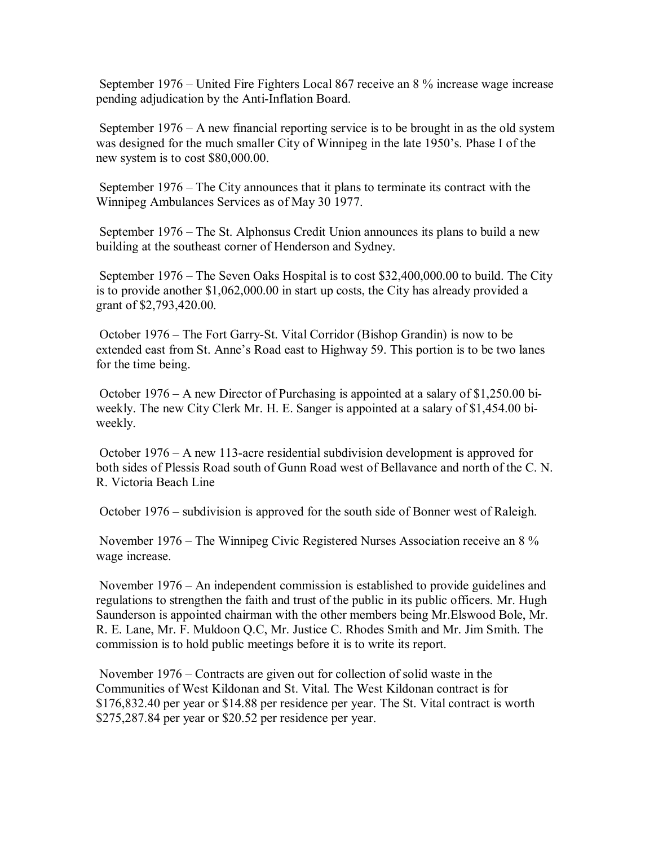September 1976 – United Fire Fighters Local 867 receive an 8 % increase wage increase pending adjudication by the Anti-Inflation Board.

 September 1976 – A new financial reporting service is to be brought in as the old system was designed for the much smaller City of Winnipeg in the late 1950's. Phase I of the new system is to cost \$80,000.00.

 September 1976 – The City announces that it plans to terminate its contract with the Winnipeg Ambulances Services as of May 30 1977.

 September 1976 – The St. Alphonsus Credit Union announces its plans to build a new building at the southeast corner of Henderson and Sydney.

 September 1976 – The Seven Oaks Hospital is to cost \$32,400,000.00 to build. The City is to provide another \$1,062,000.00 in start up costs, the City has already provided a grant of \$2,793,420.00.

 October 1976 – The Fort Garry-St. Vital Corridor (Bishop Grandin) is now to be extended east from St. Anne's Road east to Highway 59. This portion is to be two lanes for the time being.

 October 1976 – A new Director of Purchasing is appointed at a salary of \$1,250.00 biweekly. The new City Clerk Mr. H. E. Sanger is appointed at a salary of \$1,454.00 biweekly.

 October 1976 – A new 113-acre residential subdivision development is approved for both sides of Plessis Road south of Gunn Road west of Bellavance and north of the C. N. R. Victoria Beach Line

October 1976 – subdivision is approved for the south side of Bonner west of Raleigh.

 November 1976 – The Winnipeg Civic Registered Nurses Association receive an 8 % wage increase.

 November 1976 – An independent commission is established to provide guidelines and regulations to strengthen the faith and trust of the public in its public officers. Mr. Hugh Saunderson is appointed chairman with the other members being Mr.Elswood Bole, Mr. R. E. Lane, Mr. F. Muldoon Q.C, Mr. Justice C. Rhodes Smith and Mr. Jim Smith. The commission is to hold public meetings before it is to write its report.

 November 1976 – Contracts are given out for collection of solid waste in the Communities of West Kildonan and St. Vital. The West Kildonan contract is for \$176,832.40 per year or \$14.88 per residence per year. The St. Vital contract is worth \$275,287.84 per year or \$20.52 per residence per year.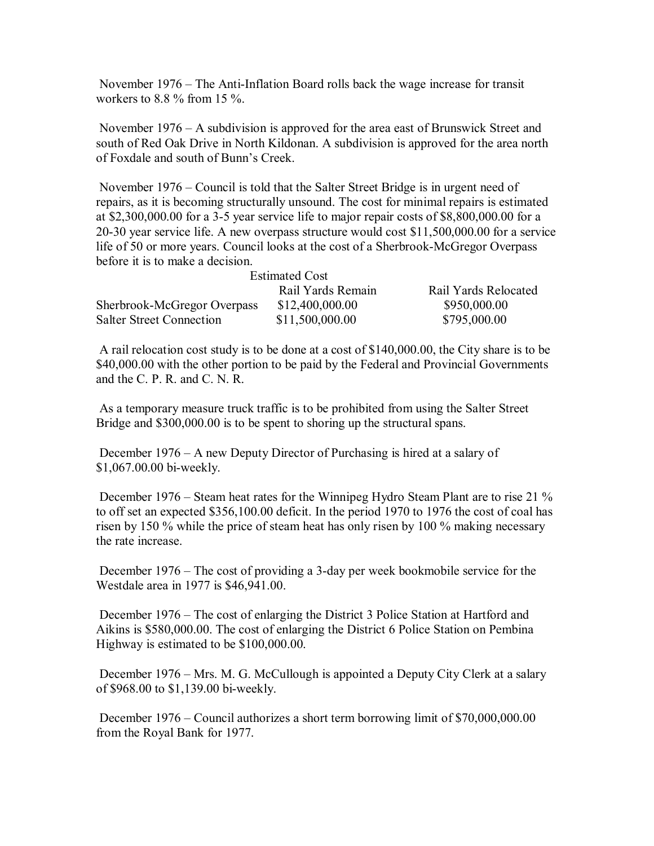November 1976 – The Anti-Inflation Board rolls back the wage increase for transit workers to 8.8  $\%$  from 15  $\%$ .

 November 1976 – A subdivision is approved for the area east of Brunswick Street and south of Red Oak Drive in North Kildonan. A subdivision is approved for the area north of Foxdale and south of Bunn's Creek.

 November 1976 – Council is told that the Salter Street Bridge is in urgent need of repairs, as it is becoming structurally unsound. The cost for minimal repairs is estimated at \$2,300,000.00 for a 3-5 year service life to major repair costs of \$8,800,000.00 for a 20-30 year service life. A new overpass structure would cost \$11,500,000.00 for a service life of 50 or more years. Council looks at the cost of a Sherbrook-McGregor Overpass before it is to make a decision.

| <b>Estimated Cost</b>           |                   |                      |
|---------------------------------|-------------------|----------------------|
|                                 | Rail Yards Remain | Rail Yards Relocated |
| Sherbrook-McGregor Overpass     | \$12,400,000.00   | \$950,000.00         |
| <b>Salter Street Connection</b> | \$11,500,000.00   | \$795,000.00         |

 A rail relocation cost study is to be done at a cost of \$140,000.00, the City share is to be \$40,000.00 with the other portion to be paid by the Federal and Provincial Governments and the C. P. R. and C. N. R.

 As a temporary measure truck traffic is to be prohibited from using the Salter Street Bridge and \$300,000.00 is to be spent to shoring up the structural spans.

 December 1976 – A new Deputy Director of Purchasing is hired at a salary of \$1,067.00.00 bi-weekly.

 December 1976 – Steam heat rates for the Winnipeg Hydro Steam Plant are to rise 21 % to off set an expected \$356,100.00 deficit. In the period 1970 to 1976 the cost of coal has risen by 150 % while the price of steam heat has only risen by 100 % making necessary the rate increase.

 December 1976 – The cost of providing a 3-day per week bookmobile service for the Westdale area in 1977 is \$46,941.00.

 December 1976 – The cost of enlarging the District 3 Police Station at Hartford and Aikins is \$580,000.00. The cost of enlarging the District 6 Police Station on Pembina Highway is estimated to be \$100,000.00.

 December 1976 – Mrs. M. G. McCullough is appointed a Deputy City Clerk at a salary of \$968.00 to \$1,139.00 bi-weekly.

 December 1976 – Council authorizes a short term borrowing limit of \$70,000,000.00 from the Royal Bank for 1977.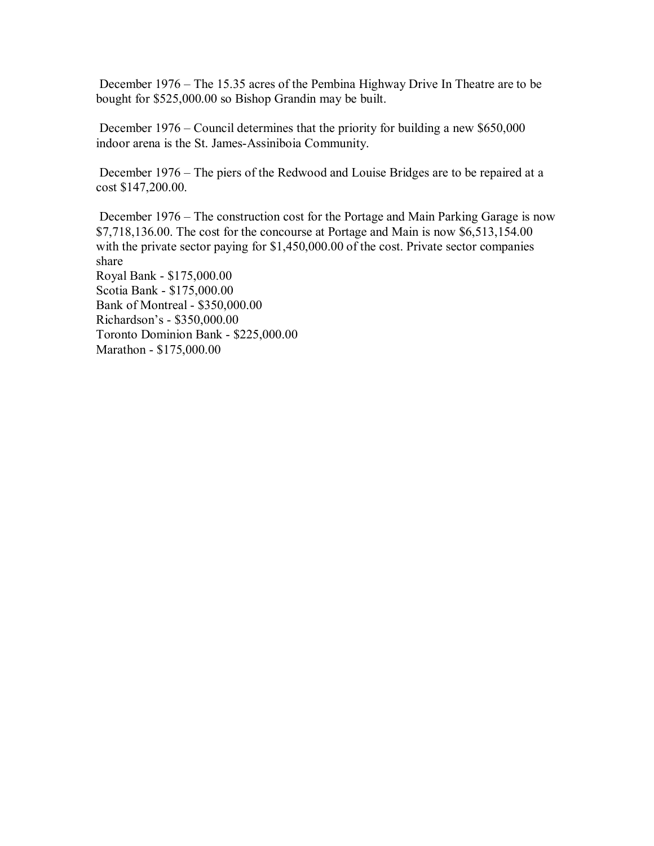December 1976 – The 15.35 acres of the Pembina Highway Drive In Theatre are to be bought for \$525,000.00 so Bishop Grandin may be built.

 December 1976 – Council determines that the priority for building a new \$650,000 indoor arena is the St. James-Assiniboia Community.

 December 1976 – The piers of the Redwood and Louise Bridges are to be repaired at a cost \$147,200.00.

 December 1976 – The construction cost for the Portage and Main Parking Garage is now \$7,718,136.00. The cost for the concourse at Portage and Main is now \$6,513,154.00 with the private sector paying for \$1,450,000.00 of the cost. Private sector companies share Royal Bank - \$175,000.00 Scotia Bank - \$175,000.00 Bank of Montreal - \$350,000.00 Richardson's - \$350,000.00 Toronto Dominion Bank - \$225,000.00

Marathon - \$175,000.00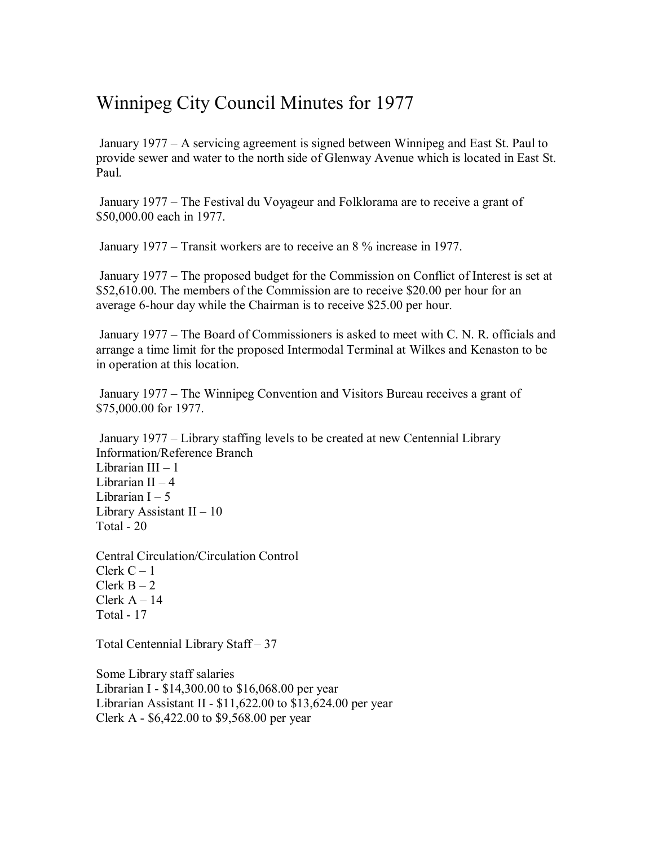## Winnipeg City Council Minutes for 1977

 January 1977 – A servicing agreement is signed between Winnipeg and East St. Paul to provide sewer and water to the north side of Glenway Avenue which is located in East St. Paul.

 January 1977 – The Festival du Voyageur and Folklorama are to receive a grant of \$50,000.00 each in 1977.

January 1977 – Transit workers are to receive an 8 % increase in 1977.

 January 1977 – The proposed budget for the Commission on Conflict of Interest is set at \$52,610.00. The members of the Commission are to receive \$20.00 per hour for an average 6-hour day while the Chairman is to receive \$25.00 per hour.

 January 1977 – The Board of Commissioners is asked to meet with C. N. R. officials and arrange a time limit for the proposed Intermodal Terminal at Wilkes and Kenaston to be in operation at this location.

 January 1977 – The Winnipeg Convention and Visitors Bureau receives a grant of \$75,000.00 for 1977.

 January 1977 – Library staffing levels to be created at new Centennial Library Information/Reference Branch Librarian III – 1 Librarian II  $-4$ Librarian  $I - 5$ Library Assistant II – 10 Total - 20

Central Circulation/Circulation Control Clerk  $C - 1$ Clerk  $B - 2$ Clerk  $A - 14$ Total - 17

Total Centennial Library Staff – 37

Some Library staff salaries Librarian I - \$14,300.00 to \$16,068.00 per year Librarian Assistant II - \$11,622.00 to \$13,624.00 per year Clerk A - \$6,422.00 to \$9,568.00 per year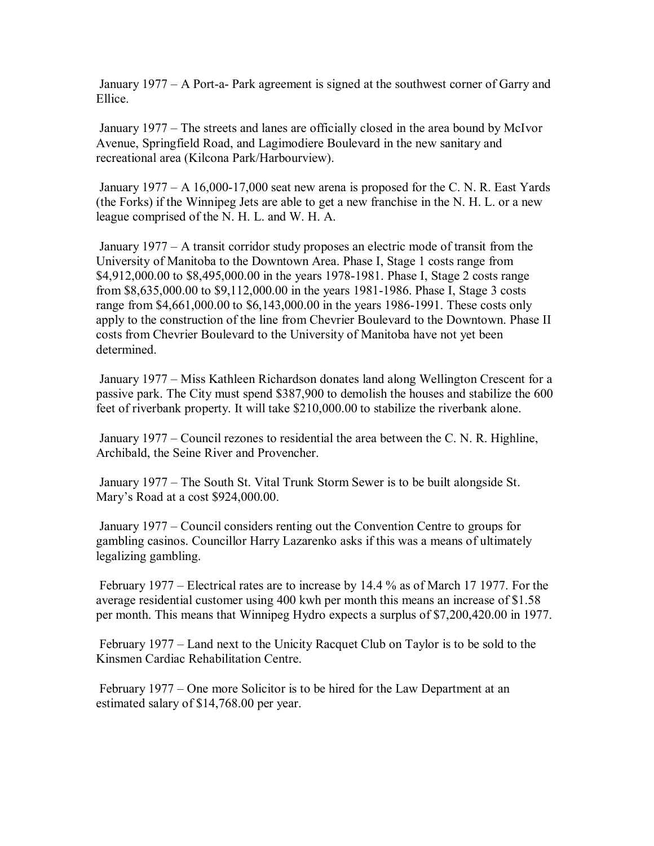January 1977 – A Port-a- Park agreement is signed at the southwest corner of Garry and Ellice.

 January 1977 – The streets and lanes are officially closed in the area bound by McIvor Avenue, Springfield Road, and Lagimodiere Boulevard in the new sanitary and recreational area (Kilcona Park/Harbourview).

 January 1977 – A 16,000-17,000 seat new arena is proposed for the C. N. R. East Yards (the Forks) if the Winnipeg Jets are able to get a new franchise in the N. H. L. or a new league comprised of the N. H. L. and W. H. A.

 January 1977 – A transit corridor study proposes an electric mode of transit from the University of Manitoba to the Downtown Area. Phase I, Stage 1 costs range from \$4,912,000.00 to \$8,495,000.00 in the years 1978-1981. Phase I, Stage 2 costs range from \$8,635,000.00 to \$9,112,000.00 in the years 1981-1986. Phase I, Stage 3 costs range from \$4,661,000.00 to \$6,143,000.00 in the years 1986-1991. These costs only apply to the construction of the line from Chevrier Boulevard to the Downtown. Phase II costs from Chevrier Boulevard to the University of Manitoba have not yet been determined.

 January 1977 – Miss Kathleen Richardson donates land along Wellington Crescent for a passive park. The City must spend \$387,900 to demolish the houses and stabilize the 600 feet of riverbank property. It will take \$210,000.00 to stabilize the riverbank alone.

 January 1977 – Council rezones to residential the area between the C. N. R. Highline, Archibald, the Seine River and Provencher.

 January 1977 – The South St. Vital Trunk Storm Sewer is to be built alongside St. Mary's Road at a cost \$924,000.00.

 January 1977 – Council considers renting out the Convention Centre to groups for gambling casinos. Councillor Harry Lazarenko asks if this was a means of ultimately legalizing gambling.

 February 1977 – Electrical rates are to increase by 14.4 % as of March 17 1977. For the average residential customer using 400 kwh per month this means an increase of \$1.58 per month. This means that Winnipeg Hydro expects a surplus of \$7,200,420.00 in 1977.

 February 1977 – Land next to the Unicity Racquet Club on Taylor is to be sold to the Kinsmen Cardiac Rehabilitation Centre.

 February 1977 – One more Solicitor is to be hired for the Law Department at an estimated salary of \$14,768.00 per year.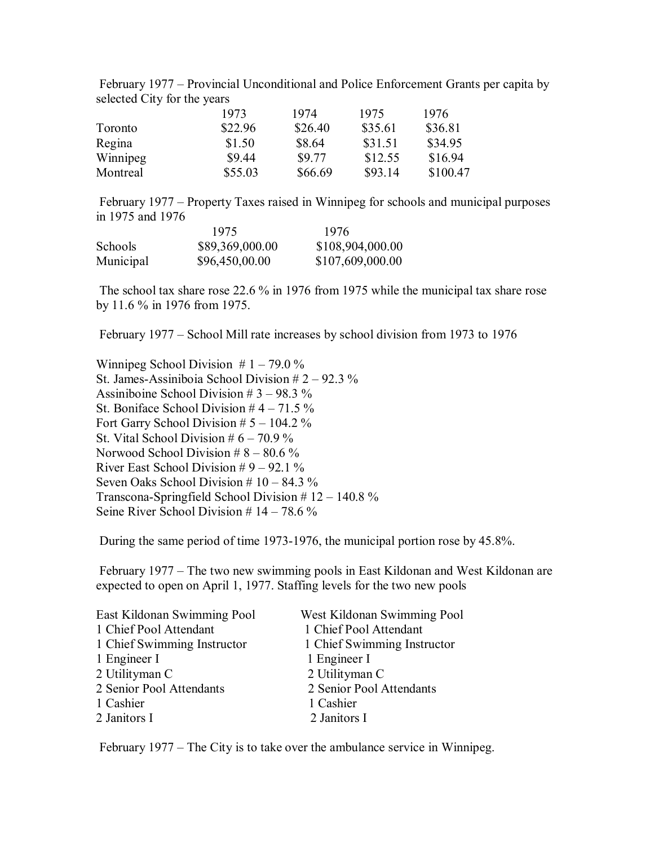February 1977 – Provincial Unconditional and Police Enforcement Grants per capita by selected City for the years

|          | 1973    | 1974    | 1975    | 1976     |
|----------|---------|---------|---------|----------|
| Toronto  | \$22.96 | \$26.40 | \$35.61 | \$36.81  |
| Regina   | \$1.50  | \$8.64  | \$31.51 | \$34.95  |
| Winnipeg | \$9.44  | \$9.77  | \$12.55 | \$16.94  |
| Montreal | \$55.03 | \$66.69 | \$93.14 | \$100.47 |

 February 1977 – Property Taxes raised in Winnipeg for schools and municipal purposes in 1975 and 1976

|           | 1975            | 1976             |
|-----------|-----------------|------------------|
| Schools   | \$89,369,000.00 | \$108,904,000.00 |
| Municipal | \$96,450,00.00  | \$107,609,000.00 |

 The school tax share rose 22.6 % in 1976 from 1975 while the municipal tax share rose by 11.6 % in 1976 from 1975.

February 1977 – School Mill rate increases by school division from 1973 to 1976

Winnipeg School Division  $# 1 - 79.0 \%$ St. James-Assiniboia School Division # 2 – 92.3 % Assiniboine School Division # 3 – 98.3 % St. Boniface School Division  $#4 - 71.5\%$ Fort Garry School Division  $# 5 - 104.2 \%$ St. Vital School Division  $# 6 - 70.9 \%$ Norwood School Division  $# 8 - 80.6 \%$ River East School Division  $# 9 - 92.1 \%$ Seven Oaks School Division # 10 – 84.3 % Transcona-Springfield School Division # 12 – 140.8 % Seine River School Division  $# 14 - 78.6 \%$ 

During the same period of time 1973-1976, the municipal portion rose by 45.8%.

 February 1977 – The two new swimming pools in East Kildonan and West Kildonan are expected to open on April 1, 1977. Staffing levels for the two new pools

| East Kildonan Swimming Pool | West Kildonan Swimming Pool |
|-----------------------------|-----------------------------|
| 1 Chief Pool Attendant      | 1 Chief Pool Attendant      |
| 1 Chief Swimming Instructor | 1 Chief Swimming Instructor |
| 1 Engineer I                | 1 Engineer I                |
| 2 Utilityman C              | 2 Utilityman C              |
| 2 Senior Pool Attendants    | 2 Senior Pool Attendants    |
| 1 Cashier                   | 1 Cashier                   |
| 2 Janitors I                | 2 Janitors I                |
|                             |                             |

February 1977 – The City is to take over the ambulance service in Winnipeg.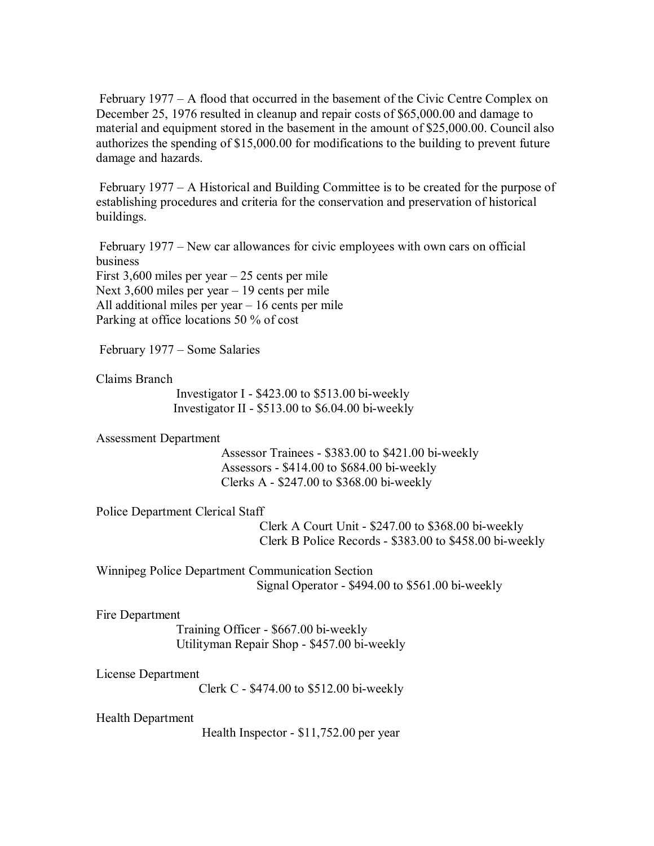February 1977 – A flood that occurred in the basement of the Civic Centre Complex on December 25, 1976 resulted in cleanup and repair costs of \$65,000.00 and damage to material and equipment stored in the basement in the amount of \$25,000.00. Council also authorizes the spending of \$15,000.00 for modifications to the building to prevent future damage and hazards.

 February 1977 – A Historical and Building Committee is to be created for the purpose of establishing procedures and criteria for the conservation and preservation of historical buildings.

 February 1977 – New car allowances for civic employees with own cars on official business First 3,600 miles per year – 25 cents per mile Next 3,600 miles per year – 19 cents per mile All additional miles per year – 16 cents per mile Parking at office locations 50 % of cost

February 1977 – Some Salaries

Claims Branch

 Investigator I - \$423.00 to \$513.00 bi-weekly Investigator II - \$513.00 to \$6.04.00 bi-weekly

Assessment Department

 Assessor Trainees - \$383.00 to \$421.00 bi-weekly Assessors - \$414.00 to \$684.00 bi-weekly Clerks A - \$247.00 to \$368.00 bi-weekly

Police Department Clerical Staff

 Clerk A Court Unit - \$247.00 to \$368.00 bi-weekly Clerk B Police Records - \$383.00 to \$458.00 bi-weekly

Winnipeg Police Department Communication Section Signal Operator - \$494.00 to \$561.00 bi-weekly

Fire Department

 Training Officer - \$667.00 bi-weekly Utilityman Repair Shop - \$457.00 bi-weekly

License Department

Clerk C - \$474.00 to \$512.00 bi-weekly

Health Department

Health Inspector - \$11,752.00 per year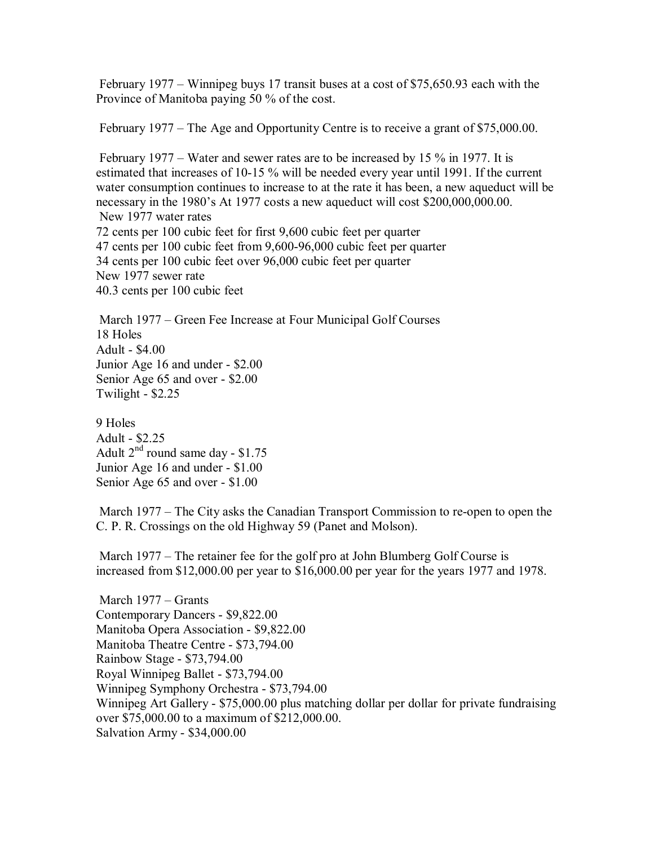February 1977 – Winnipeg buys 17 transit buses at a cost of \$75,650.93 each with the Province of Manitoba paying 50 % of the cost.

February 1977 – The Age and Opportunity Centre is to receive a grant of \$75,000.00.

 February 1977 – Water and sewer rates are to be increased by 15 % in 1977. It is estimated that increases of 10-15 % will be needed every year until 1991. If the current water consumption continues to increase to at the rate it has been, a new aqueduct will be necessary in the 1980's At 1977 costs a new aqueduct will cost \$200,000,000.00. New 1977 water rates 72 cents per 100 cubic feet for first 9,600 cubic feet per quarter 47 cents per 100 cubic feet from 9,600-96,000 cubic feet per quarter 34 cents per 100 cubic feet over 96,000 cubic feet per quarter New 1977 sewer rate 40.3 cents per 100 cubic feet

 March 1977 – Green Fee Increase at Four Municipal Golf Courses 18 Holes Adult - \$4.00 Junior Age 16 and under - \$2.00 Senior Age 65 and over - \$2.00 Twilight - \$2.25

9 Holes Adult - \$2.25 Adult  $2^{nd}$  round same day - \$1.75 Junior Age 16 and under - \$1.00 Senior Age 65 and over - \$1.00

 March 1977 – The City asks the Canadian Transport Commission to re-open to open the C. P. R. Crossings on the old Highway 59 (Panet and Molson).

 March 1977 – The retainer fee for the golf pro at John Blumberg Golf Course is increased from \$12,000.00 per year to \$16,000.00 per year for the years 1977 and 1978.

 March 1977 – Grants Contemporary Dancers - \$9,822.00 Manitoba Opera Association - \$9,822.00 Manitoba Theatre Centre - \$73,794.00 Rainbow Stage - \$73,794.00 Royal Winnipeg Ballet - \$73,794.00 Winnipeg Symphony Orchestra - \$73,794.00 Winnipeg Art Gallery - \$75,000.00 plus matching dollar per dollar for private fundraising over \$75,000.00 to a maximum of \$212,000.00. Salvation Army - \$34,000.00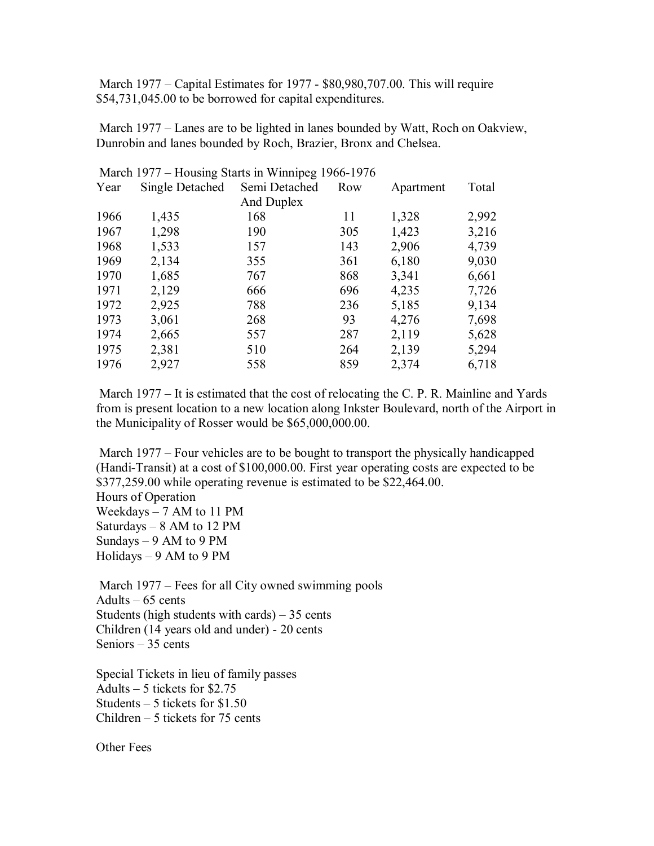March 1977 – Capital Estimates for 1977 - \$80,980,707.00. This will require \$54,731,045.00 to be borrowed for capital expenditures.

 March 1977 – Lanes are to be lighted in lanes bounded by Watt, Roch on Oakview, Dunrobin and lanes bounded by Roch, Brazier, Bronx and Chelsea.

|      | Match $1977 -$ Housing Starts in winnipeg 1900-1970 |               |     |           |       |
|------|-----------------------------------------------------|---------------|-----|-----------|-------|
| Year | Single Detached                                     | Semi Detached | Row | Apartment | Total |
|      |                                                     | And Duplex    |     |           |       |
| 1966 | 1,435                                               | 168           | 11  | 1,328     | 2,992 |
| 1967 | 1,298                                               | 190           | 305 | 1,423     | 3,216 |
| 1968 | 1,533                                               | 157           | 143 | 2,906     | 4,739 |
| 1969 | 2,134                                               | 355           | 361 | 6,180     | 9,030 |
| 1970 | 1,685                                               | 767           | 868 | 3,341     | 6,661 |
| 1971 | 2,129                                               | 666           | 696 | 4,235     | 7,726 |
| 1972 | 2,925                                               | 788           | 236 | 5,185     | 9,134 |
| 1973 | 3,061                                               | 268           | 93  | 4,276     | 7,698 |
| 1974 | 2,665                                               | 557           | 287 | 2,119     | 5,628 |
| 1975 | 2,381                                               | 510           | 264 | 2,139     | 5,294 |
| 1976 | 2,927                                               | 558           | 859 | 2,374     | 6,718 |
|      |                                                     |               |     |           |       |

March 1977 – Housing Starts in Winnipeg 1966-1976

March 1977 – It is estimated that the cost of relocating the C. P. R. Mainline and Yards from is present location to a new location along Inkster Boulevard, north of the Airport in the Municipality of Rosser would be \$65,000,000.00.

 March 1977 – Four vehicles are to be bought to transport the physically handicapped (Handi-Transit) at a cost of \$100,000.00. First year operating costs are expected to be \$377,259.00 while operating revenue is estimated to be \$22,464.00. Hours of Operation Weekdays – 7 AM to 11 PM Saturdays – 8 AM to 12 PM Sundays  $-9$  AM to 9 PM Holidays – 9 AM to 9 PM

March 1977 – Fees for all City owned swimming pools Adults  $-65$  cents Students (high students with cards)  $-35$  cents Children (14 years old and under) - 20 cents Seniors – 35 cents

Special Tickets in lieu of family passes Adults – 5 tickets for \$2.75 Students – 5 tickets for \$1.50 Children – 5 tickets for 75 cents

Other Fees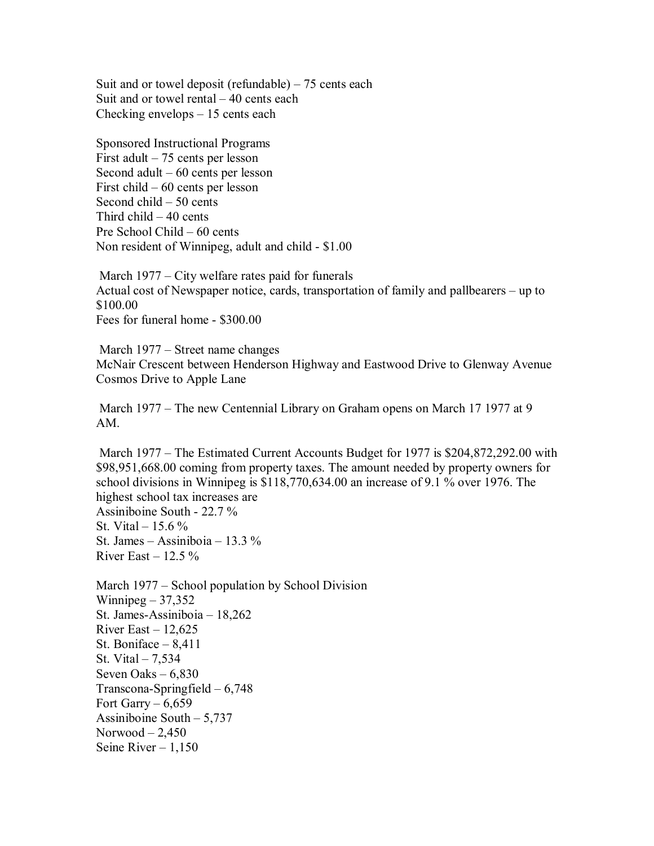Suit and or towel deposit (refundable)  $-75$  cents each Suit and or towel rental – 40 cents each Checking envelops – 15 cents each

Sponsored Instructional Programs First adult – 75 cents per lesson Second adult – 60 cents per lesson First child – 60 cents per lesson Second child – 50 cents Third child – 40 cents Pre School Child – 60 cents Non resident of Winnipeg, adult and child - \$1.00

 March 1977 – City welfare rates paid for funerals Actual cost of Newspaper notice, cards, transportation of family and pallbearers – up to \$100.00 Fees for funeral home - \$300.00

 March 1977 – Street name changes McNair Crescent between Henderson Highway and Eastwood Drive to Glenway Avenue Cosmos Drive to Apple Lane

 March 1977 – The new Centennial Library on Graham opens on March 17 1977 at 9 AM.

 March 1977 – The Estimated Current Accounts Budget for 1977 is \$204,872,292.00 with \$98,951,668.00 coming from property taxes. The amount needed by property owners for school divisions in Winnipeg is \$118,770,634.00 an increase of 9.1 % over 1976. The highest school tax increases are Assiniboine South - 22.7 % St. Vital –  $15.6\%$ St. James – Assiniboia – 13.3 % River East  $-12.5\%$ 

March 1977 – School population by School Division Winnipeg  $-37,352$ St. James-Assiniboia – 18,262 River East  $-12,625$ St. Boniface – 8,411 St. Vital – 7,534 Seven Oaks – 6,830 Transcona-Springfield – 6,748 Fort Garry –  $6,659$ Assiniboine South – 5,737 Norwood  $-2,450$ Seine River  $-1,150$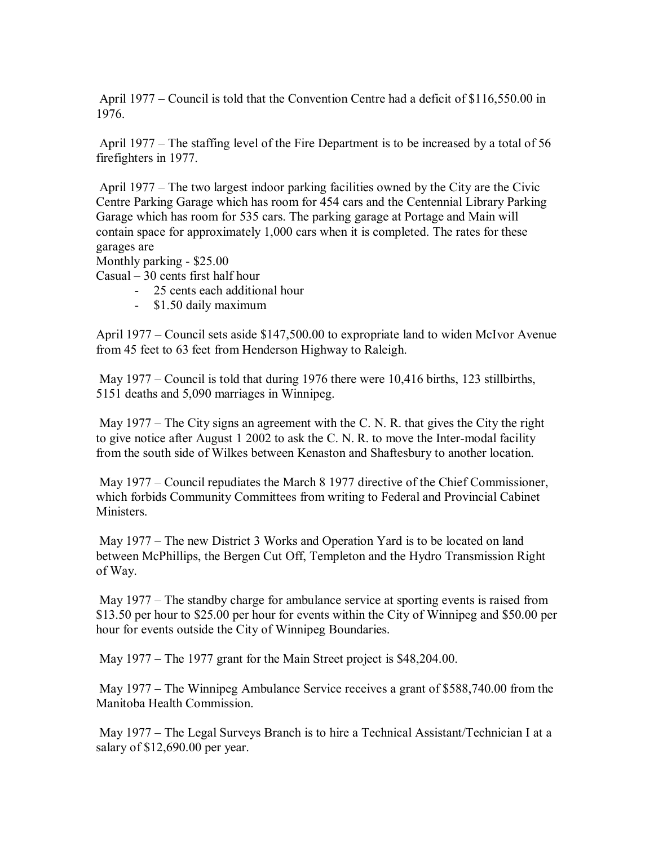April 1977 – Council is told that the Convention Centre had a deficit of \$116,550.00 in 1976.

 April 1977 – The staffing level of the Fire Department is to be increased by a total of 56 firefighters in 1977.

 April 1977 – The two largest indoor parking facilities owned by the City are the Civic Centre Parking Garage which has room for 454 cars and the Centennial Library Parking Garage which has room for 535 cars. The parking garage at Portage and Main will contain space for approximately 1,000 cars when it is completed. The rates for these garages are

Monthly parking - \$25.00

Casual – 30 cents first half hour

- 25 cents each additional hour
- \$1.50 daily maximum

April 1977 – Council sets aside \$147,500.00 to expropriate land to widen McIvor Avenue from 45 feet to 63 feet from Henderson Highway to Raleigh.

May 1977 – Council is told that during 1976 there were 10,416 births, 123 stillbirths, 5151 deaths and 5,090 marriages in Winnipeg.

May 1977 – The City signs an agreement with the C. N. R. that gives the City the right to give notice after August 1 2002 to ask the C. N. R. to move the Inter-modal facility from the south side of Wilkes between Kenaston and Shaftesbury to another location.

 May 1977 – Council repudiates the March 8 1977 directive of the Chief Commissioner, which forbids Community Committees from writing to Federal and Provincial Cabinet Ministers.

 May 1977 – The new District 3 Works and Operation Yard is to be located on land between McPhillips, the Bergen Cut Off, Templeton and the Hydro Transmission Right of Way.

 May 1977 – The standby charge for ambulance service at sporting events is raised from \$13.50 per hour to \$25.00 per hour for events within the City of Winnipeg and \$50.00 per hour for events outside the City of Winnipeg Boundaries.

May 1977 – The 1977 grant for the Main Street project is \$48,204.00.

 May 1977 – The Winnipeg Ambulance Service receives a grant of \$588,740.00 from the Manitoba Health Commission.

 May 1977 – The Legal Surveys Branch is to hire a Technical Assistant/Technician I at a salary of \$12,690.00 per year.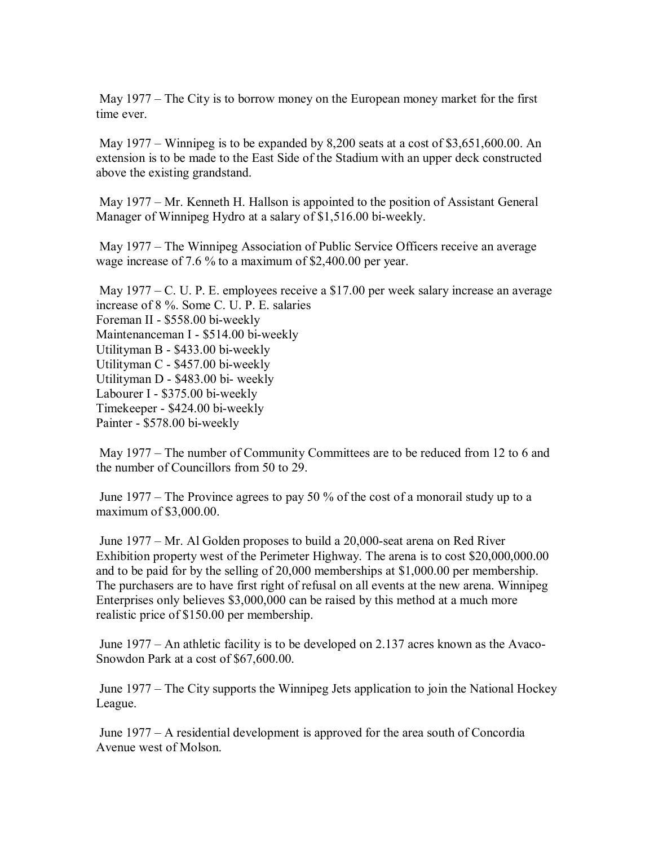May 1977 – The City is to borrow money on the European money market for the first time ever.

 May 1977 – Winnipeg is to be expanded by 8,200 seats at a cost of \$3,651,600.00. An extension is to be made to the East Side of the Stadium with an upper deck constructed above the existing grandstand.

 May 1977 – Mr. Kenneth H. Hallson is appointed to the position of Assistant General Manager of Winnipeg Hydro at a salary of \$1,516.00 bi-weekly.

 May 1977 – The Winnipeg Association of Public Service Officers receive an average wage increase of 7.6 % to a maximum of \$2,400.00 per year.

 May 1977 – C. U. P. E. employees receive a \$17.00 per week salary increase an average increase of 8 %. Some C. U. P. E. salaries Foreman II - \$558.00 bi-weekly Maintenanceman I - \$514.00 bi-weekly Utilityman B - \$433.00 bi-weekly Utilityman C - \$457.00 bi-weekly Utilityman D - \$483.00 bi- weekly Labourer I - \$375.00 bi-weekly Timekeeper - \$424.00 bi-weekly Painter - \$578.00 bi-weekly

 May 1977 – The number of Community Committees are to be reduced from 12 to 6 and the number of Councillors from 50 to 29.

 June 1977 – The Province agrees to pay 50 % of the cost of a monorail study up to a maximum of \$3,000.00.

 June 1977 – Mr. Al Golden proposes to build a 20,000-seat arena on Red River Exhibition property west of the Perimeter Highway. The arena is to cost \$20,000,000.00 and to be paid for by the selling of 20,000 memberships at \$1,000.00 per membership. The purchasers are to have first right of refusal on all events at the new arena. Winnipeg Enterprises only believes \$3,000,000 can be raised by this method at a much more realistic price of \$150.00 per membership.

 June 1977 – An athletic facility is to be developed on 2.137 acres known as the Avaco-Snowdon Park at a cost of \$67,600.00.

 June 1977 – The City supports the Winnipeg Jets application to join the National Hockey League.

 June 1977 – A residential development is approved for the area south of Concordia Avenue west of Molson.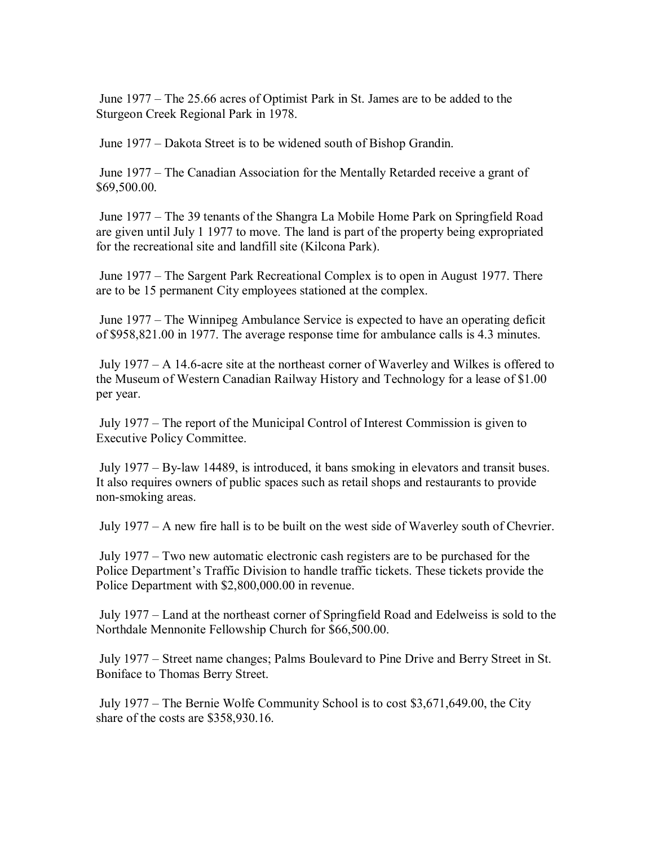June 1977 – The 25.66 acres of Optimist Park in St. James are to be added to the Sturgeon Creek Regional Park in 1978.

June 1977 – Dakota Street is to be widened south of Bishop Grandin.

 June 1977 – The Canadian Association for the Mentally Retarded receive a grant of \$69,500.00.

 June 1977 – The 39 tenants of the Shangra La Mobile Home Park on Springfield Road are given until July 1 1977 to move. The land is part of the property being expropriated for the recreational site and landfill site (Kilcona Park).

 June 1977 – The Sargent Park Recreational Complex is to open in August 1977. There are to be 15 permanent City employees stationed at the complex.

 June 1977 – The Winnipeg Ambulance Service is expected to have an operating deficit of \$958,821.00 in 1977. The average response time for ambulance calls is 4.3 minutes.

 July 1977 – A 14.6-acre site at the northeast corner of Waverley and Wilkes is offered to the Museum of Western Canadian Railway History and Technology for a lease of \$1.00 per year.

 July 1977 – The report of the Municipal Control of Interest Commission is given to Executive Policy Committee.

 July 1977 – By-law 14489, is introduced, it bans smoking in elevators and transit buses. It also requires owners of public spaces such as retail shops and restaurants to provide non-smoking areas.

July 1977 – A new fire hall is to be built on the west side of Waverley south of Chevrier.

 July 1977 – Two new automatic electronic cash registers are to be purchased for the Police Department's Traffic Division to handle traffic tickets. These tickets provide the Police Department with \$2,800,000.00 in revenue.

 July 1977 – Land at the northeast corner of Springfield Road and Edelweiss is sold to the Northdale Mennonite Fellowship Church for \$66,500.00.

 July 1977 – Street name changes; Palms Boulevard to Pine Drive and Berry Street in St. Boniface to Thomas Berry Street.

 July 1977 – The Bernie Wolfe Community School is to cost \$3,671,649.00, the City share of the costs are \$358,930.16.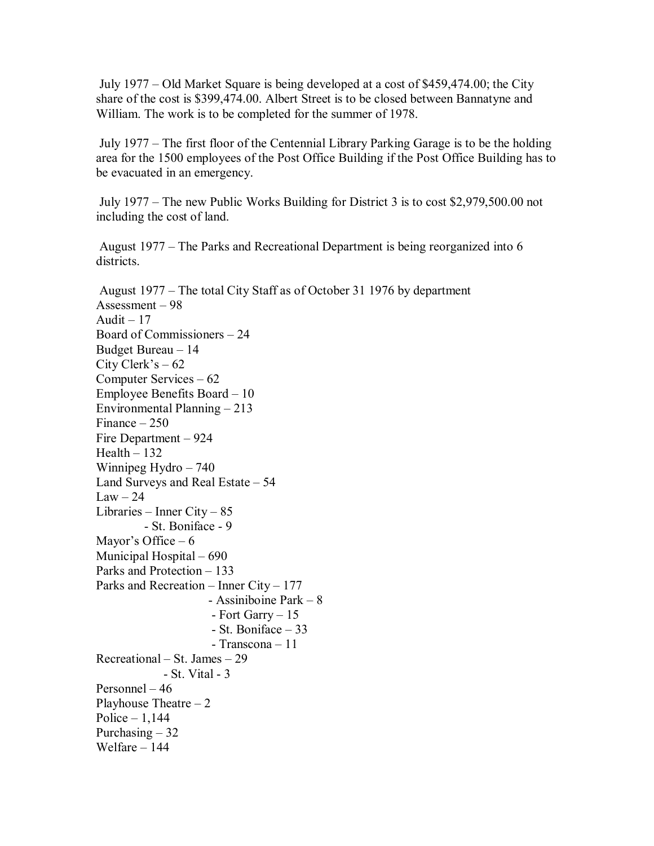July 1977 – Old Market Square is being developed at a cost of \$459,474.00; the City share of the cost is \$399,474.00. Albert Street is to be closed between Bannatyne and William. The work is to be completed for the summer of 1978.

 July 1977 – The first floor of the Centennial Library Parking Garage is to be the holding area for the 1500 employees of the Post Office Building if the Post Office Building has to be evacuated in an emergency.

 July 1977 – The new Public Works Building for District 3 is to cost \$2,979,500.00 not including the cost of land.

 August 1977 – The Parks and Recreational Department is being reorganized into 6 districts.

 August 1977 – The total City Staff as of October 31 1976 by department Assessment – 98 Audit  $-17$ Board of Commissioners – 24 Budget Bureau – 14 City Clerk's  $-62$ Computer Services – 62 Employee Benefits Board – 10 Environmental Planning – 213 Finance – 250 Fire Department – 924  $Health - 132$ Winnipeg Hydro – 740 Land Surveys and Real Estate – 54  $Law - 24$ Libraries – Inner City – 85 - St. Boniface - 9 Mayor's Office  $-6$ Municipal Hospital – 690 Parks and Protection – 133 Parks and Recreation – Inner City – 177 - Assiniboine Park – 8 - Fort Garry – 15 - St. Boniface – 33 - Transcona – 11 Recreational – St. James – 29 - St. Vital - 3 Personnel – 46 Playhouse Theatre  $-2$ Police  $-1,144$ Purchasing  $-32$ Welfare – 144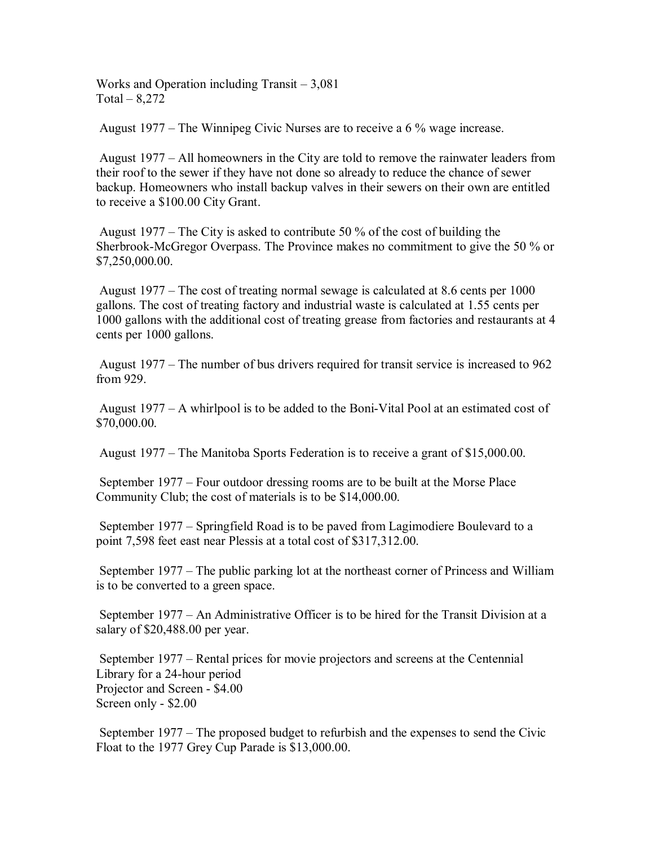Works and Operation including Transit – 3,081  $Total - 8,272$ 

August 1977 – The Winnipeg Civic Nurses are to receive a 6 % wage increase.

 August 1977 – All homeowners in the City are told to remove the rainwater leaders from their roof to the sewer if they have not done so already to reduce the chance of sewer backup. Homeowners who install backup valves in their sewers on their own are entitled to receive a \$100.00 City Grant.

 August 1977 – The City is asked to contribute 50 % of the cost of building the Sherbrook-McGregor Overpass. The Province makes no commitment to give the 50 % or \$7,250,000.00.

 August 1977 – The cost of treating normal sewage is calculated at 8.6 cents per 1000 gallons. The cost of treating factory and industrial waste is calculated at 1.55 cents per 1000 gallons with the additional cost of treating grease from factories and restaurants at 4 cents per 1000 gallons.

 August 1977 – The number of bus drivers required for transit service is increased to 962 from 929.

 August 1977 – A whirlpool is to be added to the Boni-Vital Pool at an estimated cost of \$70,000.00.

August 1977 – The Manitoba Sports Federation is to receive a grant of \$15,000.00.

 September 1977 – Four outdoor dressing rooms are to be built at the Morse Place Community Club; the cost of materials is to be \$14,000.00.

 September 1977 – Springfield Road is to be paved from Lagimodiere Boulevard to a point 7,598 feet east near Plessis at a total cost of \$317,312.00.

 September 1977 – The public parking lot at the northeast corner of Princess and William is to be converted to a green space.

 September 1977 – An Administrative Officer is to be hired for the Transit Division at a salary of \$20,488.00 per year.

 September 1977 – Rental prices for movie projectors and screens at the Centennial Library for a 24-hour period Projector and Screen - \$4.00 Screen only - \$2.00

 September 1977 – The proposed budget to refurbish and the expenses to send the Civic Float to the 1977 Grey Cup Parade is \$13,000.00.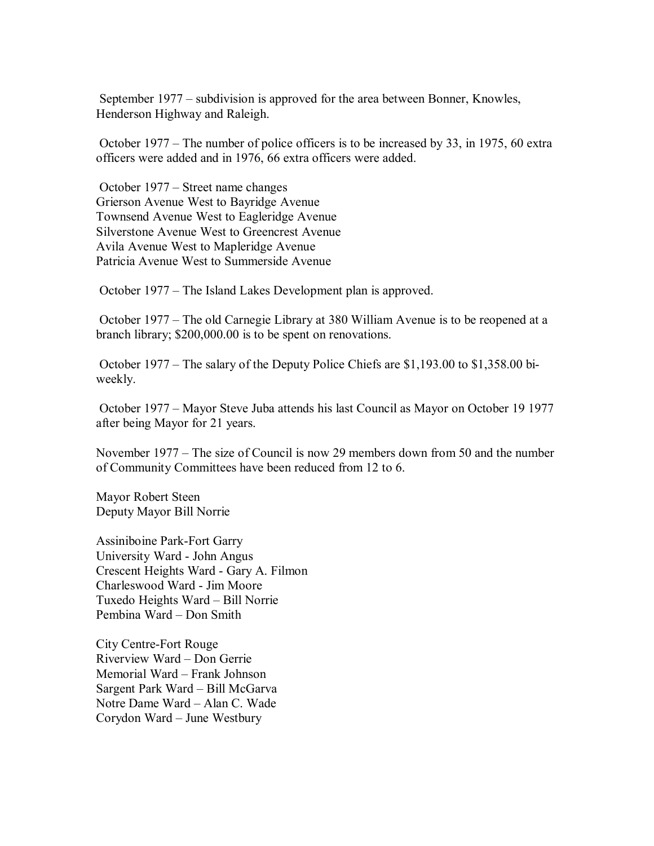September 1977 – subdivision is approved for the area between Bonner, Knowles, Henderson Highway and Raleigh.

 October 1977 – The number of police officers is to be increased by 33, in 1975, 60 extra officers were added and in 1976, 66 extra officers were added.

 October 1977 – Street name changes Grierson Avenue West to Bayridge Avenue Townsend Avenue West to Eagleridge Avenue Silverstone Avenue West to Greencrest Avenue Avila Avenue West to Mapleridge Avenue Patricia Avenue West to Summerside Avenue

October 1977 – The Island Lakes Development plan is approved.

 October 1977 – The old Carnegie Library at 380 William Avenue is to be reopened at a branch library; \$200,000.00 is to be spent on renovations.

 October 1977 – The salary of the Deputy Police Chiefs are \$1,193.00 to \$1,358.00 biweekly.

 October 1977 – Mayor Steve Juba attends his last Council as Mayor on October 19 1977 after being Mayor for 21 years.

November 1977 – The size of Council is now 29 members down from 50 and the number of Community Committees have been reduced from 12 to 6.

Mayor Robert Steen Deputy Mayor Bill Norrie

Assiniboine Park-Fort Garry University Ward - John Angus Crescent Heights Ward - Gary A. Filmon Charleswood Ward - Jim Moore Tuxedo Heights Ward – Bill Norrie Pembina Ward – Don Smith

City Centre-Fort Rouge Riverview Ward – Don Gerrie Memorial Ward – Frank Johnson Sargent Park Ward – Bill McGarva Notre Dame Ward – Alan C. Wade Corydon Ward – June Westbury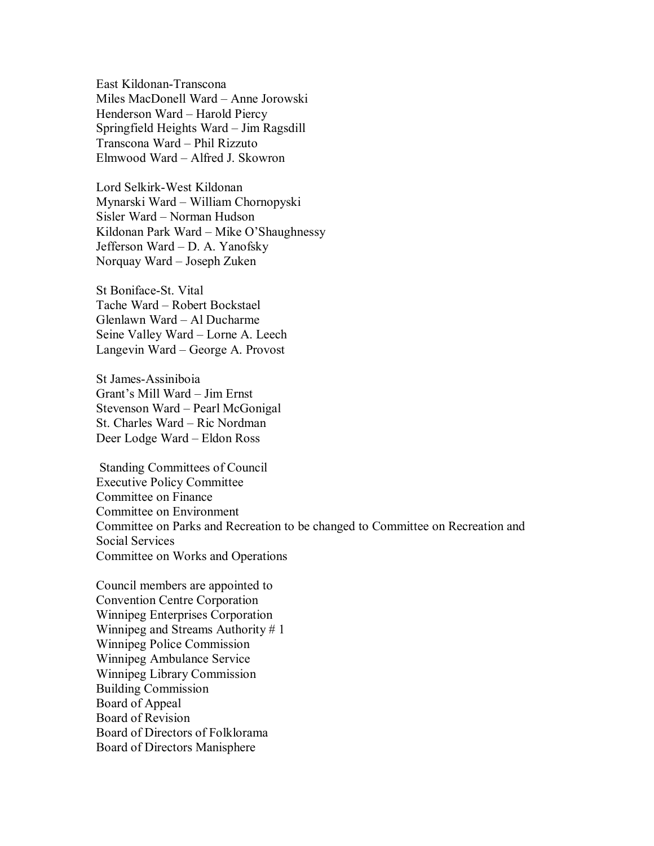East Kildonan-Transcona Miles MacDonell Ward – Anne Jorowski Henderson Ward – Harold Piercy Springfield Heights Ward – Jim Ragsdill Transcona Ward – Phil Rizzuto Elmwood Ward – Alfred J. Skowron

Lord Selkirk-West Kildonan Mynarski Ward – William Chornopyski Sisler Ward – Norman Hudson Kildonan Park Ward – Mike O'Shaughnessy Jefferson Ward – D. A. Yanofsky Norquay Ward – Joseph Zuken

St Boniface-St. Vital Tache Ward – Robert Bockstael Glenlawn Ward – Al Ducharme Seine Valley Ward – Lorne A. Leech Langevin Ward – George A. Provost

St James-Assiniboia Grant's Mill Ward – Jim Ernst Stevenson Ward – Pearl McGonigal St. Charles Ward – Ric Nordman Deer Lodge Ward – Eldon Ross

 Standing Committees of Council Executive Policy Committee Committee on Finance Committee on Environment Committee on Parks and Recreation to be changed to Committee on Recreation and Social Services Committee on Works and Operations

Council members are appointed to Convention Centre Corporation Winnipeg Enterprises Corporation Winnipeg and Streams Authority # 1 Winnipeg Police Commission Winnipeg Ambulance Service Winnipeg Library Commission Building Commission Board of Appeal Board of Revision Board of Directors of Folklorama Board of Directors Manisphere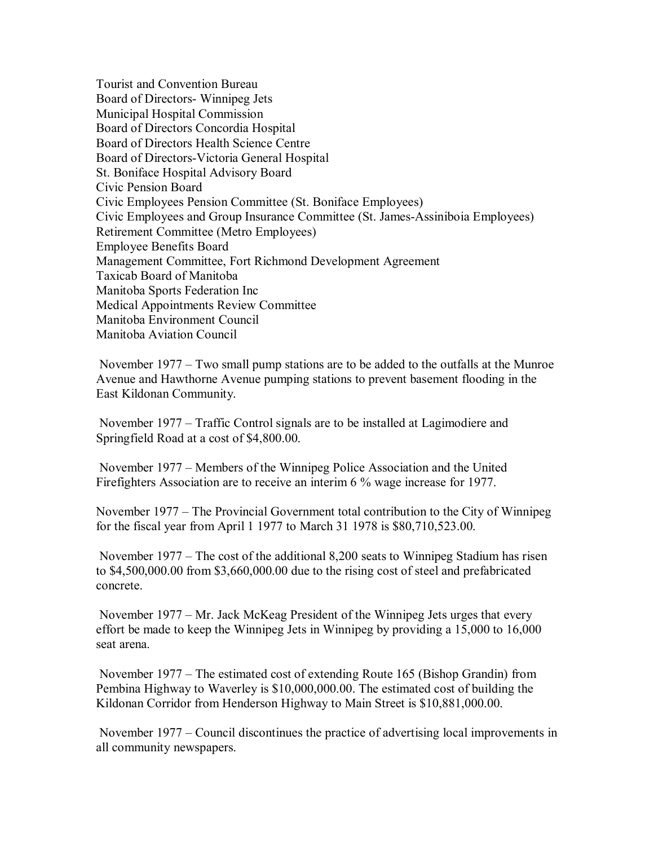Tourist and Convention Bureau Board of Directors- Winnipeg Jets Municipal Hospital Commission Board of Directors Concordia Hospital Board of Directors Health Science Centre Board of Directors-Victoria General Hospital St. Boniface Hospital Advisory Board Civic Pension Board Civic Employees Pension Committee (St. Boniface Employees) Civic Employees and Group Insurance Committee (St. James-Assiniboia Employees) Retirement Committee (Metro Employees) Employee Benefits Board Management Committee, Fort Richmond Development Agreement Taxicab Board of Manitoba Manitoba Sports Federation Inc Medical Appointments Review Committee Manitoba Environment Council Manitoba Aviation Council

 November 1977 – Two small pump stations are to be added to the outfalls at the Munroe Avenue and Hawthorne Avenue pumping stations to prevent basement flooding in the East Kildonan Community.

 November 1977 – Traffic Control signals are to be installed at Lagimodiere and Springfield Road at a cost of \$4,800.00.

 November 1977 – Members of the Winnipeg Police Association and the United Firefighters Association are to receive an interim 6 % wage increase for 1977.

November 1977 – The Provincial Government total contribution to the City of Winnipeg for the fiscal year from April 1 1977 to March 31 1978 is \$80,710,523.00.

 November 1977 – The cost of the additional 8,200 seats to Winnipeg Stadium has risen to \$4,500,000.00 from \$3,660,000.00 due to the rising cost of steel and prefabricated concrete.

 November 1977 – Mr. Jack McKeag President of the Winnipeg Jets urges that every effort be made to keep the Winnipeg Jets in Winnipeg by providing a 15,000 to 16,000 seat arena.

 November 1977 – The estimated cost of extending Route 165 (Bishop Grandin) from Pembina Highway to Waverley is \$10,000,000.00. The estimated cost of building the Kildonan Corridor from Henderson Highway to Main Street is \$10,881,000.00.

 November 1977 – Council discontinues the practice of advertising local improvements in all community newspapers.